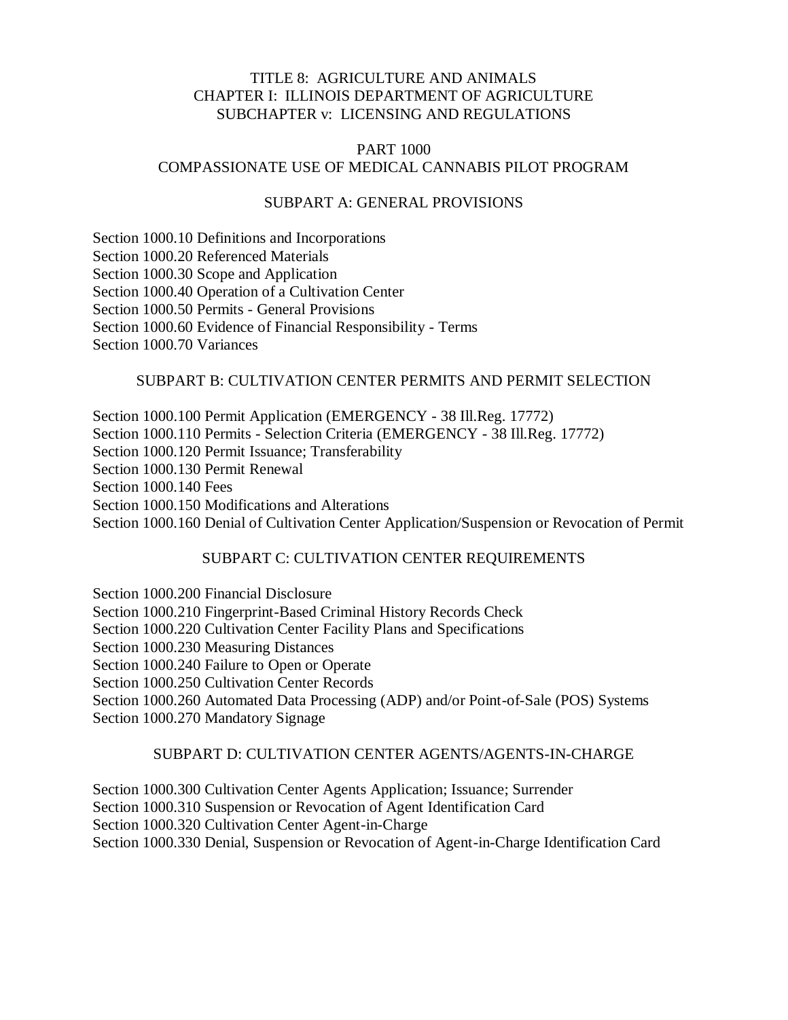## TITLE 8: AGRICULTURE AND ANIMALS CHAPTER I: ILLINOIS DEPARTMENT OF AGRICULTURE SUBCHAPTER v: LICENSING AND REGULATIONS

### PART 1000 COMPASSIONATE USE OF MEDICAL CANNABIS PILOT PROGRAM

## SUBPART A: GENERAL PROVISIONS

[Section 1000.10 Definitions and Incorporations](http://www.ilga.gov/commission/jcar/admincode/008/008010000A00100R.html) [Section 1000.20 Referenced Materials](http://www.ilga.gov/commission/jcar/admincode/008/008010000A00200R.html) [Section 1000.30 Scope and Application](http://www.ilga.gov/commission/jcar/admincode/008/008010000A00300R.html) [Section 1000.40 Operation of a Cultivation Center](http://www.ilga.gov/commission/jcar/admincode/008/008010000A00400R.html) [Section 1000.50 Permits -](http://www.ilga.gov/commission/jcar/admincode/008/008010000A00500R.html) General Provisions [Section 1000.60 Evidence of Financial Responsibility -](http://www.ilga.gov/commission/jcar/admincode/008/008010000A00600R.html) Terms [Section 1000.70 Variances](http://www.ilga.gov/commission/jcar/admincode/008/008010000A00700R.html)

#### SUBPART B: CULTIVATION CENTER PERMITS AND PERMIT SELECTION

[Section 1000.100 Permit Application](http://www.ilga.gov/commission/jcar/admincode/008/008010000B01000R.html) (EMERGENCY - [38 Ill.Reg. 17772\)](http://www.cyberdriveillinois.com/departments/index/register/register_volume38_issue34.pdf) [Section 1000.110 Permits -](http://www.ilga.gov/commission/jcar/admincode/008/008010000B01100R.html) Selection Criteria (EMERGENCY - [38 Ill.Reg. 17772\)](http://www.cyberdriveillinois.com/departments/index/register/register_volume38_issue34.pdf) [Section 1000.120 Permit Issuance; Transferability](http://www.ilga.gov/commission/jcar/admincode/008/008010000B01200R.html) [Section 1000.130 Permit Renewal](http://www.ilga.gov/commission/jcar/admincode/008/008010000B01300R.html) [Section 1000.140 Fees](http://www.ilga.gov/commission/jcar/admincode/008/008010000B01400R.html) [Section 1000.150 Modifications and Alterations](http://www.ilga.gov/commission/jcar/admincode/008/008010000B01500R.html) [Section 1000.160 Denial of Cultivation Center Application/Suspension or Revocation of Permit](http://www.ilga.gov/commission/jcar/admincode/008/008010000B01600R.html)

### SUBPART C: CULTIVATION CENTER REQUIREMENTS

[Section 1000.200 Financial Disclosure](http://www.ilga.gov/commission/jcar/admincode/008/008010000C02000R.html) [Section 1000.210 Fingerprint-Based Criminal History Records Check](http://www.ilga.gov/commission/jcar/admincode/008/008010000C02100R.html) [Section 1000.220 Cultivation Center Facility Plans and Specifications](http://www.ilga.gov/commission/jcar/admincode/008/008010000C02200R.html) [Section 1000.230 Measuring Distances](http://www.ilga.gov/commission/jcar/admincode/008/008010000C02300R.html) [Section 1000.240 Failure to Open or Operate](http://www.ilga.gov/commission/jcar/admincode/008/008010000C02400R.html) [Section 1000.250 Cultivation Center Records](http://www.ilga.gov/commission/jcar/admincode/008/008010000C02500R.html) [Section 1000.260 Automated Data Processing \(ADP\) and/or Point-of-Sale \(POS\) Systems](http://www.ilga.gov/commission/jcar/admincode/008/008010000C02600R.html) [Section 1000.270 Mandatory Signage](http://www.ilga.gov/commission/jcar/admincode/008/008010000C02700R.html)

# SUBPART D: CULTIVATION CENTER AGENTS/AGENTS-IN-CHARGE

[Section 1000.300 Cultivation Center Agents Application; Issuance; Surrender](http://www.ilga.gov/commission/jcar/admincode/008/008010000D03000R.html) [Section 1000.310 Suspension or Revocation of Agent Identification Card](http://www.ilga.gov/commission/jcar/admincode/008/008010000D03100R.html) [Section 1000.320 Cultivation Center Agent-in-Charge](http://www.ilga.gov/commission/jcar/admincode/008/008010000D03200R.html) [Section 1000.330 Denial, Suspension or Revocation of Agent-in-Charge Identification Card](http://www.ilga.gov/commission/jcar/admincode/008/008010000D03300R.html)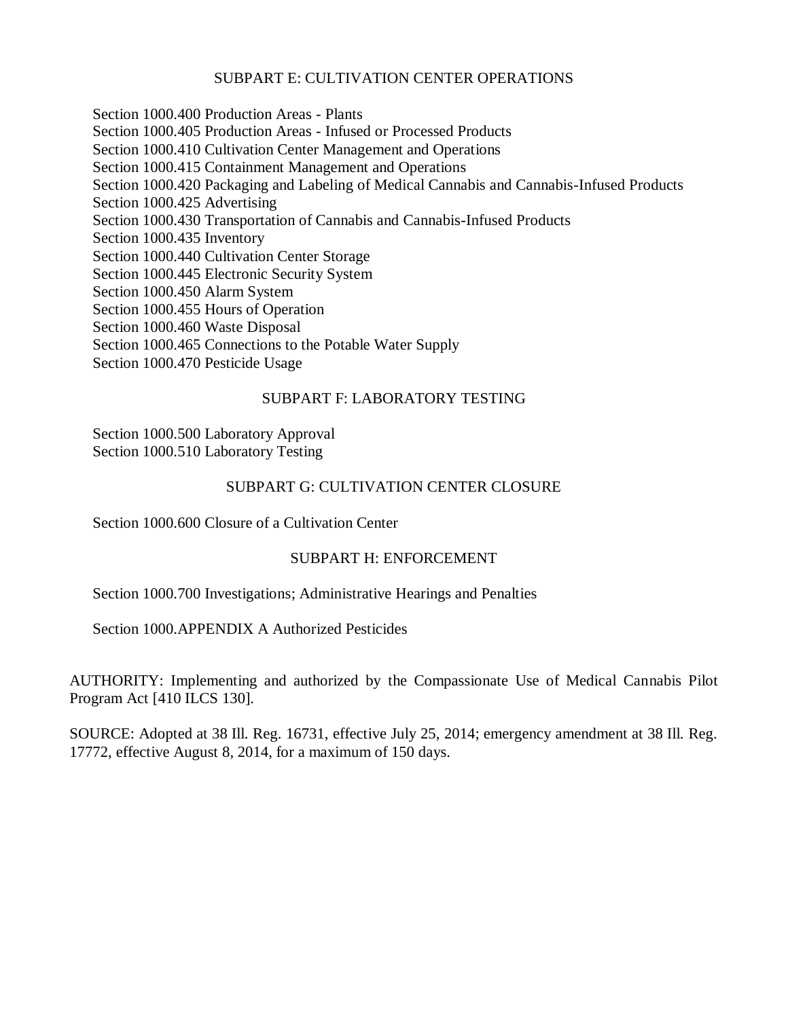## SUBPART E: CULTIVATION CENTER OPERATIONS

[Section 1000.400 Production Areas -](http://www.ilga.gov/commission/jcar/admincode/008/008010000E04000R.html) Plants [Section 1000.405 Production Areas -](http://www.ilga.gov/commission/jcar/admincode/008/008010000E04050R.html) Infused or Processed Products [Section 1000.410 Cultivation Center Management and Operations](http://www.ilga.gov/commission/jcar/admincode/008/008010000E04100R.html) [Section 1000.415 Containment Management and Operations](http://www.ilga.gov/commission/jcar/admincode/008/008010000E04150R.html) [Section 1000.420 Packaging and Labeling of Medical Cannabis and Cannabis-Infused Products](http://www.ilga.gov/commission/jcar/admincode/008/008010000E04200R.html) [Section 1000.425 Advertising](http://www.ilga.gov/commission/jcar/admincode/008/008010000E04250R.html) [Section 1000.430 Transportation of Cannabis and Cannabis-Infused Products](http://www.ilga.gov/commission/jcar/admincode/008/008010000E04300R.html) [Section 1000.435 Inventory](http://www.ilga.gov/commission/jcar/admincode/008/008010000E04350R.html) [Section 1000.440 Cultivation Center Storage](http://www.ilga.gov/commission/jcar/admincode/008/008010000E04400R.html) [Section 1000.445 Electronic Security System](http://www.ilga.gov/commission/jcar/admincode/008/008010000E04450R.html) [Section 1000.450 Alarm System](http://www.ilga.gov/commission/jcar/admincode/008/008010000E04500R.html) [Section 1000.455 Hours of Operation](http://www.ilga.gov/commission/jcar/admincode/008/008010000E04550R.html) [Section 1000.460 Waste Disposal](http://www.ilga.gov/commission/jcar/admincode/008/008010000E04600R.html) [Section 1000.465 Connections to the Potable Water Supply](http://www.ilga.gov/commission/jcar/admincode/008/008010000E04650R.html) [Section 1000.470 Pesticide Usage](http://www.ilga.gov/commission/jcar/admincode/008/008010000E04700R.html)

#### SUBPART F: LABORATORY TESTING

[Section 1000.500 Laboratory Approval](http://www.ilga.gov/commission/jcar/admincode/008/008010000F05000R.html) [Section 1000.510 Laboratory Testing](http://www.ilga.gov/commission/jcar/admincode/008/008010000F05100R.html)

#### SUBPART G: CULTIVATION CENTER CLOSURE

[Section 1000.600 Closure of a Cultivation Center](http://www.ilga.gov/commission/jcar/admincode/008/008010000G06000R.html)

#### SUBPART H: ENFORCEMENT

[Section 1000.700 Investigations; Administrative Hearings and Penalties](http://www.ilga.gov/commission/jcar/admincode/008/008010000H07000R.html)

[Section 1000.APPENDIX A Authorized Pesticides](http://www.ilga.gov/commission/jcar/admincode/008/00801000ZZ9996AR.html)

AUTHORITY: Implementing and authorized by the Compassionate Use of Medical Cannabis Pilot Program Act [410 ILCS 130].

SOURCE: Adopted at 38 Ill. Reg. 16731, effective July 25, 2014; emergency amendment at 38 Ill. Reg. 17772, effective August 8, 2014, for a maximum of 150 days.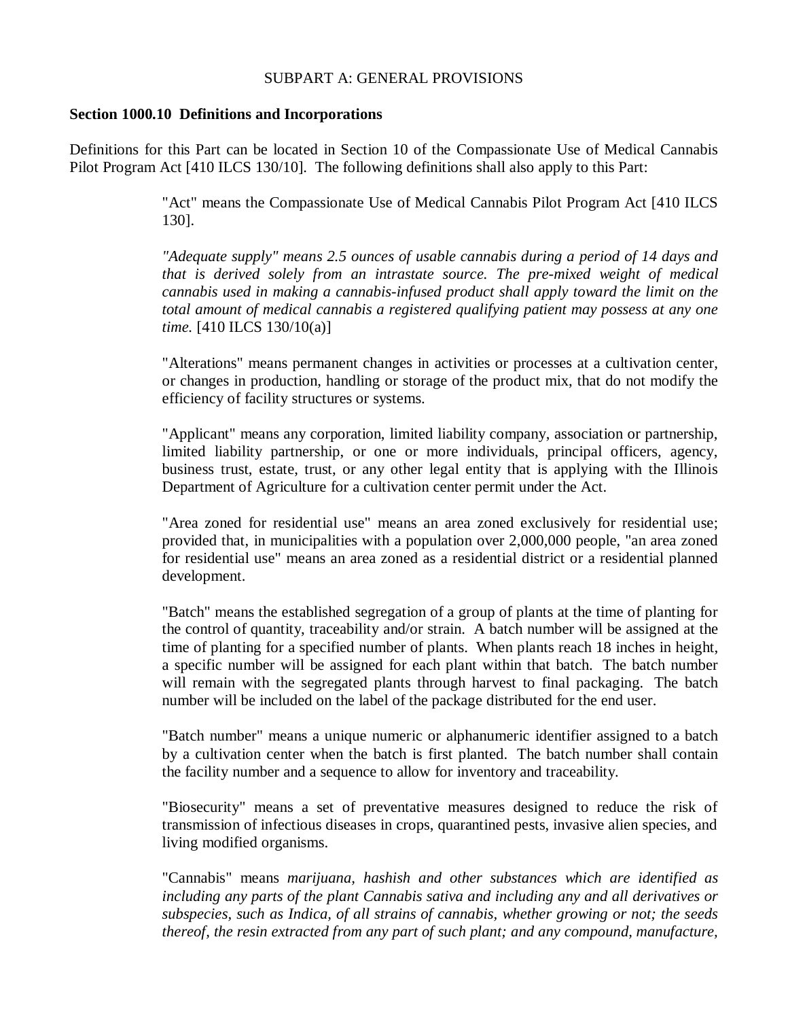### SUBPART A: GENERAL PROVISIONS

#### **Section 1000.10 Definitions and Incorporations**

Definitions for this Part can be located in Section 10 of the Compassionate Use of Medical Cannabis Pilot Program Act [410 ILCS 130/10]. The following definitions shall also apply to this Part:

> "Act" means the Compassionate Use of Medical Cannabis Pilot Program Act [410 ILCS 130].

> *"Adequate supply" means 2.5 ounces of usable cannabis during a period of 14 days and that is derived solely from an intrastate source. The pre-mixed weight of medical cannabis used in making a cannabis-infused product shall apply toward the limit on the total amount of medical cannabis a registered qualifying patient may possess at any one time.* [410 ILCS 130/10(a)]

> "Alterations" means permanent changes in activities or processes at a cultivation center, or changes in production, handling or storage of the product mix, that do not modify the efficiency of facility structures or systems.

> "Applicant" means any corporation, limited liability company, association or partnership, limited liability partnership, or one or more individuals, principal officers, agency, business trust, estate, trust, or any other legal entity that is applying with the Illinois Department of Agriculture for a cultivation center permit under the Act.

> "Area zoned for residential use" means an area zoned exclusively for residential use; provided that, in municipalities with a population over 2,000,000 people, "an area zoned for residential use" means an area zoned as a residential district or a residential planned development.

> "Batch" means the established segregation of a group of plants at the time of planting for the control of quantity, traceability and/or strain. A batch number will be assigned at the time of planting for a specified number of plants. When plants reach 18 inches in height, a specific number will be assigned for each plant within that batch. The batch number will remain with the segregated plants through harvest to final packaging. The batch number will be included on the label of the package distributed for the end user.

> "Batch number" means a unique numeric or alphanumeric identifier assigned to a batch by a cultivation center when the batch is first planted. The batch number shall contain the facility number and a sequence to allow for inventory and traceability.

> "Biosecurity" means a set of preventative measures designed to reduce the risk of transmission of infectious diseases in crops, quarantined pests, invasive alien species, and living modified organisms.

> "Cannabis" means *marijuana, hashish and other substances which are identified as including any parts of the plant Cannabis sativa and including any and all derivatives or subspecies, such as Indica, of all strains of cannabis, whether growing or not; the seeds thereof, the resin extracted from any part of such plant; and any compound, manufacture,*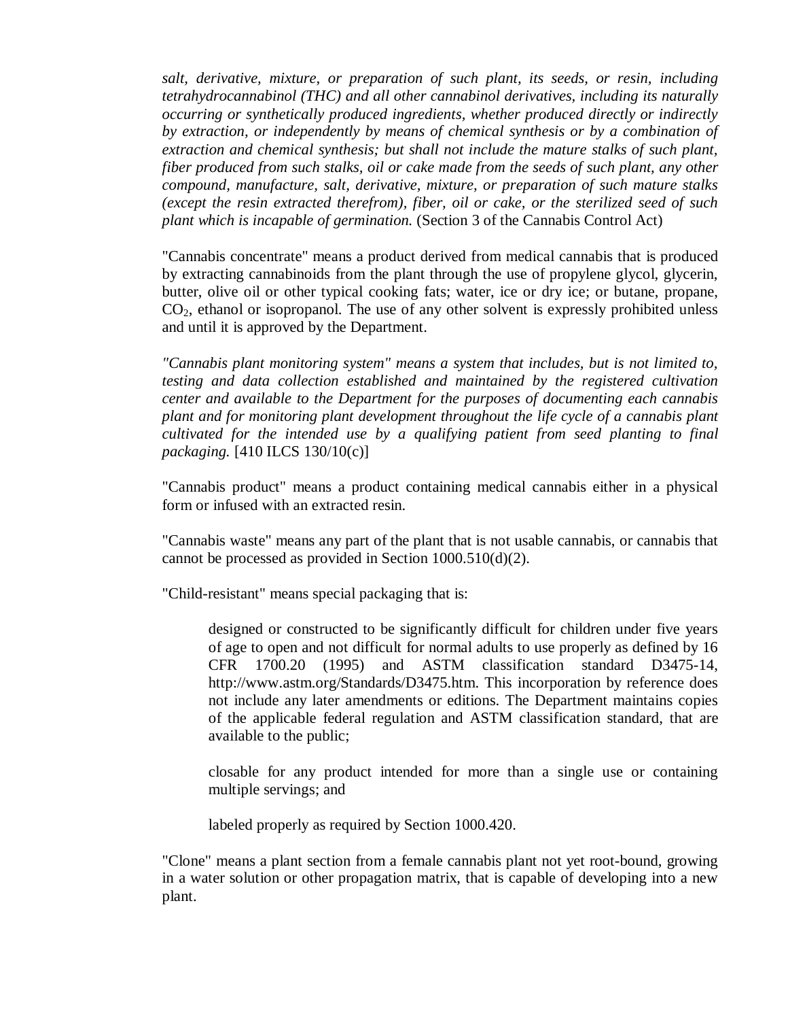*salt, derivative, mixture, or preparation of such plant, its seeds, or resin, including tetrahydrocannabinol (THC) and all other cannabinol derivatives, including its naturally occurring or synthetically produced ingredients, whether produced directly or indirectly by extraction, or independently by means of chemical synthesis or by a combination of extraction and chemical synthesis; but shall not include the mature stalks of such plant, fiber produced from such stalks, oil or cake made from the seeds of such plant, any other compound, manufacture, salt, derivative, mixture, or preparation of such mature stalks (except the resin extracted therefrom), fiber, oil or cake, or the sterilized seed of such plant which is incapable of germination.* (Section 3 of the Cannabis Control Act)

"Cannabis concentrate" means a product derived from medical cannabis that is produced by extracting cannabinoids from the plant through the use of propylene glycol, glycerin, butter, olive oil or other typical cooking fats; water, ice or dry ice; or butane, propane,  $CO<sub>2</sub>$ , ethanol or isopropanol. The use of any other solvent is expressly prohibited unless and until it is approved by the Department.

*"Cannabis plant monitoring system" means a system that includes, but is not limited to, testing and data collection established and maintained by the registered cultivation center and available to the Department for the purposes of documenting each cannabis plant and for monitoring plant development throughout the life cycle of a cannabis plant cultivated for the intended use by a qualifying patient from seed planting to final packaging.* [410 ILCS 130/10(c)]

"Cannabis product" means a product containing medical cannabis either in a physical form or infused with an extracted resin.

"Cannabis waste" means any part of the plant that is not usable cannabis, or cannabis that cannot be processed as provided in Section 1000.510(d)(2).

"Child-resistant" means special packaging that is:

designed or constructed to be significantly difficult for children under five years of age to open and not difficult for normal adults to use properly as defined by 16 CFR 1700.20 (1995) and ASTM classification standard D3475-14, http://www.astm.org/Standards/D3475.htm. This incorporation by reference does not include any later amendments or editions. The Department maintains copies of the applicable federal regulation and ASTM classification standard, that are available to the public;

closable for any product intended for more than a single use or containing multiple servings; and

labeled properly as required by Section 1000.420.

"Clone" means a plant section from a female cannabis plant not yet root-bound, growing in a water solution or other propagation matrix, that is capable of developing into a new plant.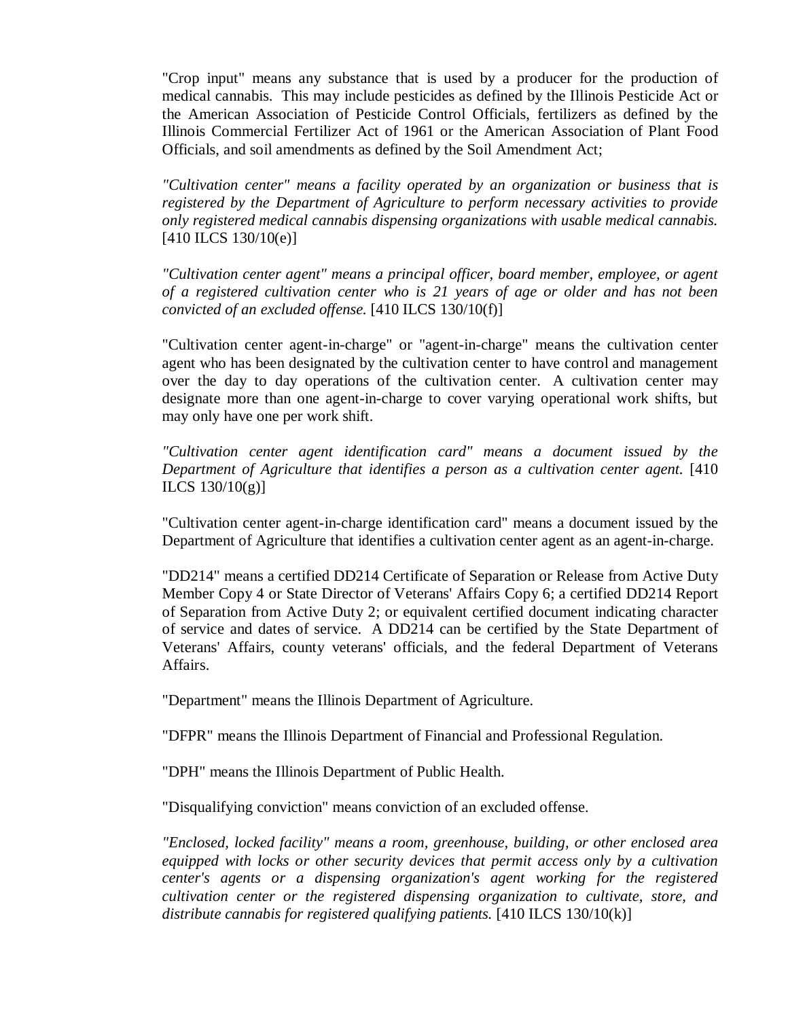"Crop input" means any substance that is used by a producer for the production of medical cannabis. This may include pesticides as defined by the Illinois Pesticide Act or the American Association of Pesticide Control Officials, fertilizers as defined by the Illinois Commercial Fertilizer Act of 1961 or the American Association of Plant Food Officials, and soil amendments as defined by the Soil Amendment Act;

*"Cultivation center" means a facility operated by an organization or business that is registered by the Department of Agriculture to perform necessary activities to provide only registered medical cannabis dispensing organizations with usable medical cannabis.* [410 ILCS 130/10(e)]

*"Cultivation center agent" means a principal officer, board member, employee, or agent of a registered cultivation center who is 21 years of age or older and has not been convicted of an excluded offense.* [410 ILCS 130/10(f)]

"Cultivation center agent-in-charge" or "agent-in-charge" means the cultivation center agent who has been designated by the cultivation center to have control and management over the day to day operations of the cultivation center. A cultivation center may designate more than one agent-in-charge to cover varying operational work shifts, but may only have one per work shift.

*"Cultivation center agent identification card" means a document issued by the Department of Agriculture that identifies a person as a cultivation center agent.* [410 ILCS 130/10(g)]

"Cultivation center agent-in-charge identification card" means a document issued by the Department of Agriculture that identifies a cultivation center agent as an agent-in-charge.

"DD214" means a certified DD214 Certificate of Separation or Release from Active Duty Member Copy 4 or State Director of Veterans' Affairs Copy 6; a certified DD214 Report of Separation from Active Duty 2; or equivalent certified document indicating character of service and dates of service. A DD214 can be certified by the State Department of Veterans' Affairs, county veterans' officials, and the federal Department of Veterans Affairs.

"Department" means the Illinois Department of Agriculture.

"DFPR" means the Illinois Department of Financial and Professional Regulation.

"DPH" means the Illinois Department of Public Health.

"Disqualifying conviction" means conviction of an excluded offense.

*"Enclosed, locked facility" means a room, greenhouse, building, or other enclosed area equipped with locks or other security devices that permit access only by a cultivation center's agents or a dispensing organization's agent working for the registered cultivation center or the registered dispensing organization to cultivate, store, and distribute cannabis for registered qualifying patients.* [410 ILCS 130/10(k)]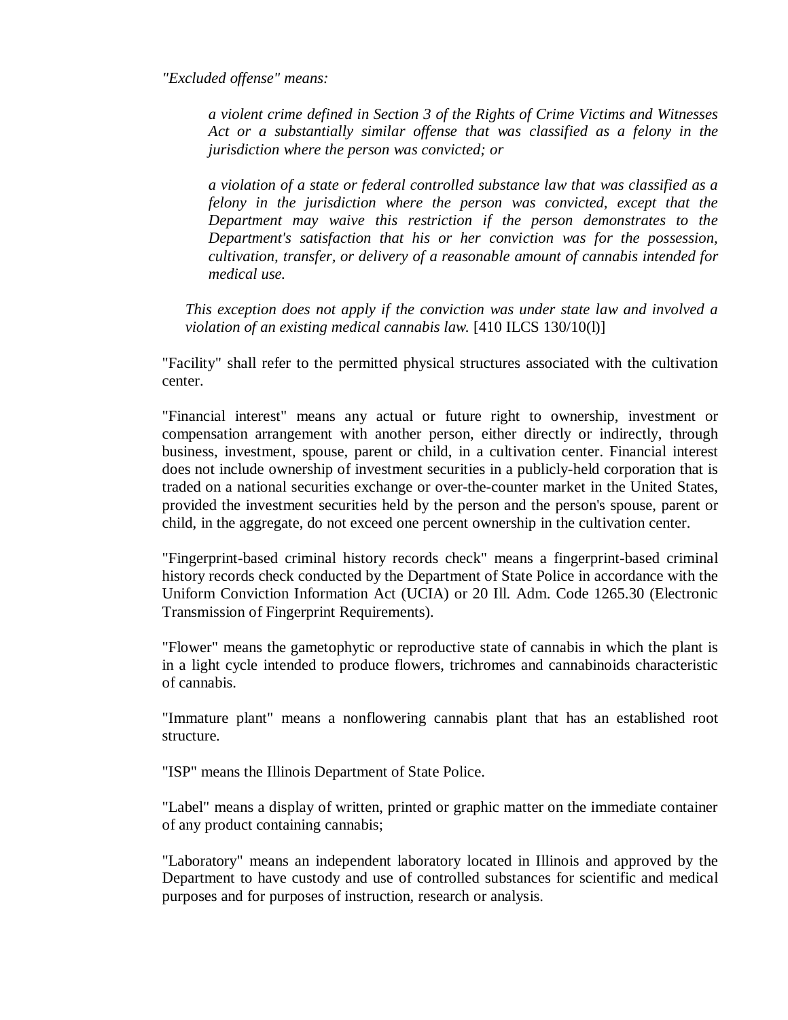*"Excluded offense" means:*

*a violent crime defined in Section 3 of the Rights of Crime Victims and Witnesses Act or a substantially similar offense that was classified as a felony in the jurisdiction where the person was convicted; or*

*a violation of a state or federal controlled substance law that was classified as a felony in the jurisdiction where the person was convicted, except that the Department may waive this restriction if the person demonstrates to the Department's satisfaction that his or her conviction was for the possession, cultivation, transfer, or delivery of a reasonable amount of cannabis intended for medical use.*

*This exception does not apply if the conviction was under state law and involved a violation of an existing medical cannabis law.* [410 ILCS 130/10(l)]

"Facility" shall refer to the permitted physical structures associated with the cultivation center.

"Financial interest" means any actual or future right to ownership, investment or compensation arrangement with another person, either directly or indirectly, through business, investment, spouse, parent or child, in a cultivation center. Financial interest does not include ownership of investment securities in a publicly-held corporation that is traded on a national securities exchange or over-the-counter market in the United States, provided the investment securities held by the person and the person's spouse, parent or child, in the aggregate, do not exceed one percent ownership in the cultivation center.

"Fingerprint-based criminal history records check" means a fingerprint-based criminal history records check conducted by the Department of State Police in accordance with the Uniform Conviction Information Act (UCIA) or 20 Ill. Adm. Code 1265.30 (Electronic Transmission of Fingerprint Requirements).

"Flower" means the gametophytic or reproductive state of cannabis in which the plant is in a light cycle intended to produce flowers, trichromes and cannabinoids characteristic of cannabis.

"Immature plant" means a nonflowering cannabis plant that has an established root structure.

"ISP" means the Illinois Department of State Police.

"Label" means a display of written, printed or graphic matter on the immediate container of any product containing cannabis;

"Laboratory" means an independent laboratory located in Illinois and approved by the Department to have custody and use of controlled substances for scientific and medical purposes and for purposes of instruction, research or analysis.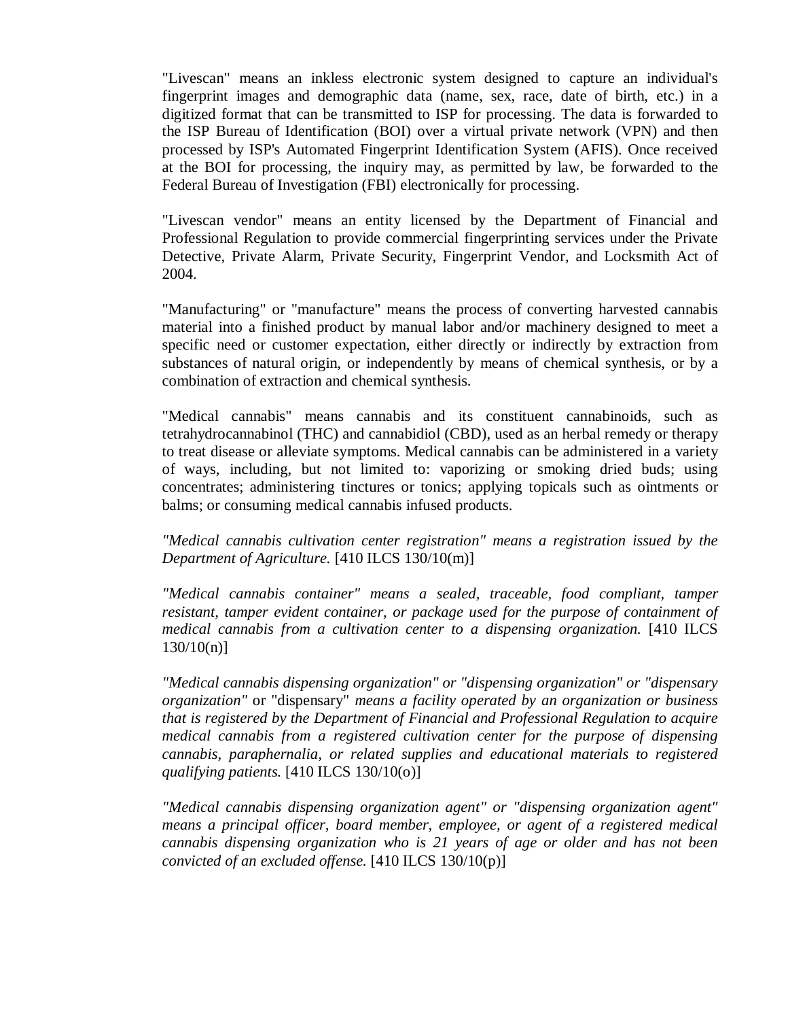"Livescan" means an inkless electronic system designed to capture an individual's fingerprint images and demographic data (name, sex, race, date of birth, etc.) in a digitized format that can be transmitted to ISP for processing. The data is forwarded to the ISP Bureau of Identification (BOI) over a virtual private network (VPN) and then processed by ISP's Automated Fingerprint Identification System (AFIS). Once received at the BOI for processing, the inquiry may, as permitted by law, be forwarded to the Federal Bureau of Investigation (FBI) electronically for processing.

"Livescan vendor" means an entity licensed by the Department of Financial and Professional Regulation to provide commercial fingerprinting services under the Private Detective, Private Alarm, Private Security, Fingerprint Vendor, and Locksmith Act of 2004.

"Manufacturing" or "manufacture" means the process of converting harvested cannabis material into a finished product by manual labor and/or machinery designed to meet a specific need or customer expectation, either directly or indirectly by extraction from substances of natural origin, or independently by means of chemical synthesis, or by a combination of extraction and chemical synthesis.

"Medical cannabis" means cannabis and its constituent cannabinoids, such as tetrahydrocannabinol (THC) and cannabidiol (CBD), used as an herbal remedy or therapy to treat disease or alleviate symptoms. Medical cannabis can be administered in a variety of ways, including, but not limited to: vaporizing or smoking dried buds; using concentrates; administering tinctures or tonics; applying topicals such as ointments or balms; or consuming medical cannabis infused products.

*"Medical cannabis cultivation center registration" means a registration issued by the Department of Agriculture.* [410 ILCS 130/10(m)]

*"Medical cannabis container" means a sealed, traceable, food compliant, tamper resistant, tamper evident container, or package used for the purpose of containment of medical cannabis from a cultivation center to a dispensing organization.* [410 ILCS  $130/10(n)$ ]

*"Medical cannabis dispensing organization" or "dispensing organization" or "dispensary organization"* or "dispensary" *means a facility operated by an organization or business that is registered by the Department of Financial and Professional Regulation to acquire medical cannabis from a registered cultivation center for the purpose of dispensing cannabis, paraphernalia, or related supplies and educational materials to registered qualifying patients.* [410 ILCS 130/10(o)]

*"Medical cannabis dispensing organization agent" or "dispensing organization agent" means a principal officer, board member, employee, or agent of a registered medical cannabis dispensing organization who is 21 years of age or older and has not been convicted of an excluded offense.* [410 ILCS 130/10(p)]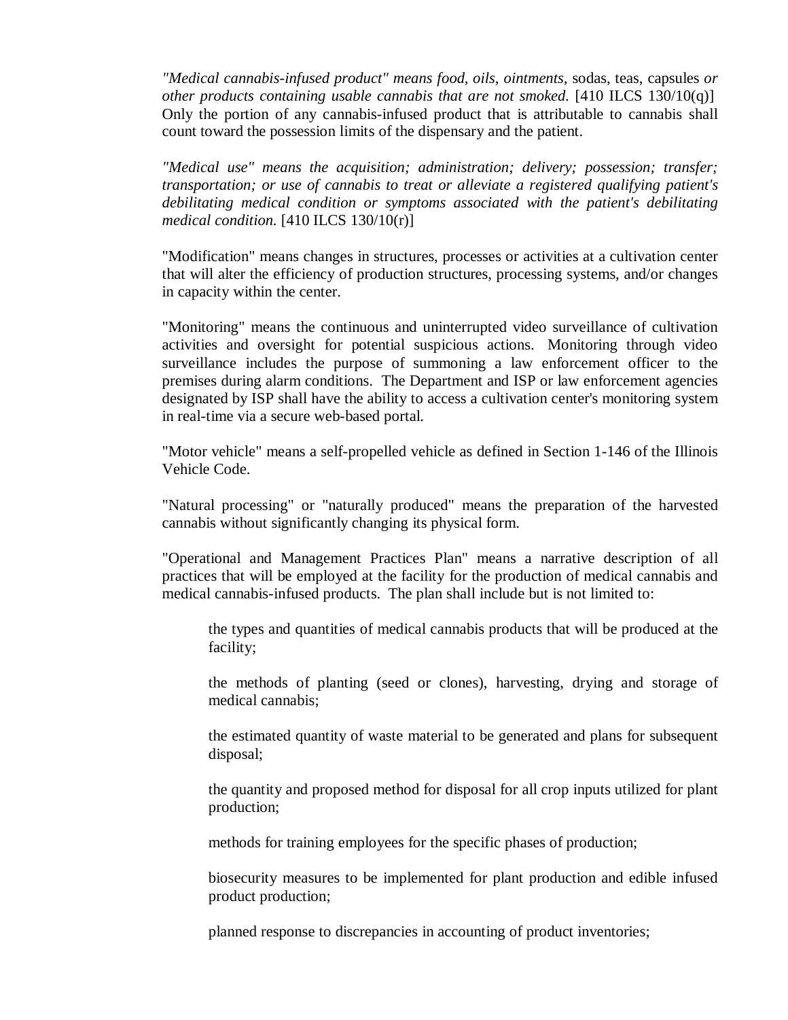*"Medical cannabis-infused product" means food, oils, ointments,* sodas, teas, capsules *or other products containing usable cannabis that are not smoked.* [410 ILCS 130/10(q)] Only the portion of any cannabis-infused product that is attributable to cannabis shall count toward the possession limits of the dispensary and the patient.

*"Medical use" means the acquisition; administration; delivery; possession; transfer; transportation; or use of cannabis to treat or alleviate a registered qualifying patient's debilitating medical condition or symptoms associated with the patient's debilitating medical condition.* [410 ILCS 130/10(r)]

"Modification" means changes in structures, processes or activities at a cultivation center that will alter the efficiency of production structures, processing systems, and/or changes in capacity within the center.

"Monitoring" means the continuous and uninterrupted video surveillance of cultivation activities and oversight for potential suspicious actions. Monitoring through video surveillance includes the purpose of summoning a law enforcement officer to the premises during alarm conditions. The Department and ISP or law enforcement agencies designated by ISP shall have the ability to access a cultivation center's monitoring system in real-time via a secure web-based portal.

"Motor vehicle" means a self-propelled vehicle as defined in Section 1-146 of the Illinois Vehicle Code.

"Natural processing" or "naturally produced" means the preparation of the harvested cannabis without significantly changing its physical form.

"Operational and Management Practices Plan" means a narrative description of all practices that will be employed at the facility for the production of medical cannabis and medical cannabis-infused products. The plan shall include but is not limited to:

the types and quantities of medical cannabis products that will be produced at the facility;

the methods of planting (seed or clones), harvesting, drying and storage of medical cannabis;

the estimated quantity of waste material to be generated and plans for subsequent disposal;

the quantity and proposed method for disposal for all crop inputs utilized for plant production;

methods for training employees for the specific phases of production;

biosecurity measures to be implemented for plant production and edible infused product production;

planned response to discrepancies in accounting of product inventories;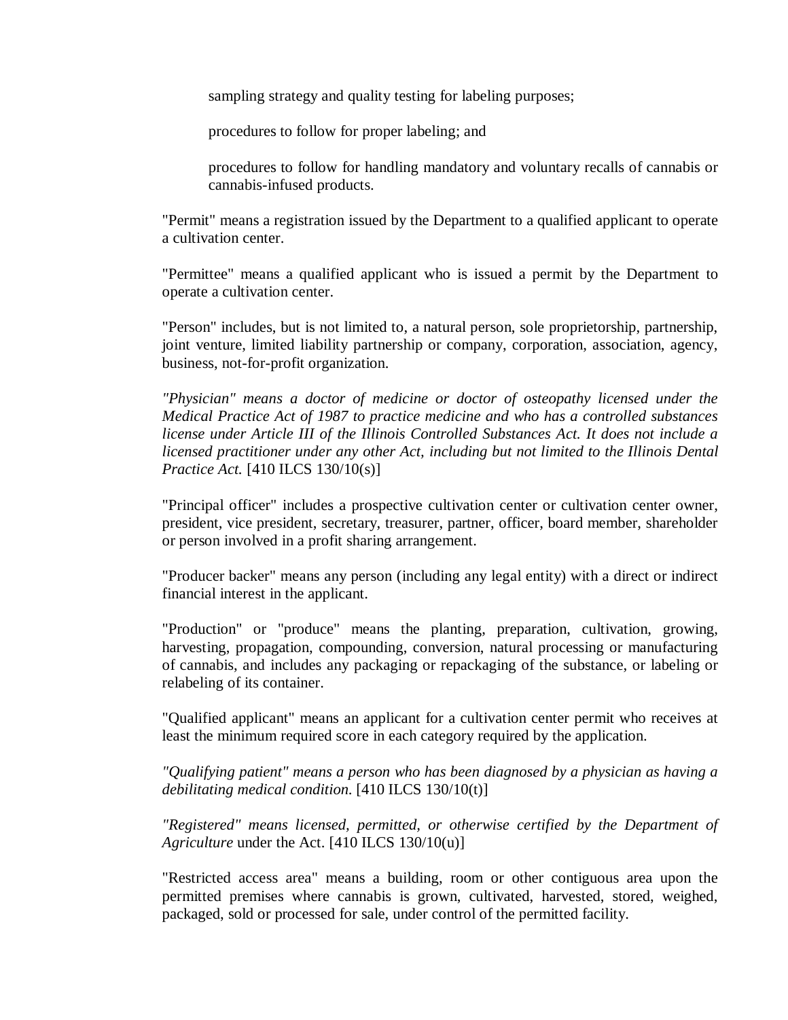sampling strategy and quality testing for labeling purposes;

procedures to follow for proper labeling; and

procedures to follow for handling mandatory and voluntary recalls of cannabis or cannabis-infused products.

"Permit" means a registration issued by the Department to a qualified applicant to operate a cultivation center.

"Permittee" means a qualified applicant who is issued a permit by the Department to operate a cultivation center.

"Person" includes, but is not limited to, a natural person, sole proprietorship, partnership, joint venture, limited liability partnership or company, corporation, association, agency, business, not-for-profit organization.

*"Physician" means a doctor of medicine or doctor of osteopathy licensed under the Medical Practice Act of 1987 to practice medicine and who has a controlled substances license under Article III of the Illinois Controlled Substances Act. It does not include a licensed practitioner under any other Act, including but not limited to the Illinois Dental Practice Act.* [410 ILCS 130/10(s)]

"Principal officer" includes a prospective cultivation center or cultivation center owner, president, vice president, secretary, treasurer, partner, officer, board member, shareholder or person involved in a profit sharing arrangement.

"Producer backer" means any person (including any legal entity) with a direct or indirect financial interest in the applicant.

"Production" or "produce" means the planting, preparation, cultivation, growing, harvesting, propagation, compounding, conversion, natural processing or manufacturing of cannabis, and includes any packaging or repackaging of the substance, or labeling or relabeling of its container.

"Qualified applicant" means an applicant for a cultivation center permit who receives at least the minimum required score in each category required by the application.

*"Qualifying patient" means a person who has been diagnosed by a physician as having a debilitating medical condition*. [410 ILCS 130/10(t)]

*"Registered" means licensed, permitted, or otherwise certified by the Department of Agriculture* under the Act. [410 ILCS 130/10(u)]

"Restricted access area" means a building, room or other contiguous area upon the permitted premises where cannabis is grown, cultivated, harvested, stored, weighed, packaged, sold or processed for sale, under control of the permitted facility.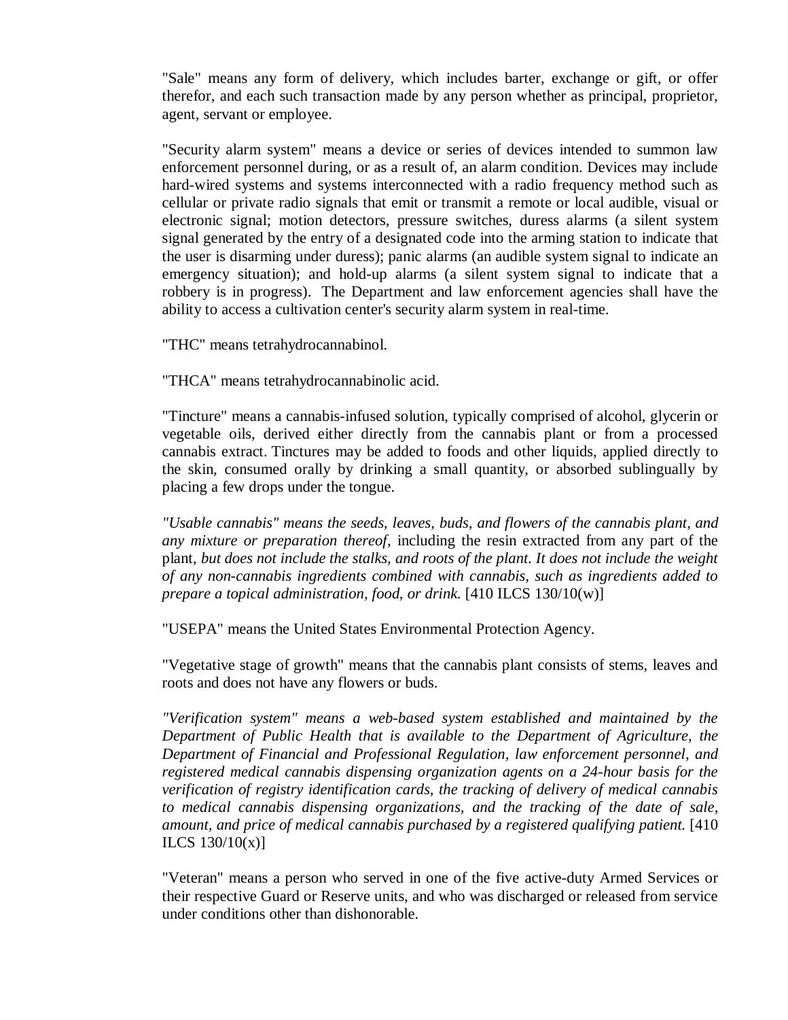"Sale" means any form of delivery, which includes barter, exchange or gift, or offer therefor, and each such transaction made by any person whether as principal, proprietor, agent, servant or employee.

"Security alarm system" means a device or series of devices intended to summon law enforcement personnel during, or as a result of, an alarm condition. Devices may include hard-wired systems and systems interconnected with a radio frequency method such as cellular or private radio signals that emit or transmit a remote or local audible, visual or electronic signal; motion detectors, pressure switches, duress alarms (a silent system signal generated by the entry of a designated code into the arming station to indicate that the user is disarming under duress); panic alarms (an audible system signal to indicate an emergency situation); and hold-up alarms (a silent system signal to indicate that a robbery is in progress). The Department and law enforcement agencies shall have the ability to access a cultivation center's security alarm system in real-time.

"THC" means tetrahydrocannabinol.

"THCA" means tetrahydrocannabinolic acid.

"Tincture" means a cannabis-infused solution, typically comprised of alcohol, glycerin or vegetable oils, derived either directly from the cannabis plant or from a processed cannabis extract. Tinctures may be added to foods and other liquids, applied directly to the skin, consumed orally by drinking a small quantity, or absorbed sublingually by placing a few drops under the tongue.

*"Usable cannabis" means the seeds, leaves, buds, and flowers of the cannabis plant, and any mixture or preparation thereof,* including the resin extracted from any part of the plant, *but does not include the stalks, and roots of the plant. It does not include the weight of any non-cannabis ingredients combined with cannabis, such as ingredients added to prepare a topical administration, food, or drink.* [410 ILCS 130/10(w)]

"USEPA" means the United States Environmental Protection Agency.

"Vegetative stage of growth" means that the cannabis plant consists of stems, leaves and roots and does not have any flowers or buds.

*"Verification system" means a web-based system established and maintained by the Department of Public Health that is available to the Department of Agriculture, the Department of Financial and Professional Regulation, law enforcement personnel, and registered medical cannabis dispensing organization agents on a 24-hour basis for the verification of registry identification cards, the tracking of delivery of medical cannabis to medical cannabis dispensing organizations, and the tracking of the date of sale, amount, and price of medical cannabis purchased by a registered qualifying patient.* [410 ILCS  $130/10(x)$ ]

"Veteran" means a person who served in one of the five active-duty Armed Services or their respective Guard or Reserve units, and who was discharged or released from service under conditions other than dishonorable.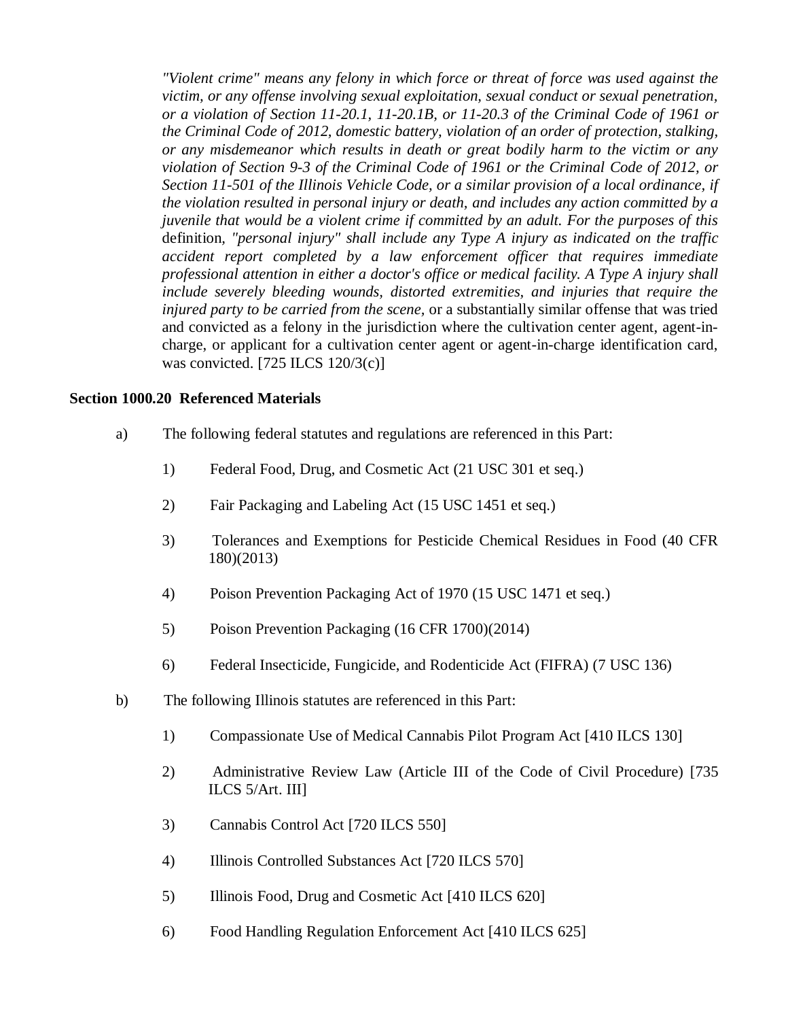*"Violent crime" means any felony in which force or threat of force was used against the victim, or any offense involving sexual exploitation, sexual conduct or sexual penetration, or a violation of Section 11-20.1, 11-20.1B, or 11-20.3 of the Criminal Code of 1961 or the Criminal Code of 2012, domestic battery, violation of an order of protection, stalking, or any misdemeanor which results in death or great bodily harm to the victim or any violation of Section 9-3 of the Criminal Code of 1961 or the Criminal Code of 2012, or Section 11-501 of the Illinois Vehicle Code, or a similar provision of a local ordinance, if the violation resulted in personal injury or death, and includes any action committed by a juvenile that would be a violent crime if committed by an adult. For the purposes of this* definition*, "personal injury" shall include any Type A injury as indicated on the traffic accident report completed by a law enforcement officer that requires immediate professional attention in either a doctor's office or medical facility. A Type A injury shall include severely bleeding wounds, distorted extremities, and injuries that require the injured party to be carried from the scene,* or a substantially similar offense that was tried and convicted as a felony in the jurisdiction where the cultivation center agent, agent-incharge, or applicant for a cultivation center agent or agent-in-charge identification card, was convicted. [725 ILCS 120/3(c)]

#### **Section 1000.20 Referenced Materials**

- a) The following federal statutes and regulations are referenced in this Part:
	- 1) Federal Food, Drug, and Cosmetic Act (21 USC 301 et seq.)
	- 2) Fair Packaging and Labeling Act (15 USC 1451 et seq.)
	- 3) Tolerances and Exemptions for Pesticide Chemical Residues in Food (40 CFR 180)(2013)
	- 4) Poison Prevention Packaging Act of 1970 (15 USC 1471 et seq.)
	- 5) Poison Prevention Packaging (16 CFR 1700)(2014)
	- 6) Federal Insecticide, Fungicide, and Rodenticide Act (FIFRA) (7 USC 136)
- b) The following Illinois statutes are referenced in this Part:
	- 1) Compassionate Use of Medical Cannabis Pilot Program Act [410 ILCS 130]
	- 2) Administrative Review Law (Article III of the Code of Civil Procedure) [735 ILCS 5/Art. III]
	- 3) Cannabis Control Act [720 ILCS 550]
	- 4) Illinois Controlled Substances Act [720 ILCS 570]
	- 5) Illinois Food, Drug and Cosmetic Act [410 ILCS 620]
	- 6) Food Handling Regulation Enforcement Act [410 ILCS 625]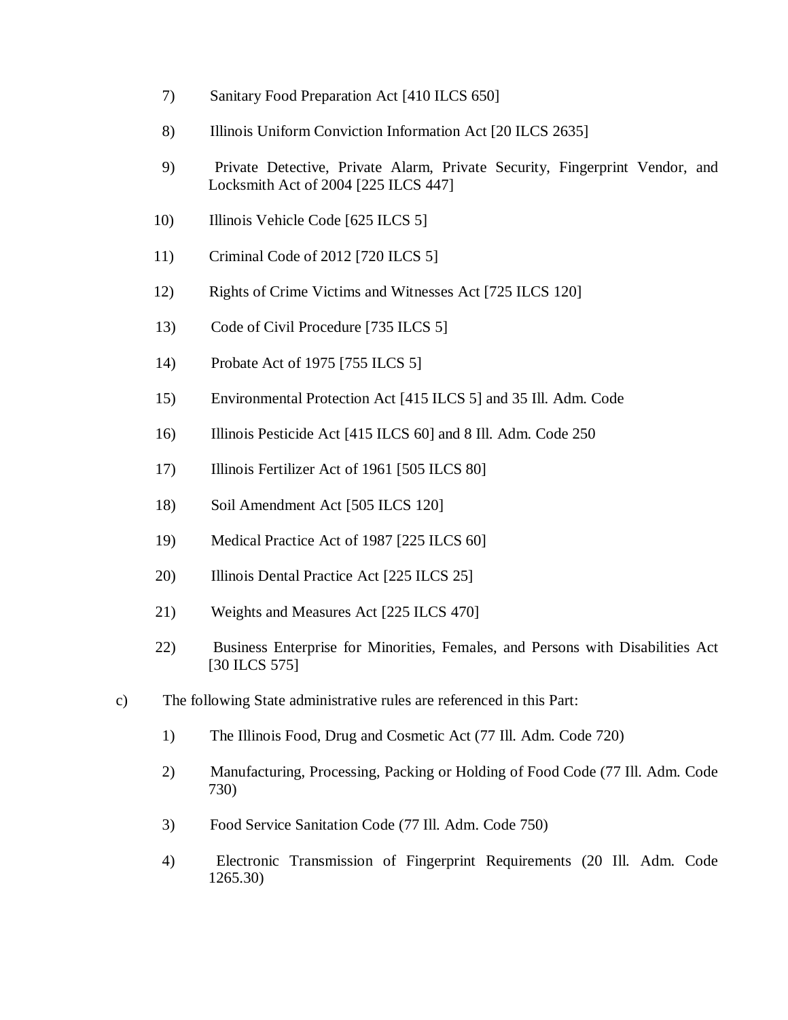- 7) Sanitary Food Preparation Act [410 ILCS 650]
- 8) Illinois Uniform Conviction Information Act [20 ILCS 2635]
- 9) Private Detective, Private Alarm, Private Security, Fingerprint Vendor, and Locksmith Act of 2004 [225 ILCS 447]
- 10) Illinois Vehicle Code [625 ILCS 5]
- 11) Criminal Code of 2012 [720 ILCS 5]
- 12) Rights of Crime Victims and Witnesses Act [725 ILCS 120]
- 13) Code of Civil Procedure [735 ILCS 5]
- 14) Probate Act of 1975 [755 ILCS 5]
- 15) Environmental Protection Act [415 ILCS 5] and 35 Ill. Adm. Code
- 16) Illinois Pesticide Act [415 ILCS 60] and 8 Ill. Adm. Code 250
- 17) Illinois Fertilizer Act of 1961 [505 ILCS 80]
- 18) Soil Amendment Act [505 ILCS 120]
- 19) Medical Practice Act of 1987 [225 ILCS 60]
- 20) Illinois Dental Practice Act [225 ILCS 25]
- 21) Weights and Measures Act [225 ILCS 470]
- 22) Business Enterprise for Minorities, Females, and Persons with Disabilities Act [30 ILCS 575]
- c) The following State administrative rules are referenced in this Part:
	- 1) The Illinois Food, Drug and Cosmetic Act (77 Ill. Adm. Code 720)
	- 2) Manufacturing, Processing, Packing or Holding of Food Code (77 Ill. Adm. Code 730)
	- 3) Food Service Sanitation Code (77 Ill. Adm. Code 750)
	- 4) Electronic Transmission of Fingerprint Requirements (20 Ill. Adm. Code 1265.30)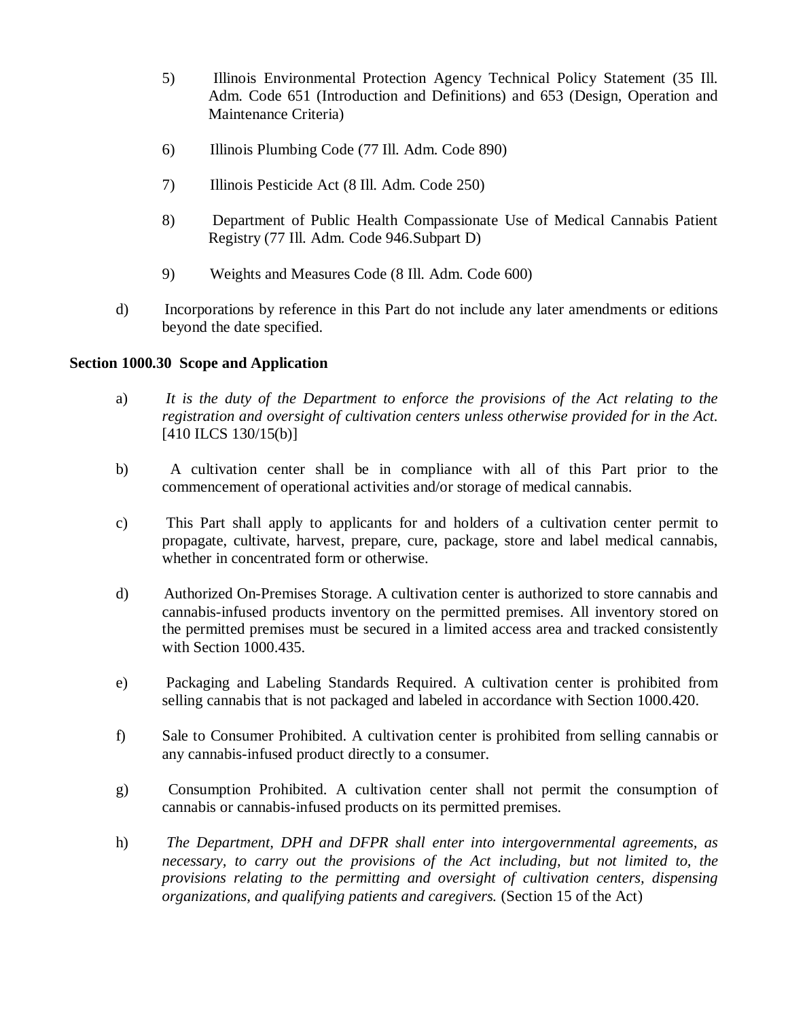- 5) Illinois Environmental Protection Agency Technical Policy Statement (35 Ill. Adm. Code 651 (Introduction and Definitions) and 653 (Design, Operation and Maintenance Criteria)
- 6) Illinois Plumbing Code (77 Ill. Adm. Code 890)
- 7) Illinois Pesticide Act (8 Ill. Adm. Code 250)
- 8) Department of Public Health Compassionate Use of Medical Cannabis Patient Registry (77 Ill. Adm. Code 946.Subpart D)
- 9) Weights and Measures Code (8 Ill. Adm. Code 600)
- d) Incorporations by reference in this Part do not include any later amendments or editions beyond the date specified.

### **Section 1000.30 Scope and Application**

- a) *It is the duty of the Department to enforce the provisions of the Act relating to the registration and oversight of cultivation centers unless otherwise provided for in the Act.* [410 ILCS 130/15(b)]
- b) A cultivation center shall be in compliance with all of this Part prior to the commencement of operational activities and/or storage of medical cannabis.
- c) This Part shall apply to applicants for and holders of a cultivation center permit to propagate, cultivate, harvest, prepare, cure, package, store and label medical cannabis, whether in concentrated form or otherwise.
- d) Authorized On-Premises Storage. A cultivation center is authorized to store cannabis and cannabis-infused products inventory on the permitted premises. All inventory stored on the permitted premises must be secured in a limited access area and tracked consistently with Section 1000.435.
- e) Packaging and Labeling Standards Required. A cultivation center is prohibited from selling cannabis that is not packaged and labeled in accordance with Section 1000.420.
- f) Sale to Consumer Prohibited. A cultivation center is prohibited from selling cannabis or any cannabis-infused product directly to a consumer.
- g) Consumption Prohibited. A cultivation center shall not permit the consumption of cannabis or cannabis-infused products on its permitted premises.
- h) *The Department, DPH and DFPR shall enter into intergovernmental agreements, as necessary, to carry out the provisions of the Act including, but not limited to, the provisions relating to the permitting and oversight of cultivation centers, dispensing organizations, and qualifying patients and caregivers.* (Section 15 of the Act)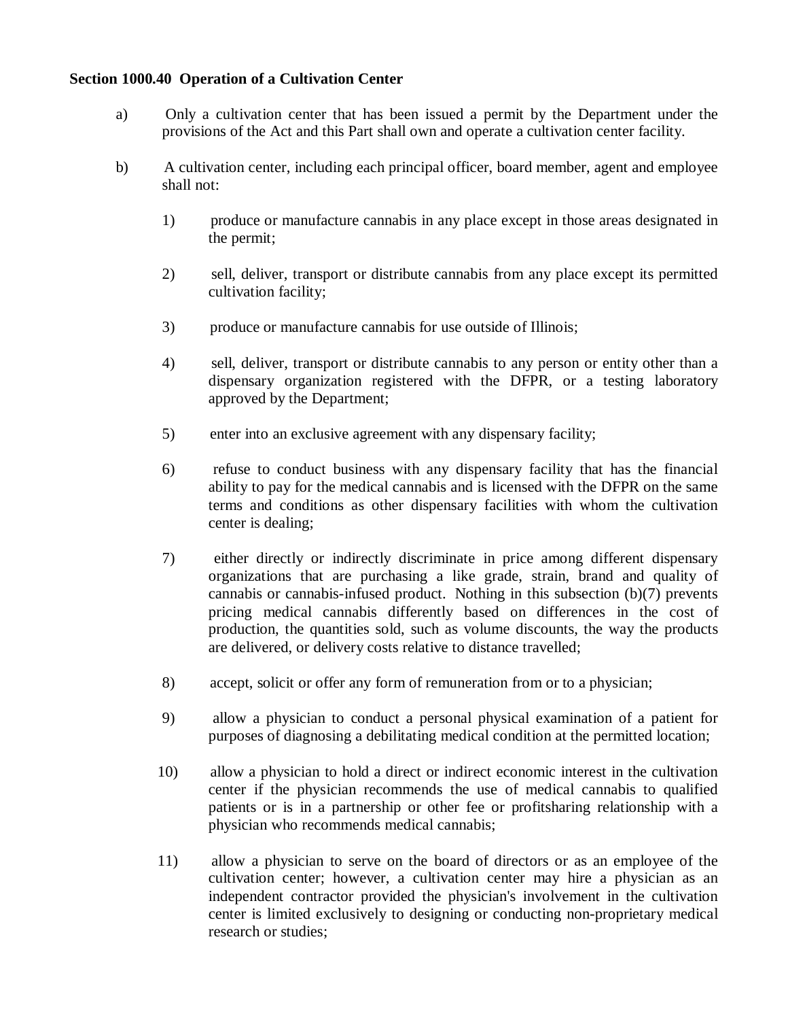### **Section 1000.40 Operation of a Cultivation Center**

- a) Only a cultivation center that has been issued a permit by the Department under the provisions of the Act and this Part shall own and operate a cultivation center facility.
- b) A cultivation center, including each principal officer, board member, agent and employee shall not:
	- 1) produce or manufacture cannabis in any place except in those areas designated in the permit;
	- 2) sell, deliver, transport or distribute cannabis from any place except its permitted cultivation facility;
	- 3) produce or manufacture cannabis for use outside of Illinois;
	- 4) sell, deliver, transport or distribute cannabis to any person or entity other than a dispensary organization registered with the DFPR, or a testing laboratory approved by the Department;
	- 5) enter into an exclusive agreement with any dispensary facility;
	- 6) refuse to conduct business with any dispensary facility that has the financial ability to pay for the medical cannabis and is licensed with the DFPR on the same terms and conditions as other dispensary facilities with whom the cultivation center is dealing;
	- 7) either directly or indirectly discriminate in price among different dispensary organizations that are purchasing a like grade, strain, brand and quality of cannabis or cannabis-infused product. Nothing in this subsection (b)(7) prevents pricing medical cannabis differently based on differences in the cost of production, the quantities sold, such as volume discounts, the way the products are delivered, or delivery costs relative to distance travelled;
	- 8) accept, solicit or offer any form of remuneration from or to a physician;
	- 9) allow a physician to conduct a personal physical examination of a patient for purposes of diagnosing a debilitating medical condition at the permitted location;
	- 10) allow a physician to hold a direct or indirect economic interest in the cultivation center if the physician recommends the use of medical cannabis to qualified patients or is in a partnership or other fee or profitsharing relationship with a physician who recommends medical cannabis;
	- 11) allow a physician to serve on the board of directors or as an employee of the cultivation center; however, a cultivation center may hire a physician as an independent contractor provided the physician's involvement in the cultivation center is limited exclusively to designing or conducting non-proprietary medical research or studies;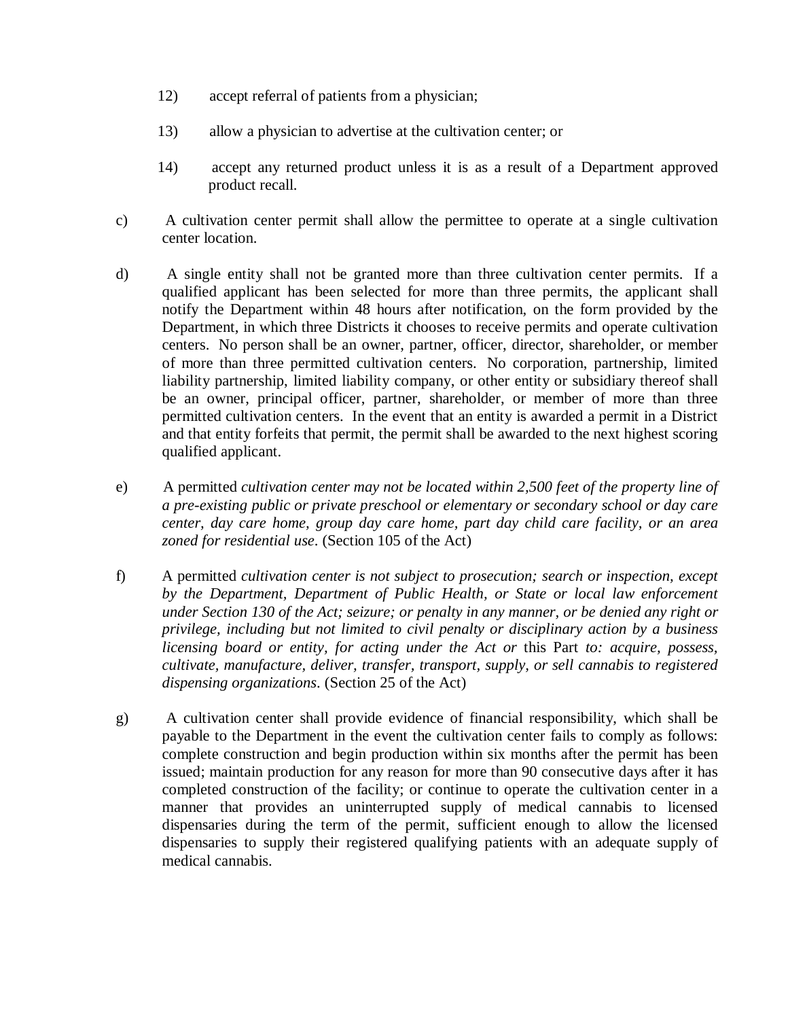- 12) accept referral of patients from a physician;
- 13) allow a physician to advertise at the cultivation center; or
- 14) accept any returned product unless it is as a result of a Department approved product recall.
- c) A cultivation center permit shall allow the permittee to operate at a single cultivation center location.
- d) A single entity shall not be granted more than three cultivation center permits. If a qualified applicant has been selected for more than three permits, the applicant shall notify the Department within 48 hours after notification, on the form provided by the Department, in which three Districts it chooses to receive permits and operate cultivation centers. No person shall be an owner, partner, officer, director, shareholder, or member of more than three permitted cultivation centers. No corporation, partnership, limited liability partnership, limited liability company, or other entity or subsidiary thereof shall be an owner, principal officer, partner, shareholder, or member of more than three permitted cultivation centers. In the event that an entity is awarded a permit in a District and that entity forfeits that permit, the permit shall be awarded to the next highest scoring qualified applicant.
- e) A permitted *cultivation center may not be located within 2,500 feet of the property line of a pre-existing public or private preschool or elementary or secondary school or day care center, day care home, group day care home, part day child care facility, or an area zoned for residential use*. (Section 105 of the Act)
- f) A permitted *cultivation center is not subject to prosecution; search or inspection, except by the Department, Department of Public Health, or State or local law enforcement under Section 130 of the Act; seizure; or penalty in any manner, or be denied any right or privilege, including but not limited to civil penalty or disciplinary action by a business licensing board or entity, for acting under the Act or* this Part *to: acquire, possess, cultivate, manufacture, deliver, transfer, transport, supply, or sell cannabis to registered dispensing organizations*. (Section 25 of the Act)
- g) A cultivation center shall provide evidence of financial responsibility, which shall be payable to the Department in the event the cultivation center fails to comply as follows: complete construction and begin production within six months after the permit has been issued; maintain production for any reason for more than 90 consecutive days after it has completed construction of the facility; or continue to operate the cultivation center in a manner that provides an uninterrupted supply of medical cannabis to licensed dispensaries during the term of the permit, sufficient enough to allow the licensed dispensaries to supply their registered qualifying patients with an adequate supply of medical cannabis.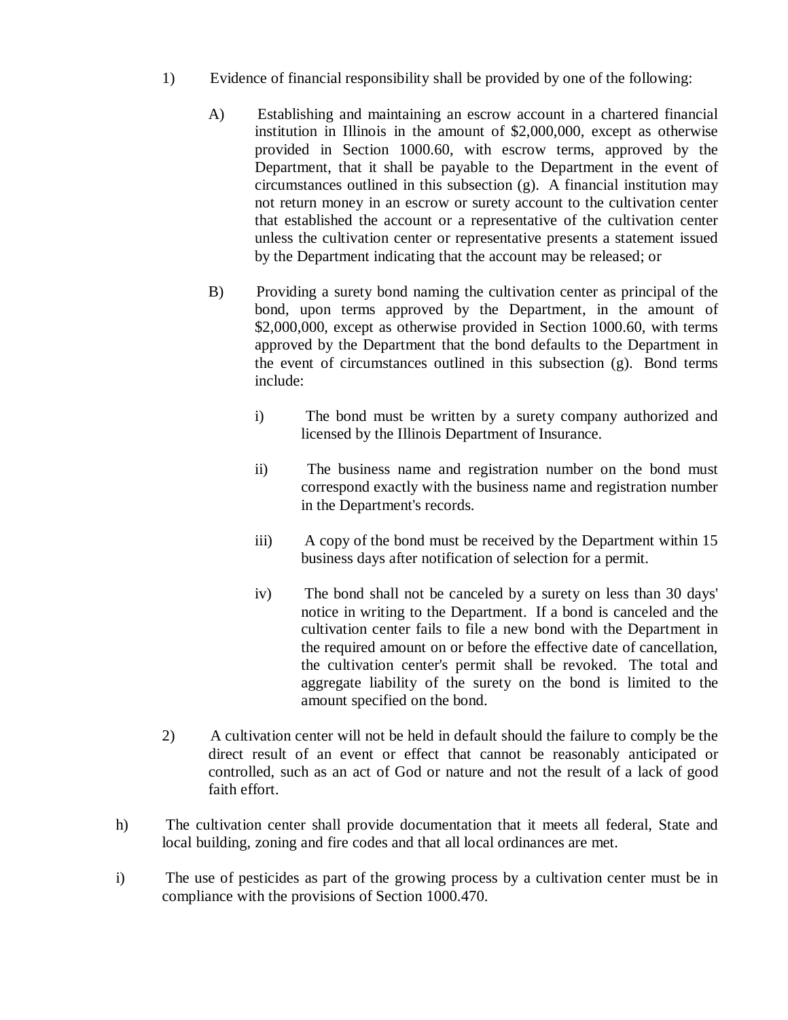- 1) Evidence of financial responsibility shall be provided by one of the following:
	- A) Establishing and maintaining an escrow account in a chartered financial institution in Illinois in the amount of \$2,000,000, except as otherwise provided in Section 1000.60, with escrow terms, approved by the Department, that it shall be payable to the Department in the event of circumstances outlined in this subsection (g). A financial institution may not return money in an escrow or surety account to the cultivation center that established the account or a representative of the cultivation center unless the cultivation center or representative presents a statement issued by the Department indicating that the account may be released; or
	- B) Providing a surety bond naming the cultivation center as principal of the bond, upon terms approved by the Department, in the amount of \$2,000,000, except as otherwise provided in Section 1000.60, with terms approved by the Department that the bond defaults to the Department in the event of circumstances outlined in this subsection (g). Bond terms include:
		- i) The bond must be written by a surety company authorized and licensed by the Illinois Department of Insurance.
		- ii) The business name and registration number on the bond must correspond exactly with the business name and registration number in the Department's records.
		- iii) A copy of the bond must be received by the Department within 15 business days after notification of selection for a permit.
		- iv) The bond shall not be canceled by a surety on less than 30 days' notice in writing to the Department. If a bond is canceled and the cultivation center fails to file a new bond with the Department in the required amount on or before the effective date of cancellation, the cultivation center's permit shall be revoked. The total and aggregate liability of the surety on the bond is limited to the amount specified on the bond.
- 2) A cultivation center will not be held in default should the failure to comply be the direct result of an event or effect that cannot be reasonably anticipated or controlled, such as an act of God or nature and not the result of a lack of good faith effort.
- h) The cultivation center shall provide documentation that it meets all federal, State and local building, zoning and fire codes and that all local ordinances are met.
- i) The use of pesticides as part of the growing process by a cultivation center must be in compliance with the provisions of Section 1000.470.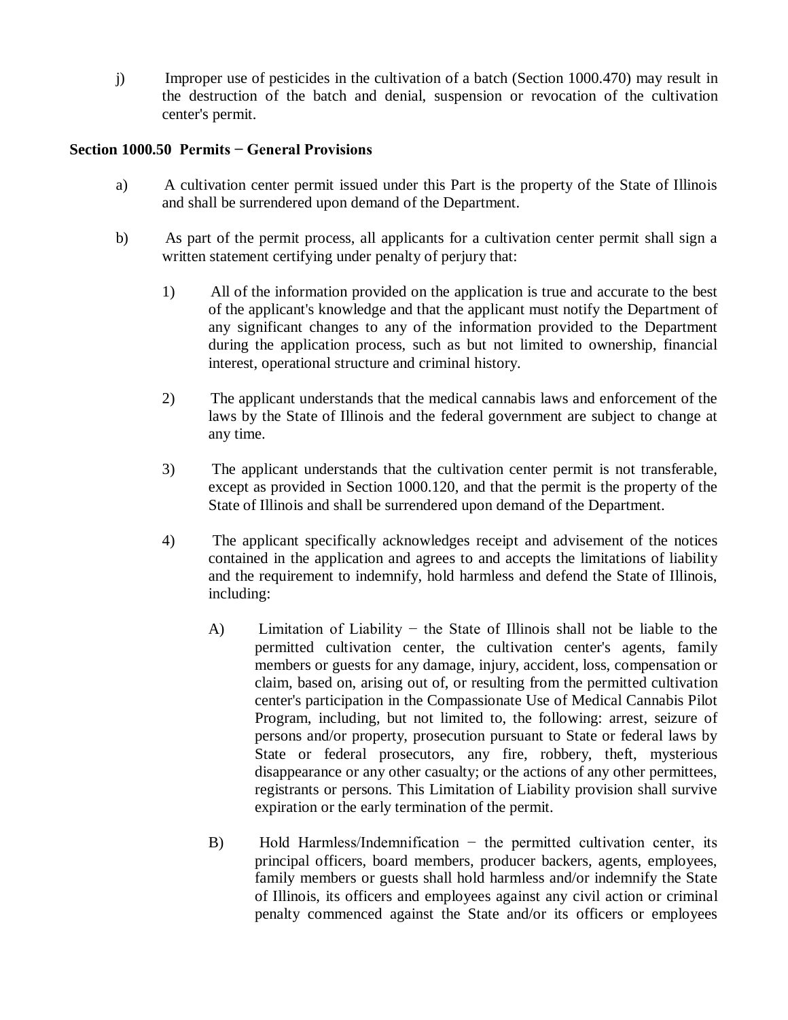j) Improper use of pesticides in the cultivation of a batch (Section 1000.470) may result in the destruction of the batch and denial, suspension or revocation of the cultivation center's permit.

## **Section 1000.50 Permits − General Provisions**

- a) A cultivation center permit issued under this Part is the property of the State of Illinois and shall be surrendered upon demand of the Department.
- b) As part of the permit process, all applicants for a cultivation center permit shall sign a written statement certifying under penalty of perjury that:
	- 1) All of the information provided on the application is true and accurate to the best of the applicant's knowledge and that the applicant must notify the Department of any significant changes to any of the information provided to the Department during the application process, such as but not limited to ownership, financial interest, operational structure and criminal history.
	- 2) The applicant understands that the medical cannabis laws and enforcement of the laws by the State of Illinois and the federal government are subject to change at any time.
	- 3) The applicant understands that the cultivation center permit is not transferable, except as provided in Section 1000.120, and that the permit is the property of the State of Illinois and shall be surrendered upon demand of the Department.
	- 4) The applicant specifically acknowledges receipt and advisement of the notices contained in the application and agrees to and accepts the limitations of liability and the requirement to indemnify, hold harmless and defend the State of Illinois, including:
		- A) Limitation of Liability − the State of Illinois shall not be liable to the permitted cultivation center, the cultivation center's agents, family members or guests for any damage, injury, accident, loss, compensation or claim, based on, arising out of, or resulting from the permitted cultivation center's participation in the Compassionate Use of Medical Cannabis Pilot Program, including, but not limited to, the following: arrest, seizure of persons and/or property, prosecution pursuant to State or federal laws by State or federal prosecutors, any fire, robbery, theft, mysterious disappearance or any other casualty; or the actions of any other permittees, registrants or persons. This Limitation of Liability provision shall survive expiration or the early termination of the permit.
		- B) Hold Harmless/Indemnification − the permitted cultivation center, its principal officers, board members, producer backers, agents, employees, family members or guests shall hold harmless and/or indemnify the State of Illinois, its officers and employees against any civil action or criminal penalty commenced against the State and/or its officers or employees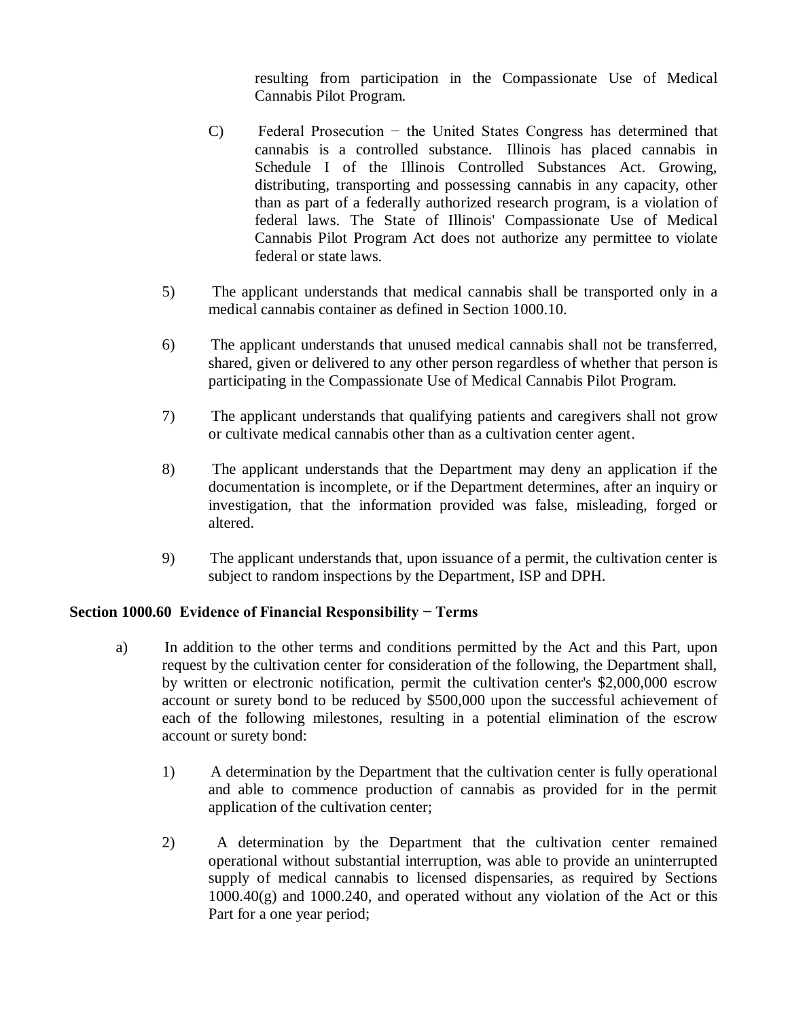resulting from participation in the Compassionate Use of Medical Cannabis Pilot Program.

- C) Federal Prosecution − the United States Congress has determined that cannabis is a controlled substance. Illinois has placed cannabis in Schedule I of the Illinois Controlled Substances Act. Growing, distributing, transporting and possessing cannabis in any capacity, other than as part of a federally authorized research program, is a violation of federal laws. The State of Illinois' Compassionate Use of Medical Cannabis Pilot Program Act does not authorize any permittee to violate federal or state laws.
- 5) The applicant understands that medical cannabis shall be transported only in a medical cannabis container as defined in Section 1000.10.
- 6) The applicant understands that unused medical cannabis shall not be transferred, shared, given or delivered to any other person regardless of whether that person is participating in the Compassionate Use of Medical Cannabis Pilot Program.
- 7) The applicant understands that qualifying patients and caregivers shall not grow or cultivate medical cannabis other than as a cultivation center agent.
- 8) The applicant understands that the Department may deny an application if the documentation is incomplete, or if the Department determines, after an inquiry or investigation, that the information provided was false, misleading, forged or altered.
- 9) The applicant understands that, upon issuance of a permit, the cultivation center is subject to random inspections by the Department, ISP and DPH.

# **Section 1000.60 Evidence of Financial Responsibility − Terms**

- a) In addition to the other terms and conditions permitted by the Act and this Part, upon request by the cultivation center for consideration of the following, the Department shall, by written or electronic notification, permit the cultivation center's \$2,000,000 escrow account or surety bond to be reduced by \$500,000 upon the successful achievement of each of the following milestones, resulting in a potential elimination of the escrow account or surety bond:
	- 1) A determination by the Department that the cultivation center is fully operational and able to commence production of cannabis as provided for in the permit application of the cultivation center;
	- 2) A determination by the Department that the cultivation center remained operational without substantial interruption, was able to provide an uninterrupted supply of medical cannabis to licensed dispensaries, as required by Sections  $1000.40(g)$  and  $1000.240$ , and operated without any violation of the Act or this Part for a one year period;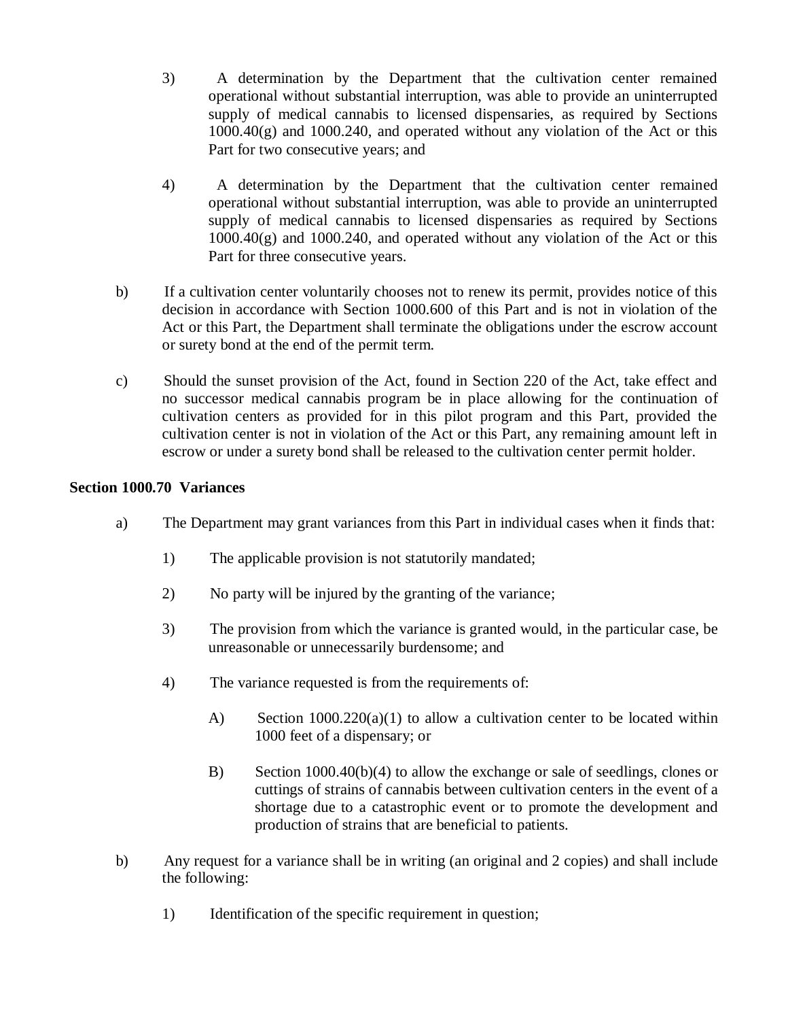- 3) A determination by the Department that the cultivation center remained operational without substantial interruption, was able to provide an uninterrupted supply of medical cannabis to licensed dispensaries, as required by Sections  $1000.40(g)$  and  $1000.240$ , and operated without any violation of the Act or this Part for two consecutive years; and
- 4) A determination by the Department that the cultivation center remained operational without substantial interruption, was able to provide an uninterrupted supply of medical cannabis to licensed dispensaries as required by Sections 1000.40(g) and 1000.240, and operated without any violation of the Act or this Part for three consecutive years.
- b) If a cultivation center voluntarily chooses not to renew its permit, provides notice of this decision in accordance with Section 1000.600 of this Part and is not in violation of the Act or this Part, the Department shall terminate the obligations under the escrow account or surety bond at the end of the permit term.
- c) Should the sunset provision of the Act, found in Section 220 of the Act, take effect and no successor medical cannabis program be in place allowing for the continuation of cultivation centers as provided for in this pilot program and this Part, provided the cultivation center is not in violation of the Act or this Part, any remaining amount left in escrow or under a surety bond shall be released to the cultivation center permit holder.

## **Section 1000.70 Variances**

- a) The Department may grant variances from this Part in individual cases when it finds that:
	- 1) The applicable provision is not statutorily mandated;
	- 2) No party will be injured by the granting of the variance;
	- 3) The provision from which the variance is granted would, in the particular case, be unreasonable or unnecessarily burdensome; and
	- 4) The variance requested is from the requirements of:
		- A) Section  $1000.220(a)(1)$  to allow a cultivation center to be located within 1000 feet of a dispensary; or
		- B) Section 1000.40(b)(4) to allow the exchange or sale of seedlings, clones or cuttings of strains of cannabis between cultivation centers in the event of a shortage due to a catastrophic event or to promote the development and production of strains that are beneficial to patients.
- b) Any request for a variance shall be in writing (an original and 2 copies) and shall include the following:
	- 1) Identification of the specific requirement in question;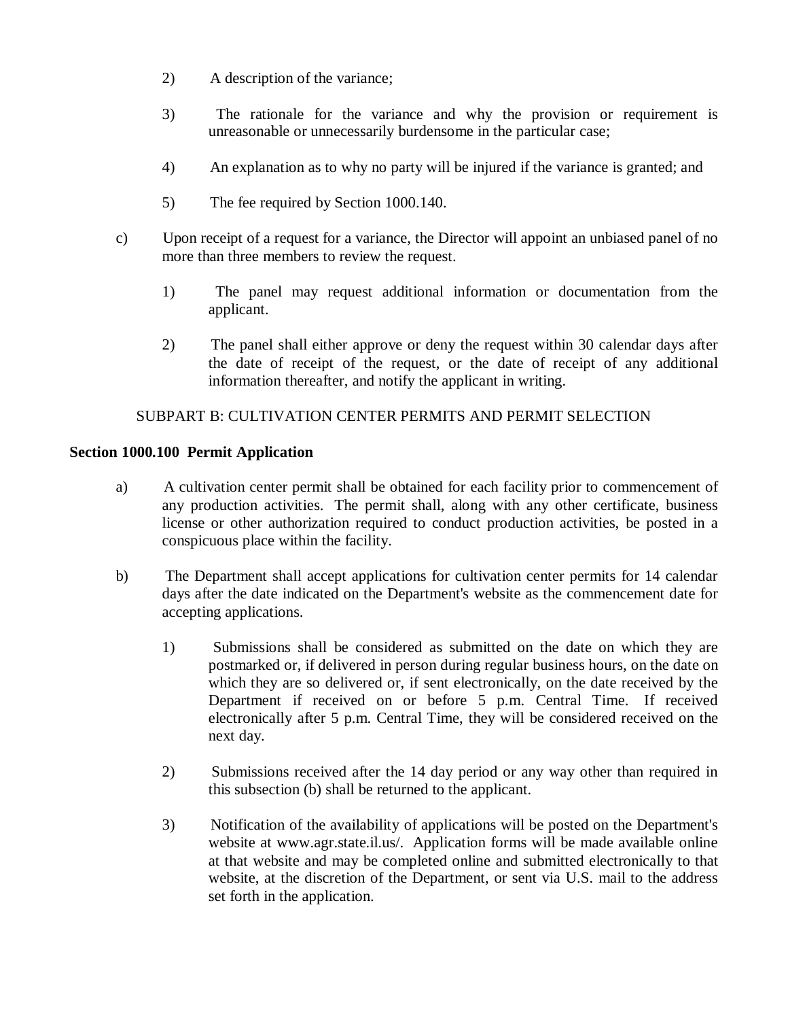- 2) A description of the variance;
- 3) The rationale for the variance and why the provision or requirement is unreasonable or unnecessarily burdensome in the particular case;
- 4) An explanation as to why no party will be injured if the variance is granted; and
- 5) The fee required by Section 1000.140.
- c) Upon receipt of a request for a variance, the Director will appoint an unbiased panel of no more than three members to review the request.
	- 1) The panel may request additional information or documentation from the applicant.
	- 2) The panel shall either approve or deny the request within 30 calendar days after the date of receipt of the request, or the date of receipt of any additional information thereafter, and notify the applicant in writing.

# SUBPART B: CULTIVATION CENTER PERMITS AND PERMIT SELECTION

# **Section 1000.100 Permit Application**

- a) A cultivation center permit shall be obtained for each facility prior to commencement of any production activities. The permit shall, along with any other certificate, business license or other authorization required to conduct production activities, be posted in a conspicuous place within the facility.
- b) The Department shall accept applications for cultivation center permits for 14 calendar days after the date indicated on the Department's website as the commencement date for accepting applications.
	- 1) Submissions shall be considered as submitted on the date on which they are postmarked or, if delivered in person during regular business hours, on the date on which they are so delivered or, if sent electronically, on the date received by the Department if received on or before 5 p.m. Central Time. If received electronically after 5 p.m. Central Time, they will be considered received on the next day.
	- 2) Submissions received after the 14 day period or any way other than required in this subsection (b) shall be returned to the applicant.
	- 3) Notification of the availability of applications will be posted on the Department's website at www.agr.state.il.us/. Application forms will be made available online at that website and may be completed online and submitted electronically to that website, at the discretion of the Department, or sent via U.S. mail to the address set forth in the application.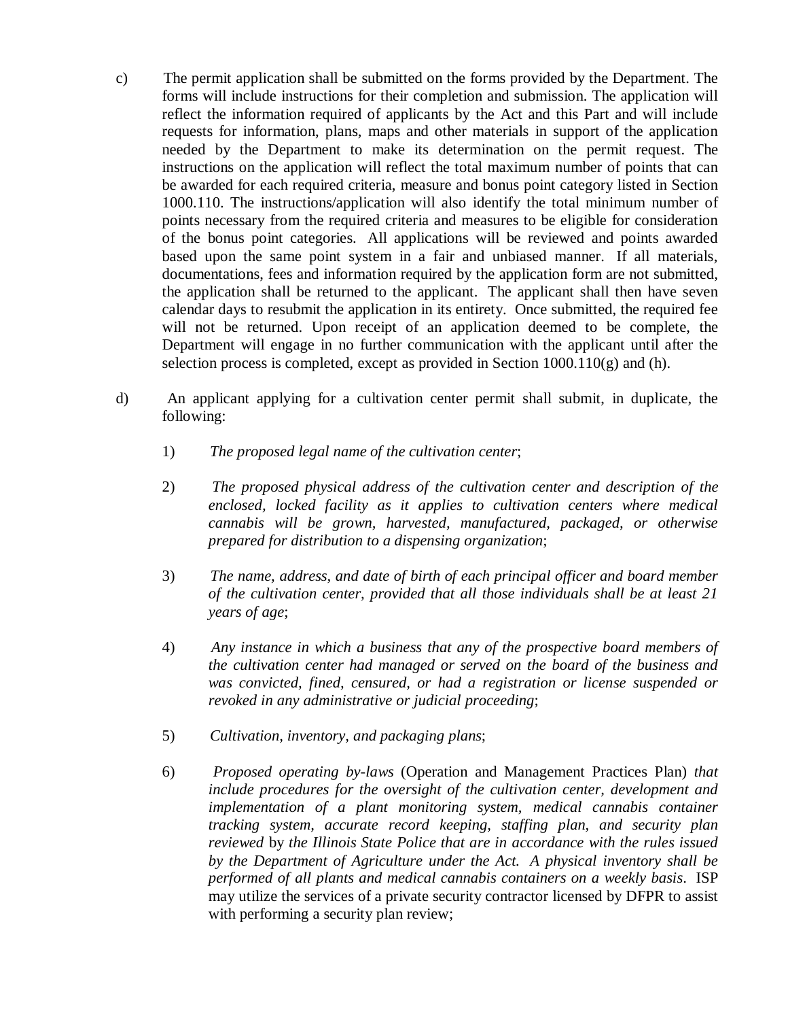- c) The permit application shall be submitted on the forms provided by the Department. The forms will include instructions for their completion and submission. The application will reflect the information required of applicants by the Act and this Part and will include requests for information, plans, maps and other materials in support of the application needed by the Department to make its determination on the permit request. The instructions on the application will reflect the total maximum number of points that can be awarded for each required criteria, measure and bonus point category listed in Section 1000.110. The instructions/application will also identify the total minimum number of points necessary from the required criteria and measures to be eligible for consideration of the bonus point categories. All applications will be reviewed and points awarded based upon the same point system in a fair and unbiased manner. If all materials, documentations, fees and information required by the application form are not submitted, the application shall be returned to the applicant. The applicant shall then have seven calendar days to resubmit the application in its entirety. Once submitted, the required fee will not be returned. Upon receipt of an application deemed to be complete, the Department will engage in no further communication with the applicant until after the selection process is completed, except as provided in Section  $1000.110(g)$  and (h).
- d) An applicant applying for a cultivation center permit shall submit, in duplicate, the following:
	- 1) *The proposed legal name of the cultivation center*;
	- 2) *The proposed physical address of the cultivation center and description of the enclosed, locked facility as it applies to cultivation centers where medical cannabis will be grown, harvested, manufactured, packaged, or otherwise prepared for distribution to a dispensing organization*;
	- 3) *The name, address, and date of birth of each principal officer and board member of the cultivation center, provided that all those individuals shall be at least 21 years of age*;
	- 4) *Any instance in which a business that any of the prospective board members of the cultivation center had managed or served on the board of the business and was convicted, fined, censured, or had a registration or license suspended or revoked in any administrative or judicial proceeding*;
	- 5) *Cultivation, inventory, and packaging plans*;
	- 6) *Proposed operating by-laws* (Operation and Management Practices Plan) *that include procedures for the oversight of the cultivation center, development and implementation of a plant monitoring system, medical cannabis container tracking system, accurate record keeping, staffing plan, and security plan reviewed* by *the Illinois State Police that are in accordance with the rules issued by the Department of Agriculture under the Act. A physical inventory shall be performed of all plants and medical cannabis containers on a weekly basis*. ISP may utilize the services of a private security contractor licensed by DFPR to assist with performing a security plan review;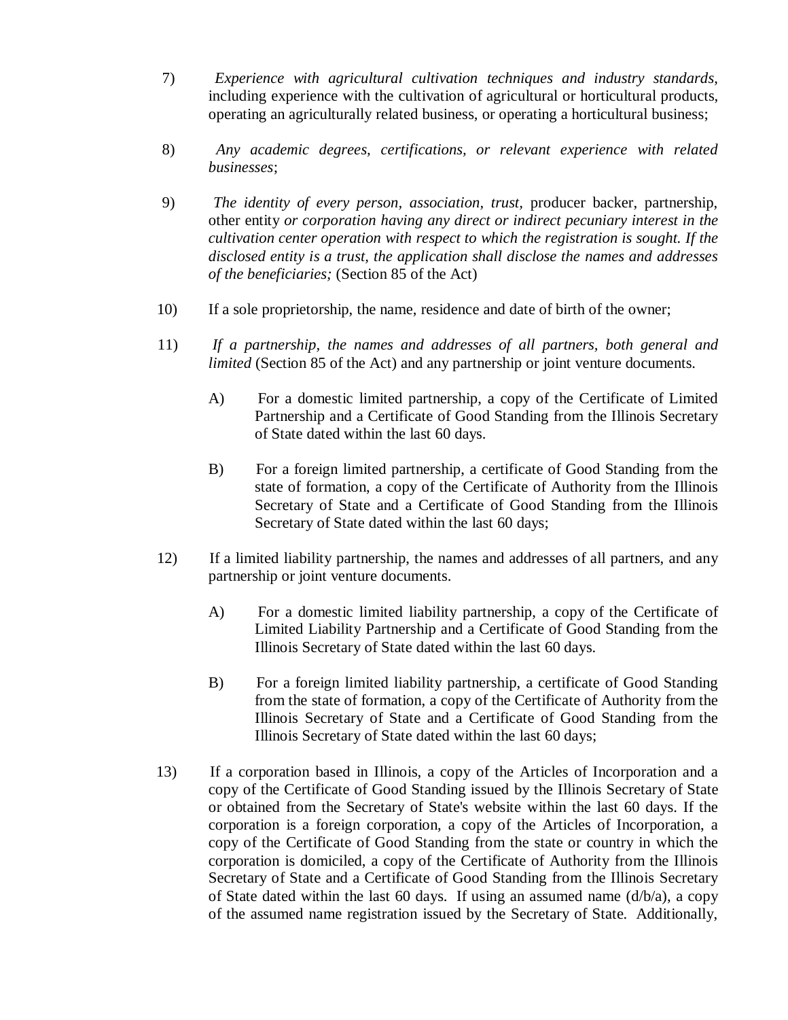- 7) *Experience with agricultural cultivation techniques and industry standards*, including experience with the cultivation of agricultural or horticultural products, operating an agriculturally related business, or operating a horticultural business;
- 8) *Any academic degrees, certifications, or relevant experience with related businesses*;
- 9) *The identity of every person, association, trust,* producer backer, partnership, other entity *or corporation having any direct or indirect pecuniary interest in the cultivation center operation with respect to which the registration is sought. If the disclosed entity is a trust, the application shall disclose the names and addresses of the beneficiaries;* (Section 85 of the Act)
- 10) If a sole proprietorship, the name, residence and date of birth of the owner;
- 11) *If a partnership, the names and addresses of all partners, both general and limited* (Section 85 of the Act) and any partnership or joint venture documents.
	- A) For a domestic limited partnership, a copy of the Certificate of Limited Partnership and a Certificate of Good Standing from the Illinois Secretary of State dated within the last 60 days.
	- B) For a foreign limited partnership, a certificate of Good Standing from the state of formation, a copy of the Certificate of Authority from the Illinois Secretary of State and a Certificate of Good Standing from the Illinois Secretary of State dated within the last 60 days;
- 12) If a limited liability partnership, the names and addresses of all partners, and any partnership or joint venture documents.
	- A) For a domestic limited liability partnership, a copy of the Certificate of Limited Liability Partnership and a Certificate of Good Standing from the Illinois Secretary of State dated within the last 60 days.
	- B) For a foreign limited liability partnership, a certificate of Good Standing from the state of formation, a copy of the Certificate of Authority from the Illinois Secretary of State and a Certificate of Good Standing from the Illinois Secretary of State dated within the last 60 days;
- 13) If a corporation based in Illinois, a copy of the Articles of Incorporation and a copy of the Certificate of Good Standing issued by the Illinois Secretary of State or obtained from the Secretary of State's website within the last 60 days. If the corporation is a foreign corporation, a copy of the Articles of Incorporation, a copy of the Certificate of Good Standing from the state or country in which the corporation is domiciled, a copy of the Certificate of Authority from the Illinois Secretary of State and a Certificate of Good Standing from the Illinois Secretary of State dated within the last 60 days. If using an assumed name  $(d/b/a)$ , a copy of the assumed name registration issued by the Secretary of State. Additionally,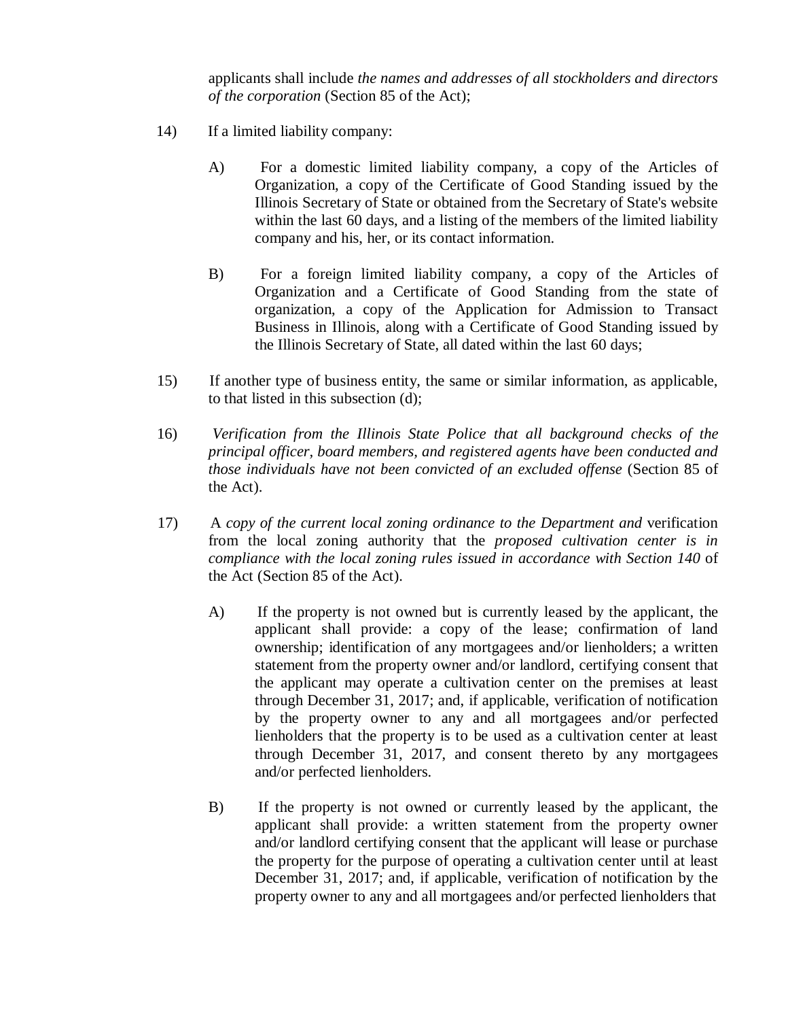applicants shall include *the names and addresses of all stockholders and directors of the corporation* (Section 85 of the Act);

- 14) If a limited liability company:
	- A) For a domestic limited liability company, a copy of the Articles of Organization, a copy of the Certificate of Good Standing issued by the Illinois Secretary of State or obtained from the Secretary of State's website within the last 60 days, and a listing of the members of the limited liability company and his, her, or its contact information.
	- B) For a foreign limited liability company, a copy of the Articles of Organization and a Certificate of Good Standing from the state of organization, a copy of the Application for Admission to Transact Business in Illinois, along with a Certificate of Good Standing issued by the Illinois Secretary of State, all dated within the last 60 days;
- 15) If another type of business entity, the same or similar information, as applicable, to that listed in this subsection (d);
- 16) *Verification from the Illinois State Police that all background checks of the principal officer, board members, and registered agents have been conducted and those individuals have not been convicted of an excluded offense* (Section 85 of the Act).
- 17) A *copy of the current local zoning ordinance to the Department and* verification from the local zoning authority that the *proposed cultivation center is in compliance with the local zoning rules issued in accordance with Section 140* of the Act (Section 85 of the Act).
	- A) If the property is not owned but is currently leased by the applicant, the applicant shall provide: a copy of the lease; confirmation of land ownership; identification of any mortgagees and/or lienholders; a written statement from the property owner and/or landlord, certifying consent that the applicant may operate a cultivation center on the premises at least through December 31, 2017; and, if applicable, verification of notification by the property owner to any and all mortgagees and/or perfected lienholders that the property is to be used as a cultivation center at least through December 31, 2017, and consent thereto by any mortgagees and/or perfected lienholders.
	- B) If the property is not owned or currently leased by the applicant, the applicant shall provide: a written statement from the property owner and/or landlord certifying consent that the applicant will lease or purchase the property for the purpose of operating a cultivation center until at least December 31, 2017; and, if applicable, verification of notification by the property owner to any and all mortgagees and/or perfected lienholders that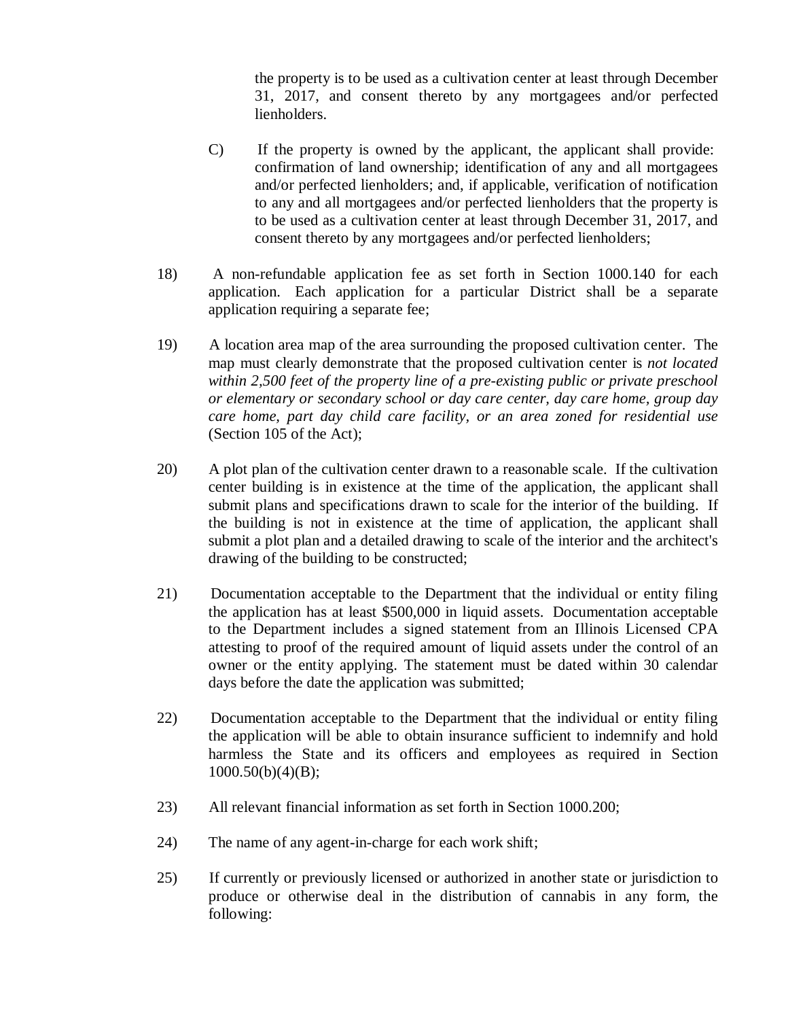the property is to be used as a cultivation center at least through December 31, 2017, and consent thereto by any mortgagees and/or perfected lienholders.

- C) If the property is owned by the applicant, the applicant shall provide: confirmation of land ownership; identification of any and all mortgagees and/or perfected lienholders; and, if applicable, verification of notification to any and all mortgagees and/or perfected lienholders that the property is to be used as a cultivation center at least through December 31, 2017, and consent thereto by any mortgagees and/or perfected lienholders;
- 18) A non-refundable application fee as set forth in Section 1000.140 for each application. Each application for a particular District shall be a separate application requiring a separate fee;
- 19) A location area map of the area surrounding the proposed cultivation center. The map must clearly demonstrate that the proposed cultivation center is *not located within 2,500 feet of the property line of a pre-existing public or private preschool or elementary or secondary school or day care center, day care home, group day care home, part day child care facility, or an area zoned for residential use* (Section 105 of the Act);
- 20) A plot plan of the cultivation center drawn to a reasonable scale. If the cultivation center building is in existence at the time of the application, the applicant shall submit plans and specifications drawn to scale for the interior of the building. If the building is not in existence at the time of application, the applicant shall submit a plot plan and a detailed drawing to scale of the interior and the architect's drawing of the building to be constructed;
- 21) Documentation acceptable to the Department that the individual or entity filing the application has at least \$500,000 in liquid assets. Documentation acceptable to the Department includes a signed statement from an Illinois Licensed CPA attesting to proof of the required amount of liquid assets under the control of an owner or the entity applying. The statement must be dated within 30 calendar days before the date the application was submitted;
- 22) Documentation acceptable to the Department that the individual or entity filing the application will be able to obtain insurance sufficient to indemnify and hold harmless the State and its officers and employees as required in Section  $1000.50(b)(4)(B);$
- 23) All relevant financial information as set forth in Section 1000.200;
- 24) The name of any agent-in-charge for each work shift;
- 25) If currently or previously licensed or authorized in another state or jurisdiction to produce or otherwise deal in the distribution of cannabis in any form, the following: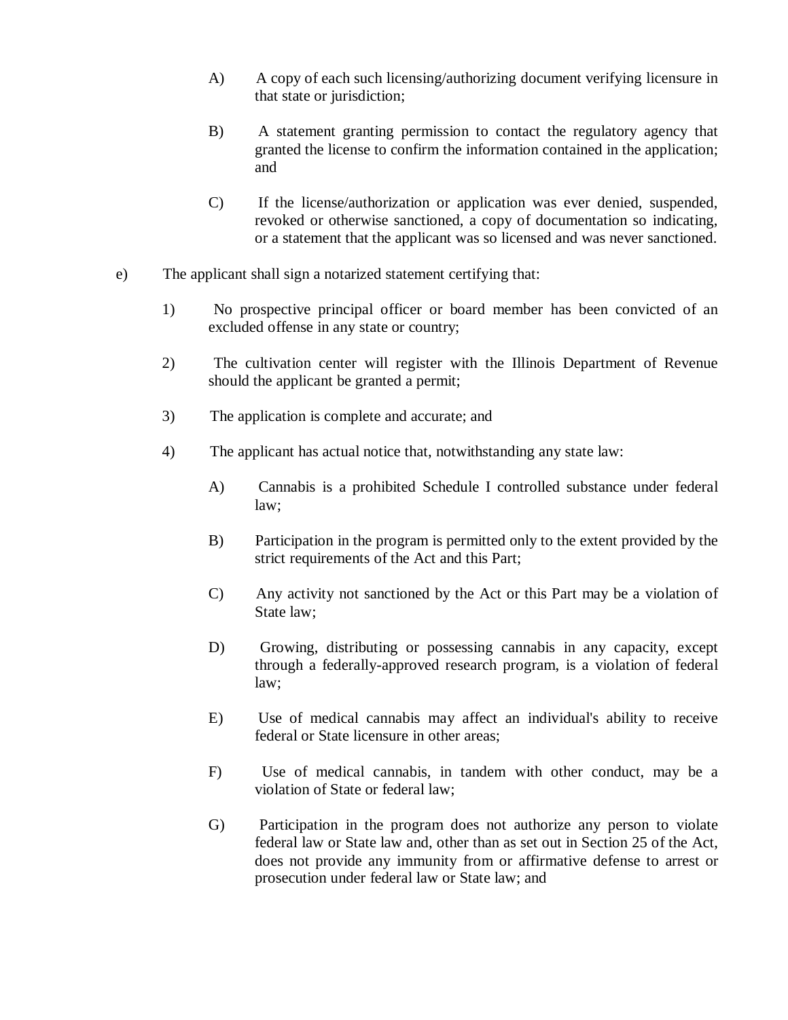- A) A copy of each such licensing/authorizing document verifying licensure in that state or jurisdiction;
- B) A statement granting permission to contact the regulatory agency that granted the license to confirm the information contained in the application; and
- C) If the license/authorization or application was ever denied, suspended, revoked or otherwise sanctioned, a copy of documentation so indicating, or a statement that the applicant was so licensed and was never sanctioned.
- e) The applicant shall sign a notarized statement certifying that:
	- 1) No prospective principal officer or board member has been convicted of an excluded offense in any state or country;
	- 2) The cultivation center will register with the Illinois Department of Revenue should the applicant be granted a permit;
	- 3) The application is complete and accurate; and
	- 4) The applicant has actual notice that, notwithstanding any state law:
		- A) Cannabis is a prohibited Schedule I controlled substance under federal law;
		- B) Participation in the program is permitted only to the extent provided by the strict requirements of the Act and this Part;
		- C) Any activity not sanctioned by the Act or this Part may be a violation of State law;
		- D) Growing, distributing or possessing cannabis in any capacity, except through a federally-approved research program, is a violation of federal law;
		- E) Use of medical cannabis may affect an individual's ability to receive federal or State licensure in other areas;
		- F) Use of medical cannabis, in tandem with other conduct, may be a violation of State or federal law;
		- G) Participation in the program does not authorize any person to violate federal law or State law and, other than as set out in Section 25 of the Act, does not provide any immunity from or affirmative defense to arrest or prosecution under federal law or State law; and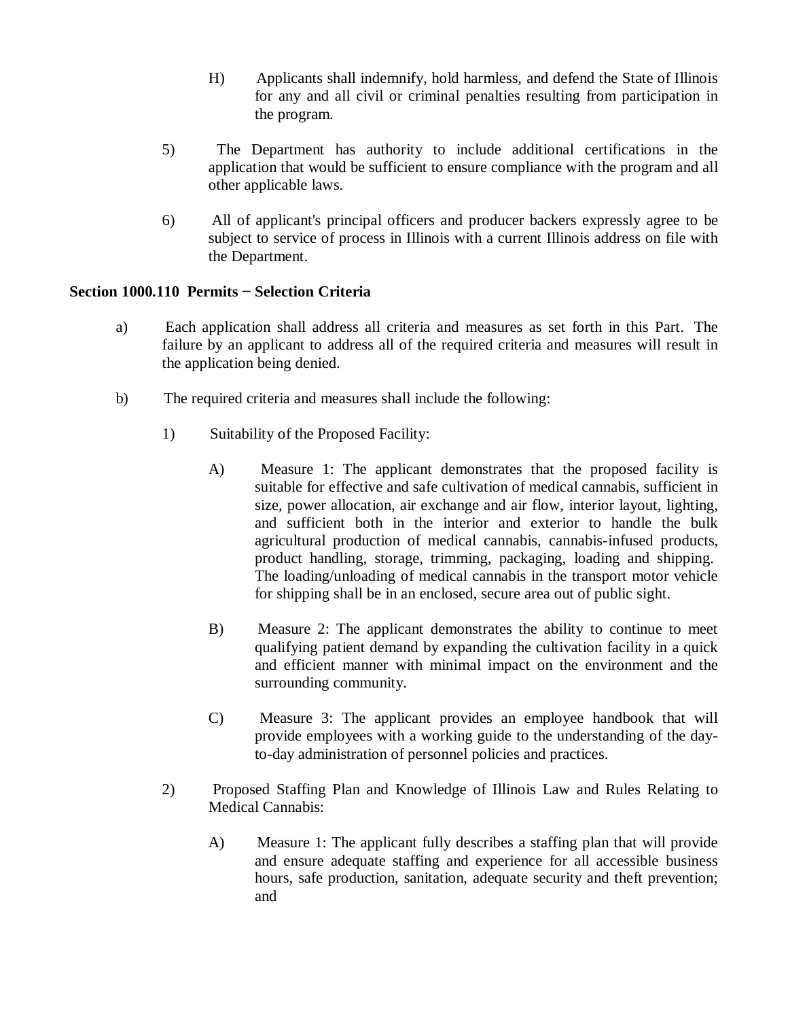- H) Applicants shall indemnify, hold harmless, and defend the State of Illinois for any and all civil or criminal penalties resulting from participation in the program.
- 5) The Department has authority to include additional certifications in the application that would be sufficient to ensure compliance with the program and all other applicable laws.
- 6) All of applicant's principal officers and producer backers expressly agree to be subject to service of process in Illinois with a current Illinois address on file with the Department.

## **Section 1000.110 Permits − Selection Criteria**

- a) Each application shall address all criteria and measures as set forth in this Part. The failure by an applicant to address all of the required criteria and measures will result in the application being denied.
- b) The required criteria and measures shall include the following:
	- 1) Suitability of the Proposed Facility:
		- A) Measure 1: The applicant demonstrates that the proposed facility is suitable for effective and safe cultivation of medical cannabis, sufficient in size, power allocation, air exchange and air flow, interior layout, lighting, and sufficient both in the interior and exterior to handle the bulk agricultural production of medical cannabis, cannabis-infused products, product handling, storage, trimming, packaging, loading and shipping. The loading/unloading of medical cannabis in the transport motor vehicle for shipping shall be in an enclosed, secure area out of public sight.
		- B) Measure 2: The applicant demonstrates the ability to continue to meet qualifying patient demand by expanding the cultivation facility in a quick and efficient manner with minimal impact on the environment and the surrounding community.
		- C) Measure 3: The applicant provides an employee handbook that will provide employees with a working guide to the understanding of the dayto-day administration of personnel policies and practices.
	- 2) Proposed Staffing Plan and Knowledge of Illinois Law and Rules Relating to Medical Cannabis:
		- A) Measure 1: The applicant fully describes a staffing plan that will provide and ensure adequate staffing and experience for all accessible business hours, safe production, sanitation, adequate security and theft prevention; and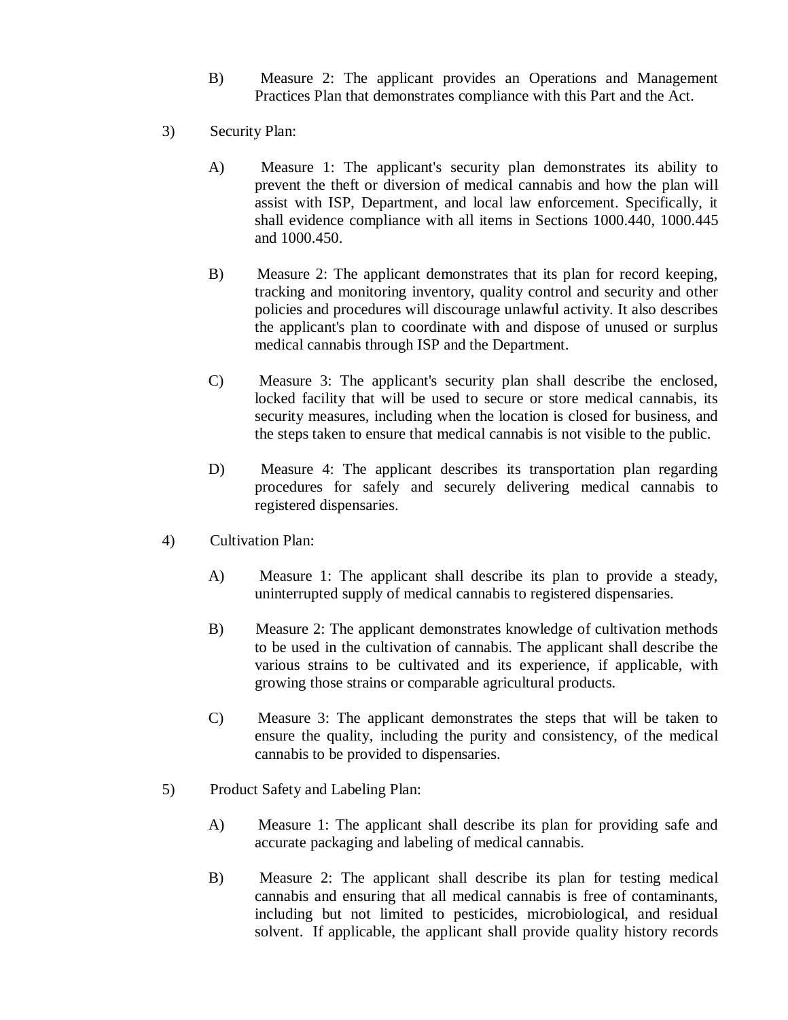- B) Measure 2: The applicant provides an Operations and Management Practices Plan that demonstrates compliance with this Part and the Act.
- 3) Security Plan:
	- A) Measure 1: The applicant's security plan demonstrates its ability to prevent the theft or diversion of medical cannabis and how the plan will assist with ISP, Department, and local law enforcement. Specifically, it shall evidence compliance with all items in Sections 1000.440, 1000.445 and 1000.450.
	- B) Measure 2: The applicant demonstrates that its plan for record keeping, tracking and monitoring inventory, quality control and security and other policies and procedures will discourage unlawful activity. It also describes the applicant's plan to coordinate with and dispose of unused or surplus medical cannabis through ISP and the Department.
	- C) Measure 3: The applicant's security plan shall describe the enclosed, locked facility that will be used to secure or store medical cannabis, its security measures, including when the location is closed for business, and the steps taken to ensure that medical cannabis is not visible to the public.
	- D) Measure 4: The applicant describes its transportation plan regarding procedures for safely and securely delivering medical cannabis to registered dispensaries.
- 4) Cultivation Plan:
	- A) Measure 1: The applicant shall describe its plan to provide a steady, uninterrupted supply of medical cannabis to registered dispensaries.
	- B) Measure 2: The applicant demonstrates knowledge of cultivation methods to be used in the cultivation of cannabis. The applicant shall describe the various strains to be cultivated and its experience, if applicable, with growing those strains or comparable agricultural products.
	- C) Measure 3: The applicant demonstrates the steps that will be taken to ensure the quality, including the purity and consistency, of the medical cannabis to be provided to dispensaries.
- 5) Product Safety and Labeling Plan:
	- A) Measure 1: The applicant shall describe its plan for providing safe and accurate packaging and labeling of medical cannabis.
	- B) Measure 2: The applicant shall describe its plan for testing medical cannabis and ensuring that all medical cannabis is free of contaminants, including but not limited to pesticides, microbiological, and residual solvent. If applicable, the applicant shall provide quality history records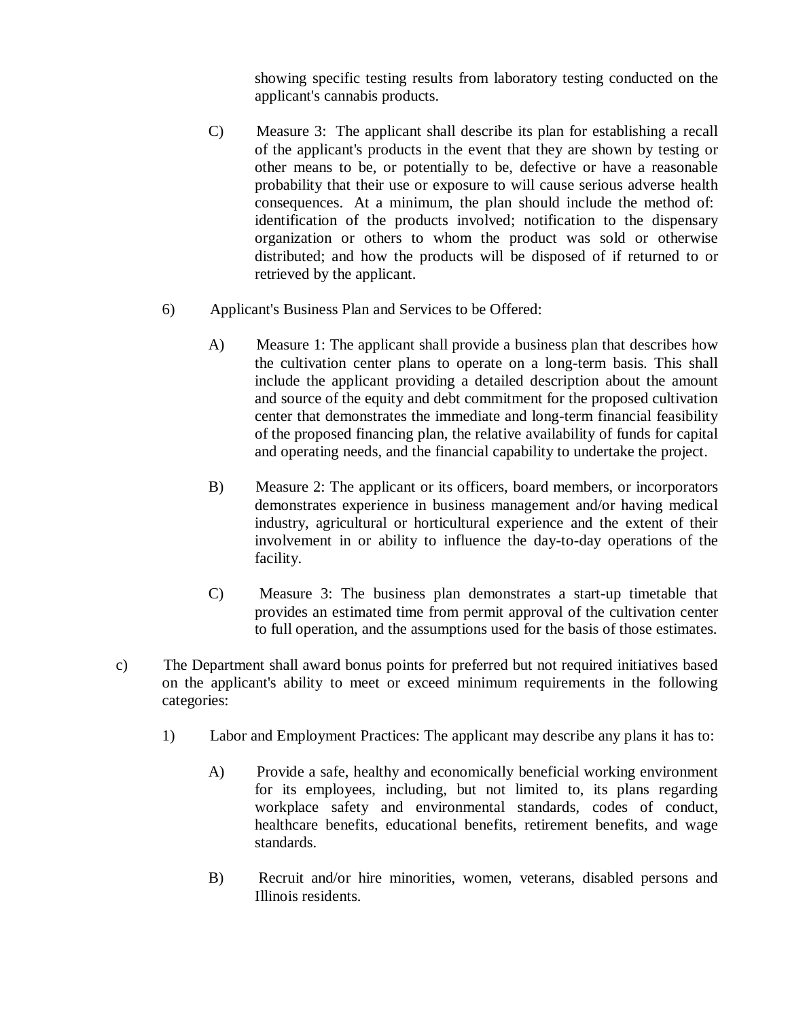showing specific testing results from laboratory testing conducted on the applicant's cannabis products.

- C) Measure 3: The applicant shall describe its plan for establishing a recall of the applicant's products in the event that they are shown by testing or other means to be, or potentially to be, defective or have a reasonable probability that their use or exposure to will cause serious adverse health consequences. At a minimum, the plan should include the method of: identification of the products involved; notification to the dispensary organization or others to whom the product was sold or otherwise distributed; and how the products will be disposed of if returned to or retrieved by the applicant.
- 6) Applicant's Business Plan and Services to be Offered:
	- A) Measure 1: The applicant shall provide a business plan that describes how the cultivation center plans to operate on a long-term basis. This shall include the applicant providing a detailed description about the amount and source of the equity and debt commitment for the proposed cultivation center that demonstrates the immediate and long-term financial feasibility of the proposed financing plan, the relative availability of funds for capital and operating needs, and the financial capability to undertake the project.
	- B) Measure 2: The applicant or its officers, board members, or incorporators demonstrates experience in business management and/or having medical industry, agricultural or horticultural experience and the extent of their involvement in or ability to influence the day-to-day operations of the facility.
	- C) Measure 3: The business plan demonstrates a start-up timetable that provides an estimated time from permit approval of the cultivation center to full operation, and the assumptions used for the basis of those estimates.
- c) The Department shall award bonus points for preferred but not required initiatives based on the applicant's ability to meet or exceed minimum requirements in the following categories:
	- 1) Labor and Employment Practices: The applicant may describe any plans it has to:
		- A) Provide a safe, healthy and economically beneficial working environment for its employees, including, but not limited to, its plans regarding workplace safety and environmental standards, codes of conduct, healthcare benefits, educational benefits, retirement benefits, and wage standards.
		- B) Recruit and/or hire minorities, women, veterans, disabled persons and Illinois residents.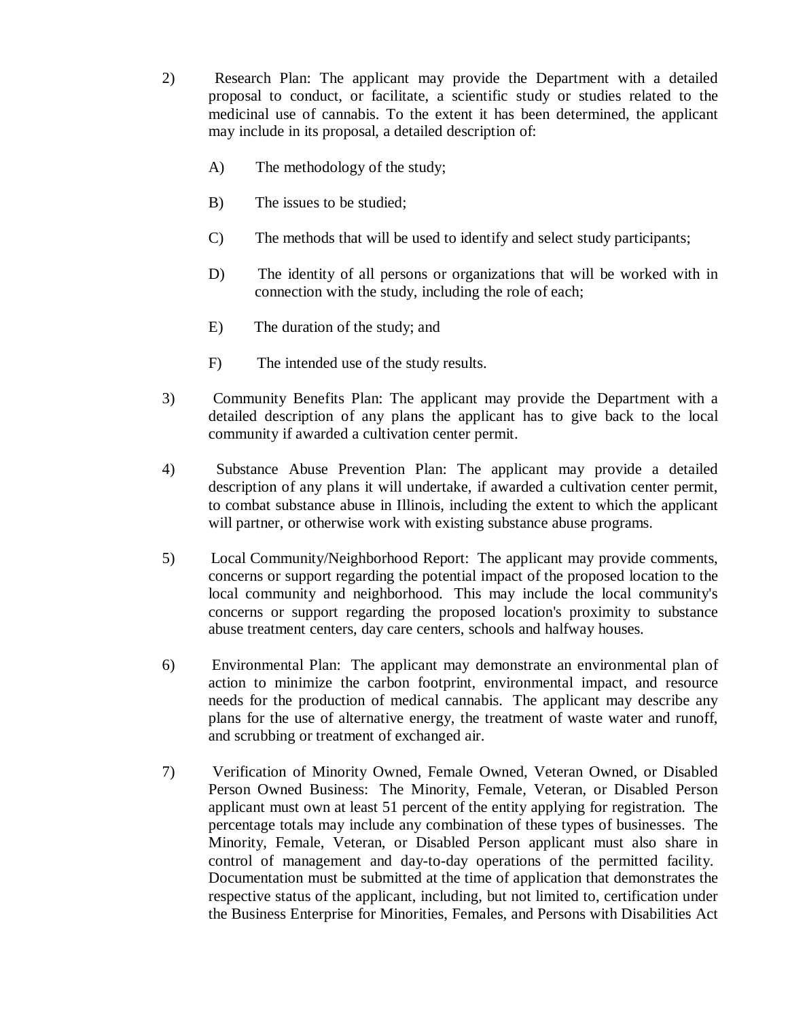2) Research Plan: The applicant may provide the Department with a detailed proposal to conduct, or facilitate, a scientific study or studies related to the medicinal use of cannabis. To the extent it has been determined, the applicant may include in its proposal, a detailed description of:

- A) The methodology of the study;
- B) The issues to be studied;
- C) The methods that will be used to identify and select study participants;
- D) The identity of all persons or organizations that will be worked with in connection with the study, including the role of each;
- E) The duration of the study; and
- F) The intended use of the study results.
- 3) Community Benefits Plan: The applicant may provide the Department with a detailed description of any plans the applicant has to give back to the local community if awarded a cultivation center permit.
- 4) Substance Abuse Prevention Plan: The applicant may provide a detailed description of any plans it will undertake, if awarded a cultivation center permit, to combat substance abuse in Illinois, including the extent to which the applicant will partner, or otherwise work with existing substance abuse programs.
- 5) Local Community/Neighborhood Report: The applicant may provide comments, concerns or support regarding the potential impact of the proposed location to the local community and neighborhood. This may include the local community's concerns or support regarding the proposed location's proximity to substance abuse treatment centers, day care centers, schools and halfway houses.
- 6) Environmental Plan: The applicant may demonstrate an environmental plan of action to minimize the carbon footprint, environmental impact, and resource needs for the production of medical cannabis. The applicant may describe any plans for the use of alternative energy, the treatment of waste water and runoff, and scrubbing or treatment of exchanged air.
- 7) Verification of Minority Owned, Female Owned, Veteran Owned, or Disabled Person Owned Business: The Minority, Female, Veteran, or Disabled Person applicant must own at least 51 percent of the entity applying for registration. The percentage totals may include any combination of these types of businesses. The Minority, Female, Veteran, or Disabled Person applicant must also share in control of management and day-to-day operations of the permitted facility. Documentation must be submitted at the time of application that demonstrates the respective status of the applicant, including, but not limited to, certification under the Business Enterprise for Minorities, Females, and Persons with Disabilities Act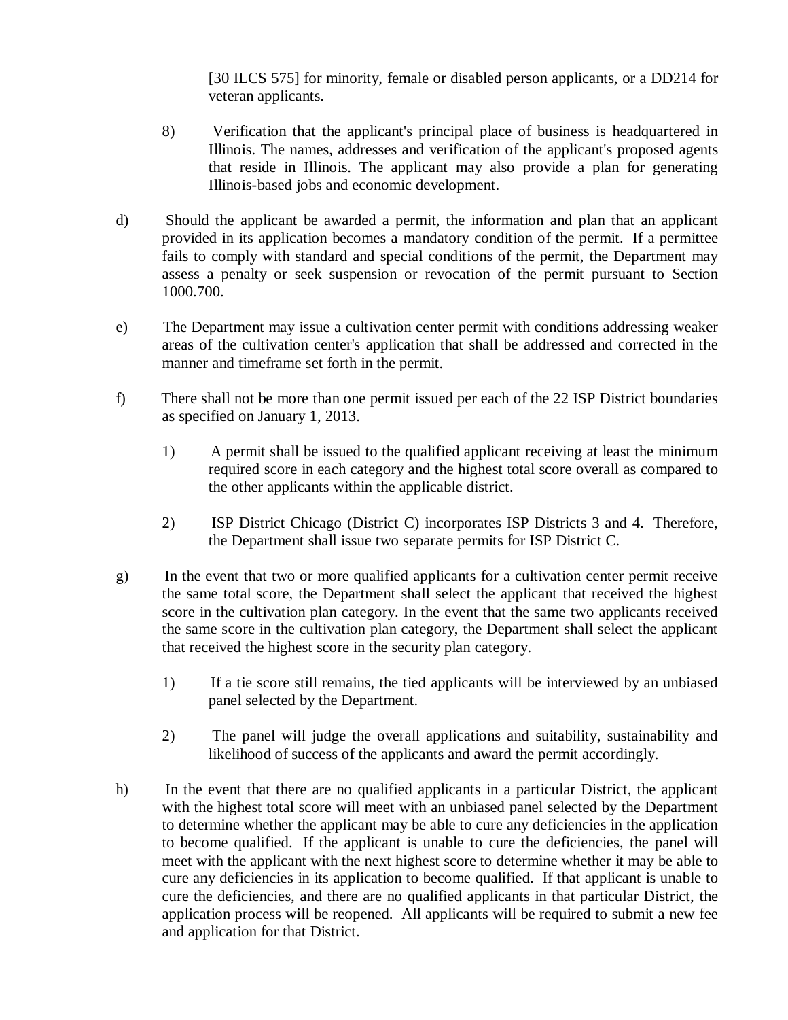[30 ILCS 575] for minority, female or disabled person applicants, or a DD214 for veteran applicants.

- 8) Verification that the applicant's principal place of business is headquartered in Illinois. The names, addresses and verification of the applicant's proposed agents that reside in Illinois. The applicant may also provide a plan for generating Illinois-based jobs and economic development.
- d) Should the applicant be awarded a permit, the information and plan that an applicant provided in its application becomes a mandatory condition of the permit. If a permittee fails to comply with standard and special conditions of the permit, the Department may assess a penalty or seek suspension or revocation of the permit pursuant to Section 1000.700.
- e) The Department may issue a cultivation center permit with conditions addressing weaker areas of the cultivation center's application that shall be addressed and corrected in the manner and timeframe set forth in the permit.
- f) There shall not be more than one permit issued per each of the 22 ISP District boundaries as specified on January 1, 2013.
	- 1) A permit shall be issued to the qualified applicant receiving at least the minimum required score in each category and the highest total score overall as compared to the other applicants within the applicable district.
	- 2) ISP District Chicago (District C) incorporates ISP Districts 3 and 4. Therefore, the Department shall issue two separate permits for ISP District C.
- g) In the event that two or more qualified applicants for a cultivation center permit receive the same total score, the Department shall select the applicant that received the highest score in the cultivation plan category. In the event that the same two applicants received the same score in the cultivation plan category, the Department shall select the applicant that received the highest score in the security plan category.
	- 1) If a tie score still remains, the tied applicants will be interviewed by an unbiased panel selected by the Department.
	- 2) The panel will judge the overall applications and suitability, sustainability and likelihood of success of the applicants and award the permit accordingly.
- h) In the event that there are no qualified applicants in a particular District, the applicant with the highest total score will meet with an unbiased panel selected by the Department to determine whether the applicant may be able to cure any deficiencies in the application to become qualified. If the applicant is unable to cure the deficiencies, the panel will meet with the applicant with the next highest score to determine whether it may be able to cure any deficiencies in its application to become qualified. If that applicant is unable to cure the deficiencies, and there are no qualified applicants in that particular District, the application process will be reopened. All applicants will be required to submit a new fee and application for that District.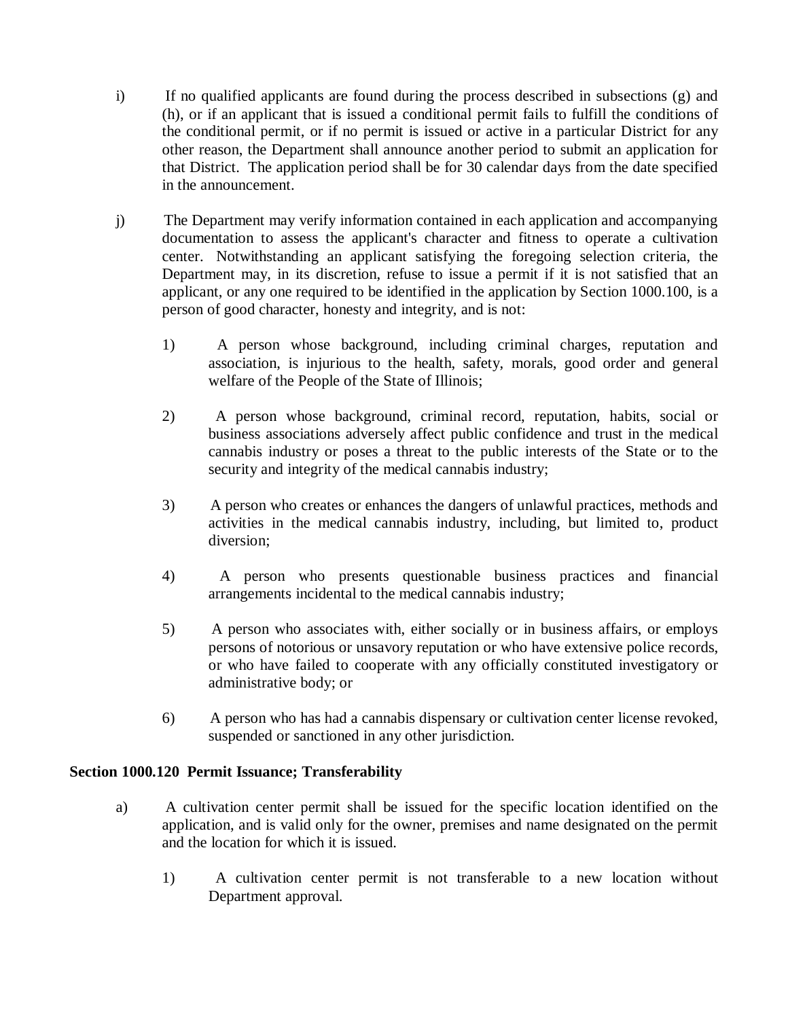- i) If no qualified applicants are found during the process described in subsections (g) and (h), or if an applicant that is issued a conditional permit fails to fulfill the conditions of the conditional permit, or if no permit is issued or active in a particular District for any other reason, the Department shall announce another period to submit an application for that District. The application period shall be for 30 calendar days from the date specified in the announcement.
- j) The Department may verify information contained in each application and accompanying documentation to assess the applicant's character and fitness to operate a cultivation center. Notwithstanding an applicant satisfying the foregoing selection criteria, the Department may, in its discretion, refuse to issue a permit if it is not satisfied that an applicant, or any one required to be identified in the application by Section 1000.100, is a person of good character, honesty and integrity, and is not:
	- 1) A person whose background, including criminal charges, reputation and association, is injurious to the health, safety, morals, good order and general welfare of the People of the State of Illinois;
	- 2) A person whose background, criminal record, reputation, habits, social or business associations adversely affect public confidence and trust in the medical cannabis industry or poses a threat to the public interests of the State or to the security and integrity of the medical cannabis industry;
	- 3) A person who creates or enhances the dangers of unlawful practices, methods and activities in the medical cannabis industry, including, but limited to, product diversion;
	- 4) A person who presents questionable business practices and financial arrangements incidental to the medical cannabis industry;
	- 5) A person who associates with, either socially or in business affairs, or employs persons of notorious or unsavory reputation or who have extensive police records, or who have failed to cooperate with any officially constituted investigatory or administrative body; or
	- 6) A person who has had a cannabis dispensary or cultivation center license revoked, suspended or sanctioned in any other jurisdiction.

# **Section 1000.120 Permit Issuance; Transferability**

- a) A cultivation center permit shall be issued for the specific location identified on the application, and is valid only for the owner, premises and name designated on the permit and the location for which it is issued.
	- 1) A cultivation center permit is not transferable to a new location without Department approval.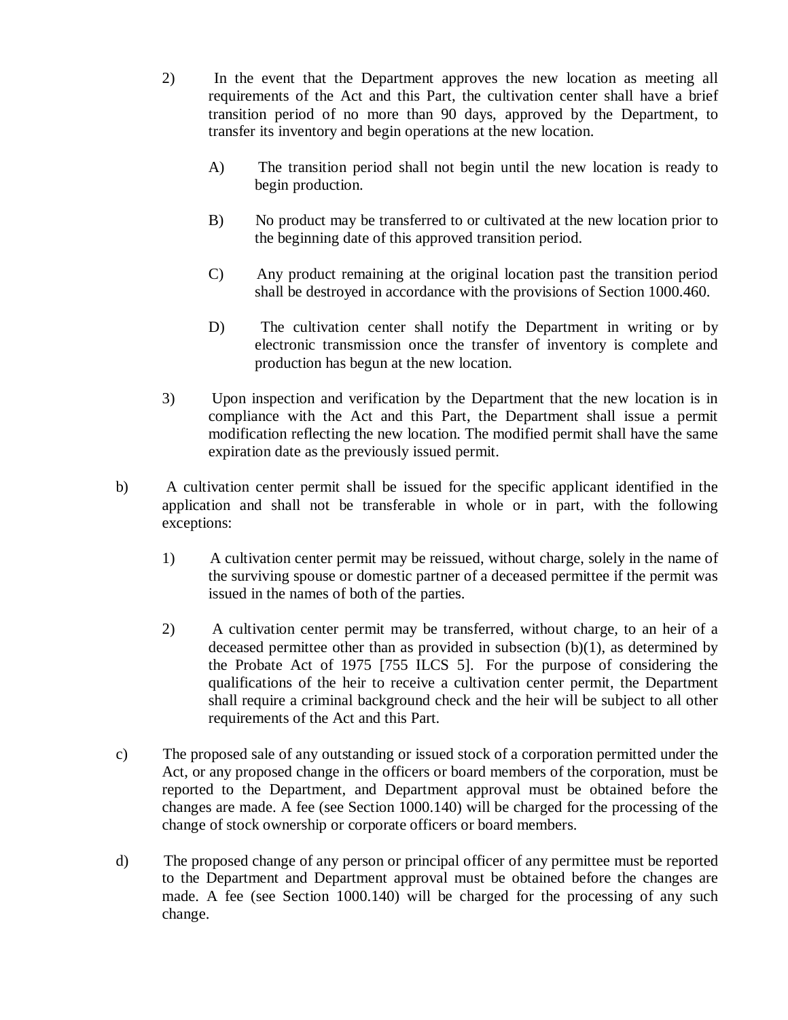- 2) In the event that the Department approves the new location as meeting all requirements of the Act and this Part, the cultivation center shall have a brief transition period of no more than 90 days, approved by the Department, to transfer its inventory and begin operations at the new location.
	- A) The transition period shall not begin until the new location is ready to begin production.
	- B) No product may be transferred to or cultivated at the new location prior to the beginning date of this approved transition period.
	- C) Any product remaining at the original location past the transition period shall be destroyed in accordance with the provisions of Section 1000.460.
	- D) The cultivation center shall notify the Department in writing or by electronic transmission once the transfer of inventory is complete and production has begun at the new location.
- 3) Upon inspection and verification by the Department that the new location is in compliance with the Act and this Part, the Department shall issue a permit modification reflecting the new location. The modified permit shall have the same expiration date as the previously issued permit.
- b) A cultivation center permit shall be issued for the specific applicant identified in the application and shall not be transferable in whole or in part, with the following exceptions:
	- 1) A cultivation center permit may be reissued, without charge, solely in the name of the surviving spouse or domestic partner of a deceased permittee if the permit was issued in the names of both of the parties.
	- 2) A cultivation center permit may be transferred, without charge, to an heir of a deceased permittee other than as provided in subsection (b)(1), as determined by the Probate Act of 1975 [755 ILCS 5]. For the purpose of considering the qualifications of the heir to receive a cultivation center permit, the Department shall require a criminal background check and the heir will be subject to all other requirements of the Act and this Part.
- c) The proposed sale of any outstanding or issued stock of a corporation permitted under the Act, or any proposed change in the officers or board members of the corporation, must be reported to the Department, and Department approval must be obtained before the changes are made. A fee (see Section 1000.140) will be charged for the processing of the change of stock ownership or corporate officers or board members.
- d) The proposed change of any person or principal officer of any permittee must be reported to the Department and Department approval must be obtained before the changes are made. A fee (see Section 1000.140) will be charged for the processing of any such change.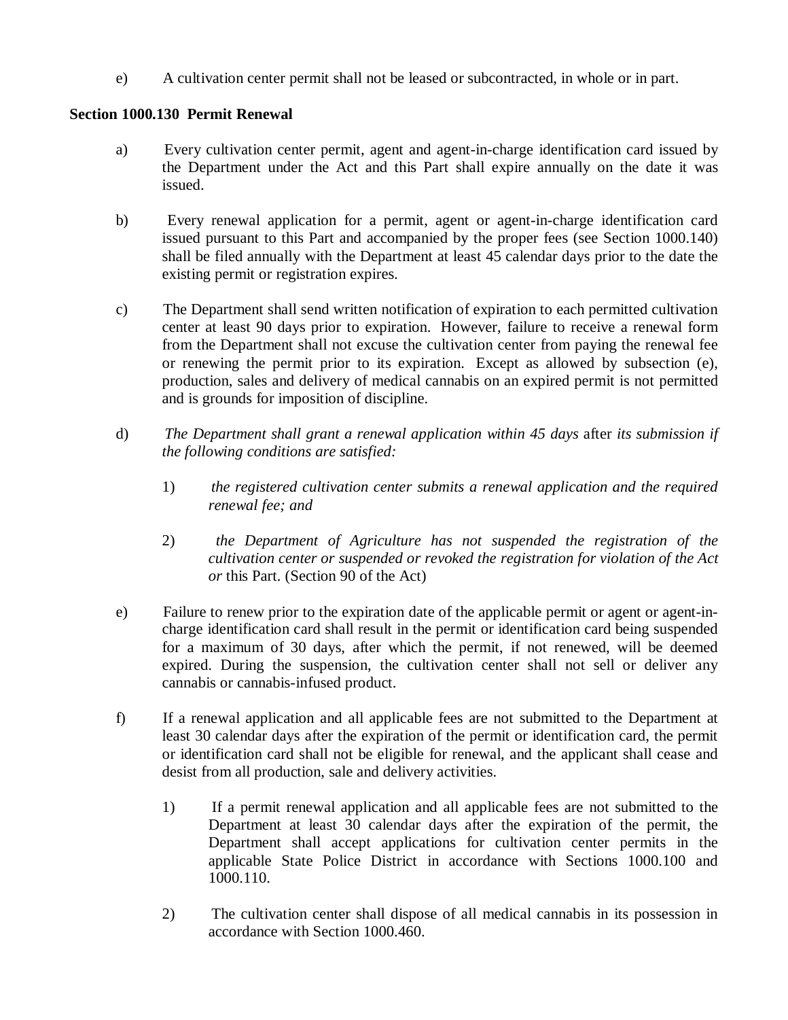e) A cultivation center permit shall not be leased or subcontracted, in whole or in part.

## **Section 1000.130 Permit Renewal**

- a) Every cultivation center permit, agent and agent-in-charge identification card issued by the Department under the Act and this Part shall expire annually on the date it was issued.
- b) Every renewal application for a permit, agent or agent-in-charge identification card issued pursuant to this Part and accompanied by the proper fees (see Section 1000.140) shall be filed annually with the Department at least 45 calendar days prior to the date the existing permit or registration expires.
- c) The Department shall send written notification of expiration to each permitted cultivation center at least 90 days prior to expiration. However, failure to receive a renewal form from the Department shall not excuse the cultivation center from paying the renewal fee or renewing the permit prior to its expiration. Except as allowed by subsection (e), production, sales and delivery of medical cannabis on an expired permit is not permitted and is grounds for imposition of discipline.
- d) *The Department shall grant a renewal application within 45 days* after *its submission if the following conditions are satisfied:*
	- 1) *the registered cultivation center submits a renewal application and the required renewal fee; and*
	- 2) *the Department of Agriculture has not suspended the registration of the cultivation center or suspended or revoked the registration for violation of the Act or* this Part*.* (Section 90 of the Act)
- e) Failure to renew prior to the expiration date of the applicable permit or agent or agent-incharge identification card shall result in the permit or identification card being suspended for a maximum of 30 days, after which the permit, if not renewed, will be deemed expired. During the suspension, the cultivation center shall not sell or deliver any cannabis or cannabis-infused product.
- f) If a renewal application and all applicable fees are not submitted to the Department at least 30 calendar days after the expiration of the permit or identification card, the permit or identification card shall not be eligible for renewal, and the applicant shall cease and desist from all production, sale and delivery activities.
	- 1) If a permit renewal application and all applicable fees are not submitted to the Department at least 30 calendar days after the expiration of the permit, the Department shall accept applications for cultivation center permits in the applicable State Police District in accordance with Sections 1000.100 and 1000.110.
	- 2) The cultivation center shall dispose of all medical cannabis in its possession in accordance with Section 1000.460.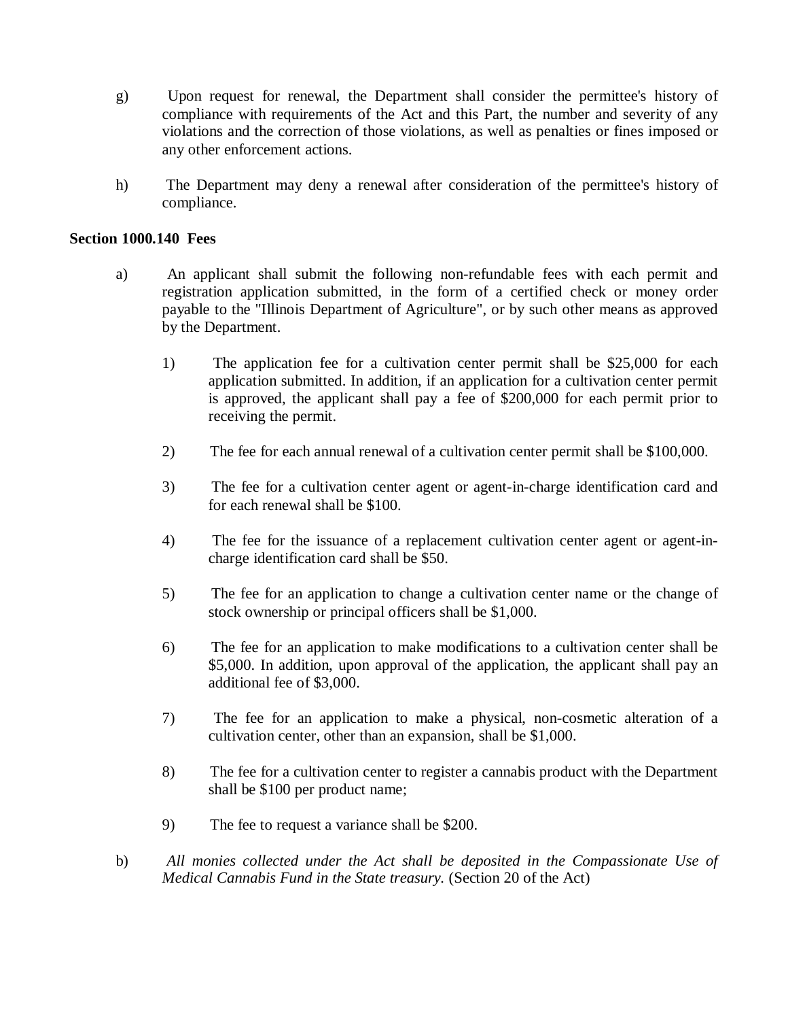- g) Upon request for renewal, the Department shall consider the permittee's history of compliance with requirements of the Act and this Part, the number and severity of any violations and the correction of those violations, as well as penalties or fines imposed or any other enforcement actions.
- h) The Department may deny a renewal after consideration of the permittee's history of compliance.

#### **Section 1000.140 Fees**

- a) An applicant shall submit the following non-refundable fees with each permit and registration application submitted, in the form of a certified check or money order payable to the "Illinois Department of Agriculture", or by such other means as approved by the Department.
	- 1) The application fee for a cultivation center permit shall be \$25,000 for each application submitted. In addition, if an application for a cultivation center permit is approved, the applicant shall pay a fee of \$200,000 for each permit prior to receiving the permit.
	- 2) The fee for each annual renewal of a cultivation center permit shall be \$100,000.
	- 3) The fee for a cultivation center agent or agent-in-charge identification card and for each renewal shall be \$100.
	- 4) The fee for the issuance of a replacement cultivation center agent or agent-incharge identification card shall be \$50.
	- 5) The fee for an application to change a cultivation center name or the change of stock ownership or principal officers shall be \$1,000.
	- 6) The fee for an application to make modifications to a cultivation center shall be \$5,000. In addition, upon approval of the application, the applicant shall pay an additional fee of \$3,000.
	- 7) The fee for an application to make a physical, non-cosmetic alteration of a cultivation center, other than an expansion, shall be \$1,000.
	- 8) The fee for a cultivation center to register a cannabis product with the Department shall be \$100 per product name;
	- 9) The fee to request a variance shall be \$200.
- b) *All monies collected under the Act shall be deposited in the Compassionate Use of Medical Cannabis Fund in the State treasury.* (Section 20 of the Act)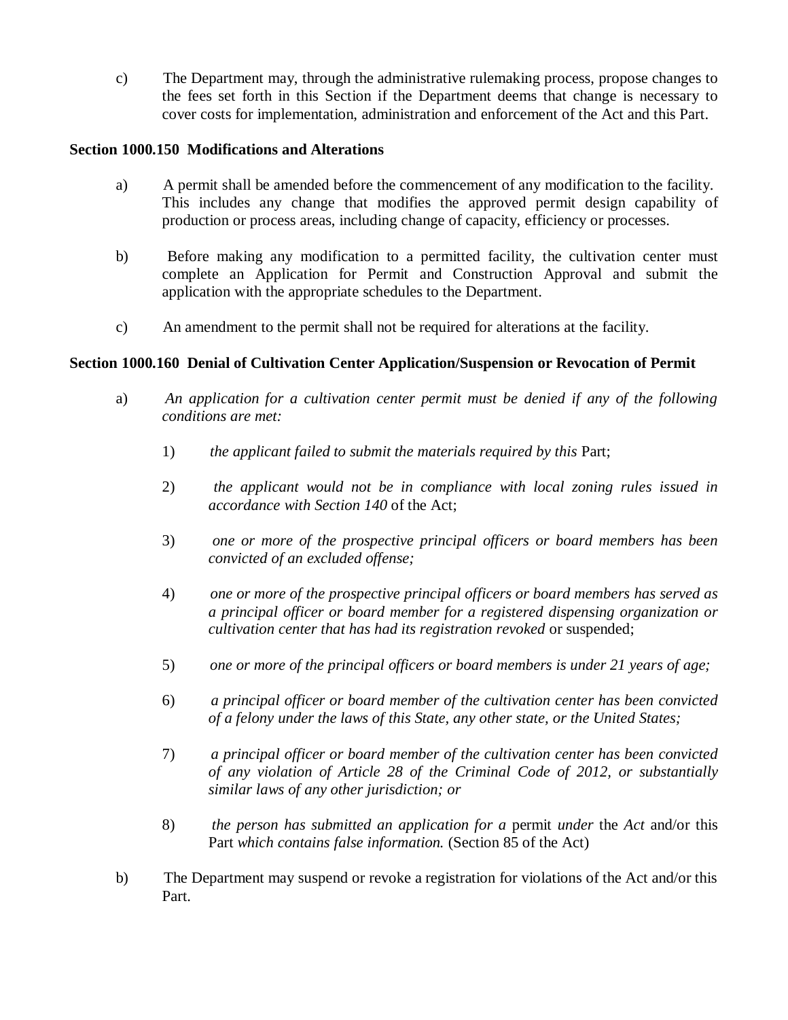c) The Department may, through the administrative rulemaking process, propose changes to the fees set forth in this Section if the Department deems that change is necessary to cover costs for implementation, administration and enforcement of the Act and this Part.

## **Section 1000.150 Modifications and Alterations**

- a) A permit shall be amended before the commencement of any modification to the facility. This includes any change that modifies the approved permit design capability of production or process areas, including change of capacity, efficiency or processes.
- b) Before making any modification to a permitted facility, the cultivation center must complete an Application for Permit and Construction Approval and submit the application with the appropriate schedules to the Department.
- c) An amendment to the permit shall not be required for alterations at the facility.

## **Section 1000.160 Denial of Cultivation Center Application/Suspension or Revocation of Permit**

- a) *An application for a cultivation center permit must be denied if any of the following conditions are met:* 
	- 1) the applicant failed to submit the materials required by this Part;
	- 2) *the applicant would not be in compliance with local zoning rules issued in accordance with Section 140* of the Act;
	- 3) *one or more of the prospective principal officers or board members has been convicted of an excluded offense;*
	- 4) *one or more of the prospective principal officers or board members has served as a principal officer or board member for a registered dispensing organization or cultivation center that has had its registration revoked* or suspended;
	- 5) *one or more of the principal officers or board members is under 21 years of age;*
	- 6) *a principal officer or board member of the cultivation center has been convicted of a felony under the laws of this State, any other state, or the United States;*
	- 7) *a principal officer or board member of the cultivation center has been convicted of any violation of Article 28 of the Criminal Code of 2012, or substantially similar laws of any other jurisdiction; or*
	- 8) *the person has submitted an application for a* permit *under* the *Act* and/or this Part *which contains false information.* (Section 85 of the Act)
- b) The Department may suspend or revoke a registration for violations of the Act and/or this Part.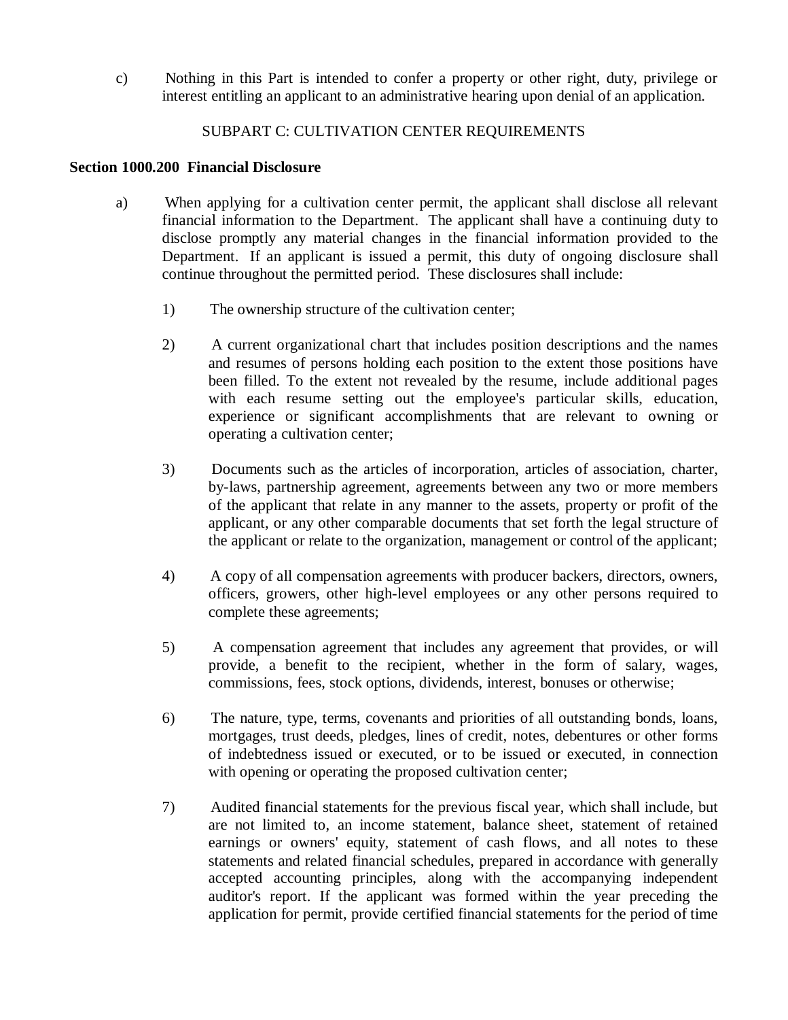c) Nothing in this Part is intended to confer a property or other right, duty, privilege or interest entitling an applicant to an administrative hearing upon denial of an application.

# SUBPART C: CULTIVATION CENTER REQUIREMENTS

#### **Section 1000.200 Financial Disclosure**

- a) When applying for a cultivation center permit, the applicant shall disclose all relevant financial information to the Department. The applicant shall have a continuing duty to disclose promptly any material changes in the financial information provided to the Department. If an applicant is issued a permit, this duty of ongoing disclosure shall continue throughout the permitted period. These disclosures shall include:
	- 1) The ownership structure of the cultivation center;
	- 2) A current organizational chart that includes position descriptions and the names and resumes of persons holding each position to the extent those positions have been filled. To the extent not revealed by the resume, include additional pages with each resume setting out the employee's particular skills, education, experience or significant accomplishments that are relevant to owning or operating a cultivation center;
	- 3) Documents such as the articles of incorporation, articles of association, charter, by-laws, partnership agreement, agreements between any two or more members of the applicant that relate in any manner to the assets, property or profit of the applicant, or any other comparable documents that set forth the legal structure of the applicant or relate to the organization, management or control of the applicant;
	- 4) A copy of all compensation agreements with producer backers, directors, owners, officers, growers, other high-level employees or any other persons required to complete these agreements;
	- 5) A compensation agreement that includes any agreement that provides, or will provide, a benefit to the recipient, whether in the form of salary, wages, commissions, fees, stock options, dividends, interest, bonuses or otherwise;
	- 6) The nature, type, terms, covenants and priorities of all outstanding bonds, loans, mortgages, trust deeds, pledges, lines of credit, notes, debentures or other forms of indebtedness issued or executed, or to be issued or executed, in connection with opening or operating the proposed cultivation center;
	- 7) Audited financial statements for the previous fiscal year, which shall include, but are not limited to, an income statement, balance sheet, statement of retained earnings or owners' equity, statement of cash flows, and all notes to these statements and related financial schedules, prepared in accordance with generally accepted accounting principles, along with the accompanying independent auditor's report. If the applicant was formed within the year preceding the application for permit, provide certified financial statements for the period of time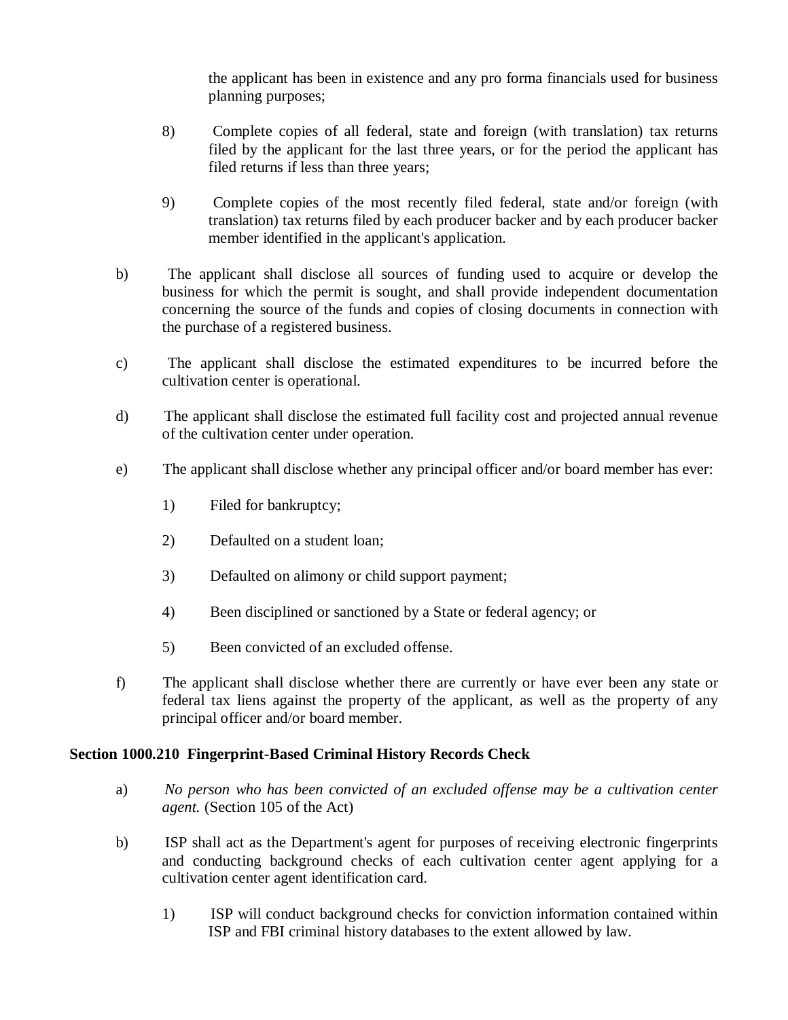the applicant has been in existence and any pro forma financials used for business planning purposes;

- 8) Complete copies of all federal, state and foreign (with translation) tax returns filed by the applicant for the last three years, or for the period the applicant has filed returns if less than three years;
- 9) Complete copies of the most recently filed federal, state and/or foreign (with translation) tax returns filed by each producer backer and by each producer backer member identified in the applicant's application.
- b) The applicant shall disclose all sources of funding used to acquire or develop the business for which the permit is sought, and shall provide independent documentation concerning the source of the funds and copies of closing documents in connection with the purchase of a registered business.
- c) The applicant shall disclose the estimated expenditures to be incurred before the cultivation center is operational.
- d) The applicant shall disclose the estimated full facility cost and projected annual revenue of the cultivation center under operation.
- e) The applicant shall disclose whether any principal officer and/or board member has ever:
	- 1) Filed for bankruptcy;
	- 2) Defaulted on a student loan;
	- 3) Defaulted on alimony or child support payment;
	- 4) Been disciplined or sanctioned by a State or federal agency; or
	- 5) Been convicted of an excluded offense.
- f) The applicant shall disclose whether there are currently or have ever been any state or federal tax liens against the property of the applicant, as well as the property of any principal officer and/or board member.

# **Section 1000.210 Fingerprint-Based Criminal History Records Check**

- a) *No person who has been convicted of an excluded offense may be a cultivation center agent.* (Section 105 of the Act)
- b) ISP shall act as the Department's agent for purposes of receiving electronic fingerprints and conducting background checks of each cultivation center agent applying for a cultivation center agent identification card.
	- 1) ISP will conduct background checks for conviction information contained within ISP and FBI criminal history databases to the extent allowed by law.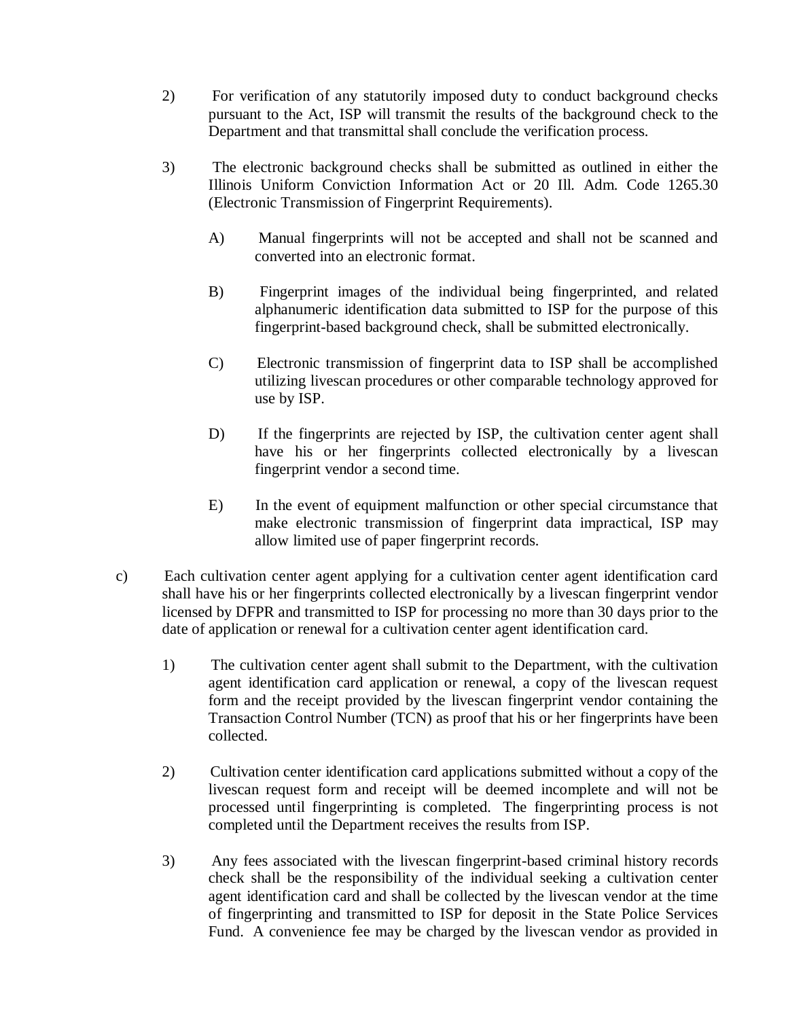- 2) For verification of any statutorily imposed duty to conduct background checks pursuant to the Act, ISP will transmit the results of the background check to the Department and that transmittal shall conclude the verification process.
- 3) The electronic background checks shall be submitted as outlined in either the Illinois Uniform Conviction Information Act or 20 Ill. Adm. Code 1265.30 (Electronic Transmission of Fingerprint Requirements).
	- A) Manual fingerprints will not be accepted and shall not be scanned and converted into an electronic format.
	- B) Fingerprint images of the individual being fingerprinted, and related alphanumeric identification data submitted to ISP for the purpose of this fingerprint-based background check, shall be submitted electronically.
	- C) Electronic transmission of fingerprint data to ISP shall be accomplished utilizing livescan procedures or other comparable technology approved for use by ISP.
	- D) If the fingerprints are rejected by ISP, the cultivation center agent shall have his or her fingerprints collected electronically by a livescan fingerprint vendor a second time.
	- E) In the event of equipment malfunction or other special circumstance that make electronic transmission of fingerprint data impractical, ISP may allow limited use of paper fingerprint records.
- c) Each cultivation center agent applying for a cultivation center agent identification card shall have his or her fingerprints collected electronically by a livescan fingerprint vendor licensed by DFPR and transmitted to ISP for processing no more than 30 days prior to the date of application or renewal for a cultivation center agent identification card.
	- 1) The cultivation center agent shall submit to the Department, with the cultivation agent identification card application or renewal, a copy of the livescan request form and the receipt provided by the livescan fingerprint vendor containing the Transaction Control Number (TCN) as proof that his or her fingerprints have been collected.
	- 2) Cultivation center identification card applications submitted without a copy of the livescan request form and receipt will be deemed incomplete and will not be processed until fingerprinting is completed. The fingerprinting process is not completed until the Department receives the results from ISP.
	- 3) Any fees associated with the livescan fingerprint-based criminal history records check shall be the responsibility of the individual seeking a cultivation center agent identification card and shall be collected by the livescan vendor at the time of fingerprinting and transmitted to ISP for deposit in the State Police Services Fund. A convenience fee may be charged by the livescan vendor as provided in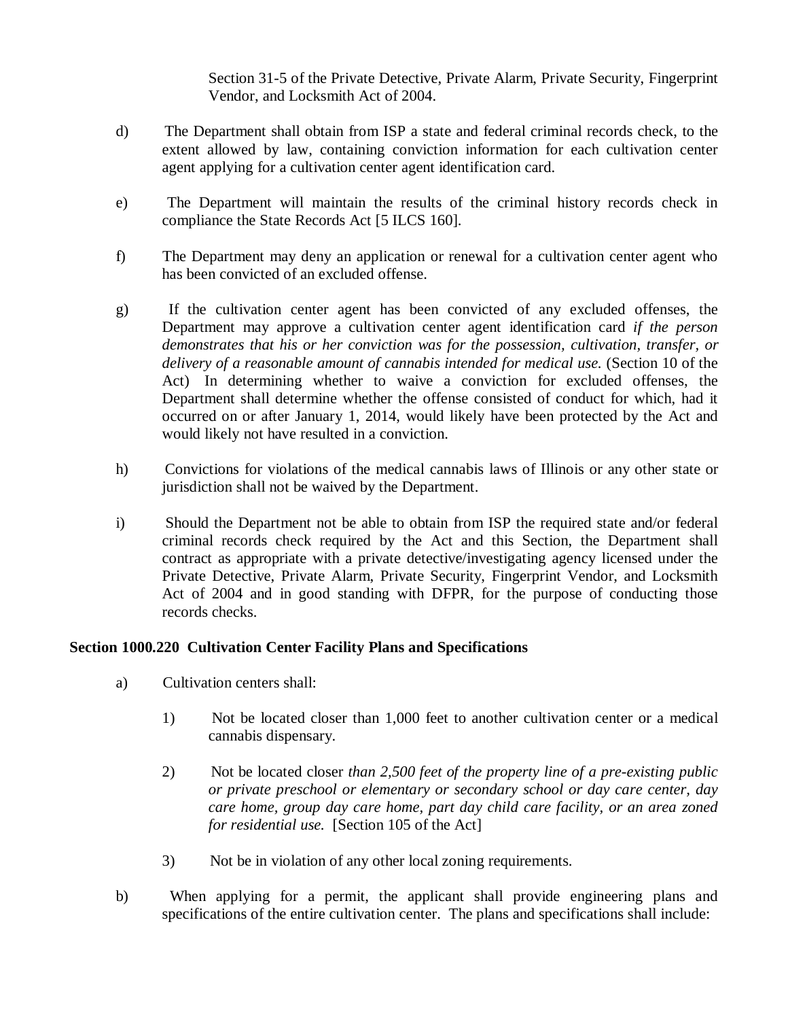Section 31-5 of the Private Detective, Private Alarm, Private Security, Fingerprint Vendor, and Locksmith Act of 2004.

- d) The Department shall obtain from ISP a state and federal criminal records check, to the extent allowed by law, containing conviction information for each cultivation center agent applying for a cultivation center agent identification card.
- e) The Department will maintain the results of the criminal history records check in compliance the State Records Act [5 ILCS 160].
- f) The Department may deny an application or renewal for a cultivation center agent who has been convicted of an excluded offense.
- g) If the cultivation center agent has been convicted of any excluded offenses, the Department may approve a cultivation center agent identification card *if the person demonstrates that his or her conviction was for the possession, cultivation, transfer, or delivery of a reasonable amount of cannabis intended for medical use.* (Section 10 of the Act) In determining whether to waive a conviction for excluded offenses, the Department shall determine whether the offense consisted of conduct for which, had it occurred on or after January 1, 2014, would likely have been protected by the Act and would likely not have resulted in a conviction.
- h) Convictions for violations of the medical cannabis laws of Illinois or any other state or jurisdiction shall not be waived by the Department.
- i) Should the Department not be able to obtain from ISP the required state and/or federal criminal records check required by the Act and this Section, the Department shall contract as appropriate with a private detective/investigating agency licensed under the Private Detective, Private Alarm, Private Security, Fingerprint Vendor, and Locksmith Act of 2004 and in good standing with DFPR, for the purpose of conducting those records checks.

# **Section 1000.220 Cultivation Center Facility Plans and Specifications**

- a) Cultivation centers shall:
	- 1) Not be located closer than 1,000 feet to another cultivation center or a medical cannabis dispensary.
	- 2) Not be located closer *than 2,500 feet of the property line of a pre-existing public or private preschool or elementary or secondary school or day care center, day care home, group day care home, part day child care facility, or an area zoned for residential use.* [Section 105 of the Act]
	- 3) Not be in violation of any other local zoning requirements.
- b) When applying for a permit, the applicant shall provide engineering plans and specifications of the entire cultivation center. The plans and specifications shall include: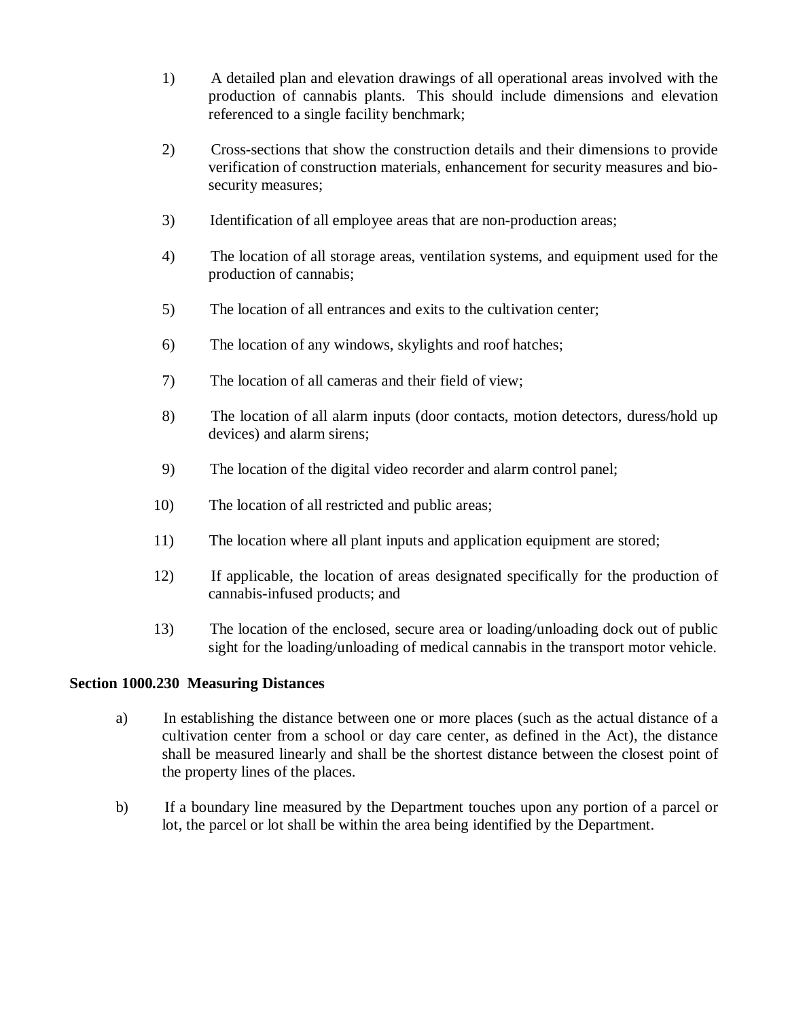- 1) A detailed plan and elevation drawings of all operational areas involved with the production of cannabis plants. This should include dimensions and elevation referenced to a single facility benchmark;
- 2) Cross-sections that show the construction details and their dimensions to provide verification of construction materials, enhancement for security measures and biosecurity measures;
- 3) Identification of all employee areas that are non-production areas;
- 4) The location of all storage areas, ventilation systems, and equipment used for the production of cannabis;
- 5) The location of all entrances and exits to the cultivation center;
- 6) The location of any windows, skylights and roof hatches;
- 7) The location of all cameras and their field of view;
- 8) The location of all alarm inputs (door contacts, motion detectors, duress/hold up devices) and alarm sirens;
- 9) The location of the digital video recorder and alarm control panel;
- 10) The location of all restricted and public areas;
- 11) The location where all plant inputs and application equipment are stored;
- 12) If applicable, the location of areas designated specifically for the production of cannabis-infused products; and
- 13) The location of the enclosed, secure area or loading/unloading dock out of public sight for the loading/unloading of medical cannabis in the transport motor vehicle.

# **Section 1000.230 Measuring Distances**

- a) In establishing the distance between one or more places (such as the actual distance of a cultivation center from a school or day care center, as defined in the Act), the distance shall be measured linearly and shall be the shortest distance between the closest point of the property lines of the places.
- b) If a boundary line measured by the Department touches upon any portion of a parcel or lot, the parcel or lot shall be within the area being identified by the Department.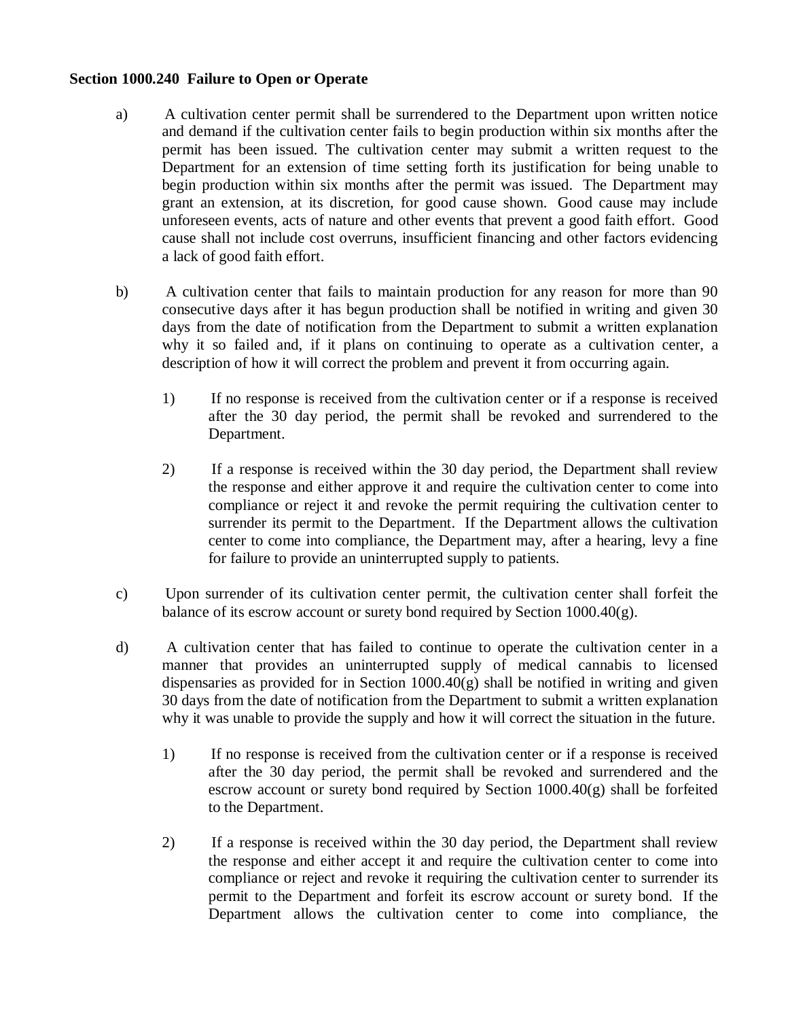### **Section 1000.240 Failure to Open or Operate**

- a) A cultivation center permit shall be surrendered to the Department upon written notice and demand if the cultivation center fails to begin production within six months after the permit has been issued. The cultivation center may submit a written request to the Department for an extension of time setting forth its justification for being unable to begin production within six months after the permit was issued. The Department may grant an extension, at its discretion, for good cause shown. Good cause may include unforeseen events, acts of nature and other events that prevent a good faith effort. Good cause shall not include cost overruns, insufficient financing and other factors evidencing a lack of good faith effort.
- b) A cultivation center that fails to maintain production for any reason for more than 90 consecutive days after it has begun production shall be notified in writing and given 30 days from the date of notification from the Department to submit a written explanation why it so failed and, if it plans on continuing to operate as a cultivation center, a description of how it will correct the problem and prevent it from occurring again.
	- 1) If no response is received from the cultivation center or if a response is received after the 30 day period, the permit shall be revoked and surrendered to the Department.
	- 2) If a response is received within the 30 day period, the Department shall review the response and either approve it and require the cultivation center to come into compliance or reject it and revoke the permit requiring the cultivation center to surrender its permit to the Department. If the Department allows the cultivation center to come into compliance, the Department may, after a hearing, levy a fine for failure to provide an uninterrupted supply to patients.
- c) Upon surrender of its cultivation center permit, the cultivation center shall forfeit the balance of its escrow account or surety bond required by Section 1000.40(g).
- d) A cultivation center that has failed to continue to operate the cultivation center in a manner that provides an uninterrupted supply of medical cannabis to licensed dispensaries as provided for in Section 1000.40(g) shall be notified in writing and given 30 days from the date of notification from the Department to submit a written explanation why it was unable to provide the supply and how it will correct the situation in the future.
	- 1) If no response is received from the cultivation center or if a response is received after the 30 day period, the permit shall be revoked and surrendered and the escrow account or surety bond required by Section 1000.40(g) shall be forfeited to the Department.
	- 2) If a response is received within the 30 day period, the Department shall review the response and either accept it and require the cultivation center to come into compliance or reject and revoke it requiring the cultivation center to surrender its permit to the Department and forfeit its escrow account or surety bond. If the Department allows the cultivation center to come into compliance, the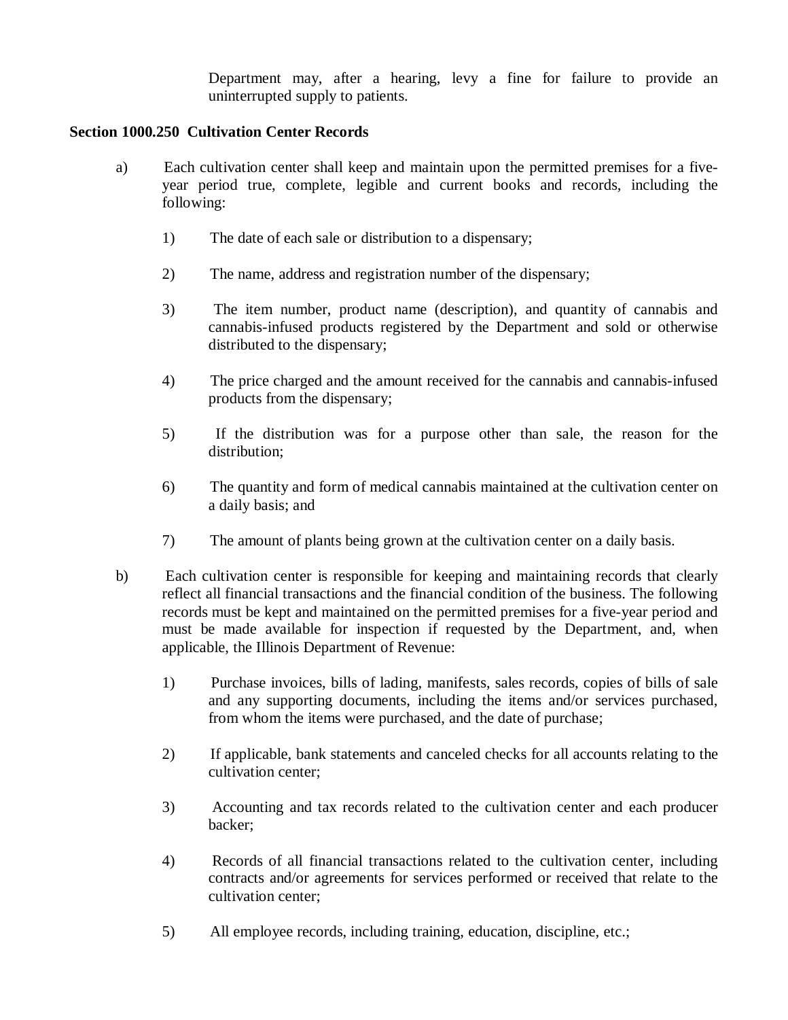Department may, after a hearing, levy a fine for failure to provide an uninterrupted supply to patients.

## **Section 1000.250 Cultivation Center Records**

- a) Each cultivation center shall keep and maintain upon the permitted premises for a fiveyear period true, complete, legible and current books and records, including the following:
	- 1) The date of each sale or distribution to a dispensary;
	- 2) The name, address and registration number of the dispensary;
	- 3) The item number, product name (description), and quantity of cannabis and cannabis-infused products registered by the Department and sold or otherwise distributed to the dispensary;
	- 4) The price charged and the amount received for the cannabis and cannabis-infused products from the dispensary;
	- 5) If the distribution was for a purpose other than sale, the reason for the distribution;
	- 6) The quantity and form of medical cannabis maintained at the cultivation center on a daily basis; and
	- 7) The amount of plants being grown at the cultivation center on a daily basis.
- b) Each cultivation center is responsible for keeping and maintaining records that clearly reflect all financial transactions and the financial condition of the business. The following records must be kept and maintained on the permitted premises for a five-year period and must be made available for inspection if requested by the Department, and, when applicable, the Illinois Department of Revenue:
	- 1) Purchase invoices, bills of lading, manifests, sales records, copies of bills of sale and any supporting documents, including the items and/or services purchased, from whom the items were purchased, and the date of purchase;
	- 2) If applicable, bank statements and canceled checks for all accounts relating to the cultivation center;
	- 3) Accounting and tax records related to the cultivation center and each producer backer;
	- 4) Records of all financial transactions related to the cultivation center, including contracts and/or agreements for services performed or received that relate to the cultivation center;
	- 5) All employee records, including training, education, discipline, etc.;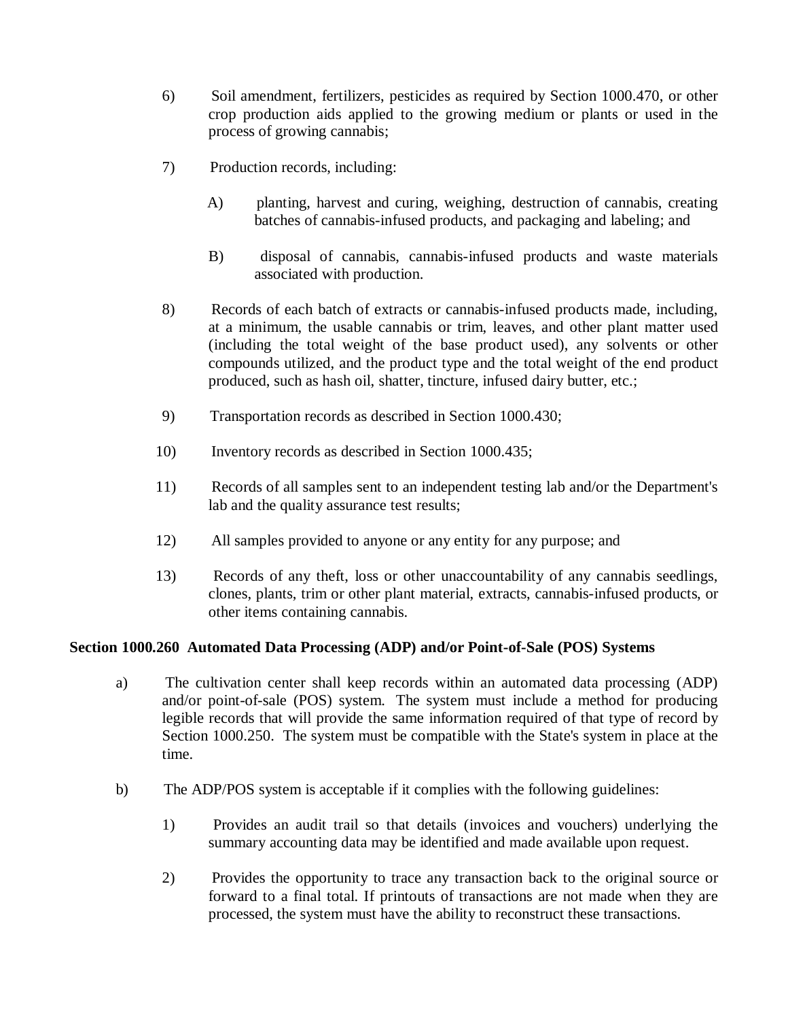- 6) Soil amendment, fertilizers, pesticides as required by Section 1000.470, or other crop production aids applied to the growing medium or plants or used in the process of growing cannabis;
- 7) Production records, including:
	- A) planting, harvest and curing, weighing, destruction of cannabis, creating batches of cannabis-infused products, and packaging and labeling; and
	- B) disposal of cannabis, cannabis-infused products and waste materials associated with production.
- 8) Records of each batch of extracts or cannabis-infused products made, including, at a minimum, the usable cannabis or trim, leaves, and other plant matter used (including the total weight of the base product used), any solvents or other compounds utilized, and the product type and the total weight of the end product produced, such as hash oil, shatter, tincture, infused dairy butter, etc.;
- 9) Transportation records as described in Section 1000.430;
- 10) Inventory records as described in Section 1000.435;
- 11) Records of all samples sent to an independent testing lab and/or the Department's lab and the quality assurance test results;
- 12) All samples provided to anyone or any entity for any purpose; and
- 13) Records of any theft, loss or other unaccountability of any cannabis seedlings, clones, plants, trim or other plant material, extracts, cannabis-infused products, or other items containing cannabis.

#### **Section 1000.260 Automated Data Processing (ADP) and/or Point-of-Sale (POS) Systems**

- a) The cultivation center shall keep records within an automated data processing (ADP) and/or point-of-sale (POS) system. The system must include a method for producing legible records that will provide the same information required of that type of record by Section 1000.250. The system must be compatible with the State's system in place at the time.
- b) The ADP/POS system is acceptable if it complies with the following guidelines:
	- 1) Provides an audit trail so that details (invoices and vouchers) underlying the summary accounting data may be identified and made available upon request.
	- 2) Provides the opportunity to trace any transaction back to the original source or forward to a final total. If printouts of transactions are not made when they are processed, the system must have the ability to reconstruct these transactions.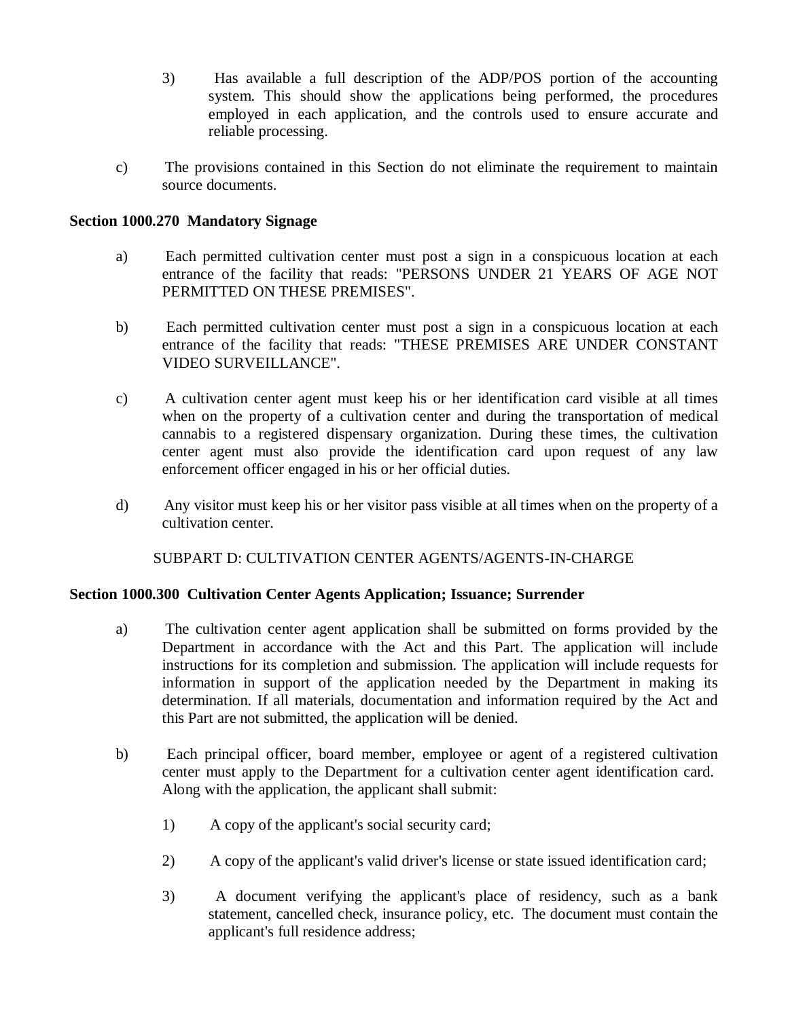- 3) Has available a full description of the ADP/POS portion of the accounting system. This should show the applications being performed, the procedures employed in each application, and the controls used to ensure accurate and reliable processing.
- c) The provisions contained in this Section do not eliminate the requirement to maintain source documents.

## **Section 1000.270 Mandatory Signage**

- a) Each permitted cultivation center must post a sign in a conspicuous location at each entrance of the facility that reads: "PERSONS UNDER 21 YEARS OF AGE NOT PERMITTED ON THESE PREMISES".
- b) Each permitted cultivation center must post a sign in a conspicuous location at each entrance of the facility that reads: "THESE PREMISES ARE UNDER CONSTANT VIDEO SURVEILLANCE".
- c) A cultivation center agent must keep his or her identification card visible at all times when on the property of a cultivation center and during the transportation of medical cannabis to a registered dispensary organization. During these times, the cultivation center agent must also provide the identification card upon request of any law enforcement officer engaged in his or her official duties.
- d) Any visitor must keep his or her visitor pass visible at all times when on the property of a cultivation center.

SUBPART D: CULTIVATION CENTER AGENTS/AGENTS-IN-CHARGE

#### **Section 1000.300 Cultivation Center Agents Application; Issuance; Surrender**

- a) The cultivation center agent application shall be submitted on forms provided by the Department in accordance with the Act and this Part. The application will include instructions for its completion and submission. The application will include requests for information in support of the application needed by the Department in making its determination. If all materials, documentation and information required by the Act and this Part are not submitted, the application will be denied.
- b) Each principal officer, board member, employee or agent of a registered cultivation center must apply to the Department for a cultivation center agent identification card. Along with the application, the applicant shall submit:
	- 1) A copy of the applicant's social security card;
	- 2) A copy of the applicant's valid driver's license or state issued identification card;
	- 3) A document verifying the applicant's place of residency, such as a bank statement, cancelled check, insurance policy, etc. The document must contain the applicant's full residence address;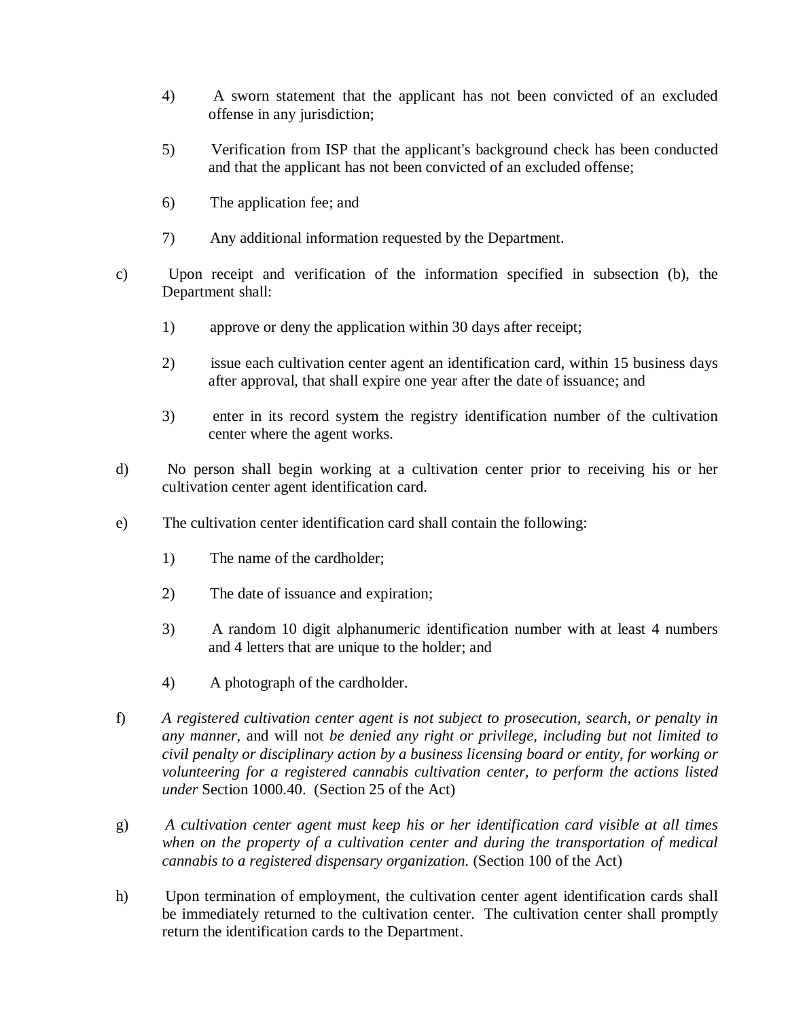- 4) A sworn statement that the applicant has not been convicted of an excluded offense in any jurisdiction;
- 5) Verification from ISP that the applicant's background check has been conducted and that the applicant has not been convicted of an excluded offense;
- 6) The application fee; and
- 7) Any additional information requested by the Department.
- c) Upon receipt and verification of the information specified in subsection (b), the Department shall:
	- 1) approve or deny the application within 30 days after receipt;
	- 2) issue each cultivation center agent an identification card, within 15 business days after approval, that shall expire one year after the date of issuance; and
	- 3) enter in its record system the registry identification number of the cultivation center where the agent works.
- d) No person shall begin working at a cultivation center prior to receiving his or her cultivation center agent identification card.
- e) The cultivation center identification card shall contain the following:
	- 1) The name of the cardholder;
	- 2) The date of issuance and expiration;
	- 3) A random 10 digit alphanumeric identification number with at least 4 numbers and 4 letters that are unique to the holder; and
	- 4) A photograph of the cardholder.
- f) *A registered cultivation center agent is not subject to prosecution, search, or penalty in any manner,* and will not *be denied any right or privilege, including but not limited to civil penalty or disciplinary action by a business licensing board or entity, for working or volunteering for a registered cannabis cultivation center, to perform the actions listed under* Section 1000.40. (Section 25 of the Act)
- g) *A cultivation center agent must keep his or her identification card visible at all times when on the property of a cultivation center and during the transportation of medical cannabis to a registered dispensary organization.* (Section 100 of the Act)
- h) Upon termination of employment, the cultivation center agent identification cards shall be immediately returned to the cultivation center. The cultivation center shall promptly return the identification cards to the Department.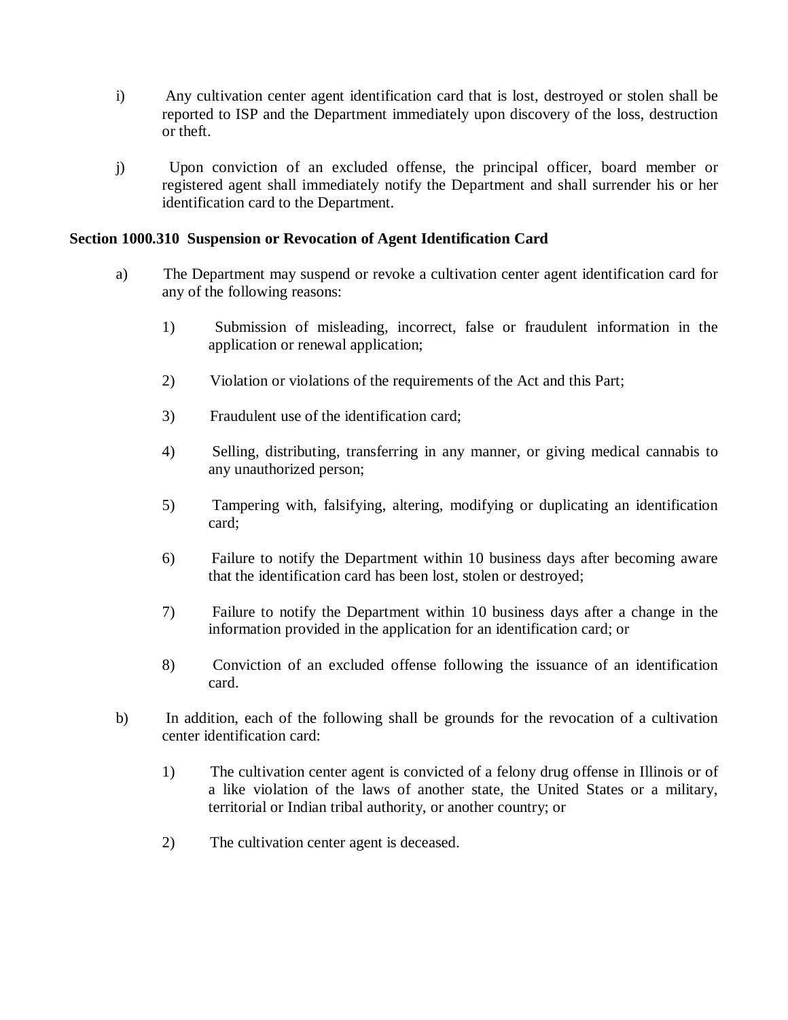- i) Any cultivation center agent identification card that is lost, destroyed or stolen shall be reported to ISP and the Department immediately upon discovery of the loss, destruction or theft.
- j) Upon conviction of an excluded offense, the principal officer, board member or registered agent shall immediately notify the Department and shall surrender his or her identification card to the Department.

## **Section 1000.310 Suspension or Revocation of Agent Identification Card**

- a) The Department may suspend or revoke a cultivation center agent identification card for any of the following reasons:
	- 1) Submission of misleading, incorrect, false or fraudulent information in the application or renewal application;
	- 2) Violation or violations of the requirements of the Act and this Part;
	- 3) Fraudulent use of the identification card;
	- 4) Selling, distributing, transferring in any manner, or giving medical cannabis to any unauthorized person;
	- 5) Tampering with, falsifying, altering, modifying or duplicating an identification card;
	- 6) Failure to notify the Department within 10 business days after becoming aware that the identification card has been lost, stolen or destroyed;
	- 7) Failure to notify the Department within 10 business days after a change in the information provided in the application for an identification card; or
	- 8) Conviction of an excluded offense following the issuance of an identification card.
- b) In addition, each of the following shall be grounds for the revocation of a cultivation center identification card:
	- 1) The cultivation center agent is convicted of a felony drug offense in Illinois or of a like violation of the laws of another state, the United States or a military, territorial or Indian tribal authority, or another country; or
	- 2) The cultivation center agent is deceased.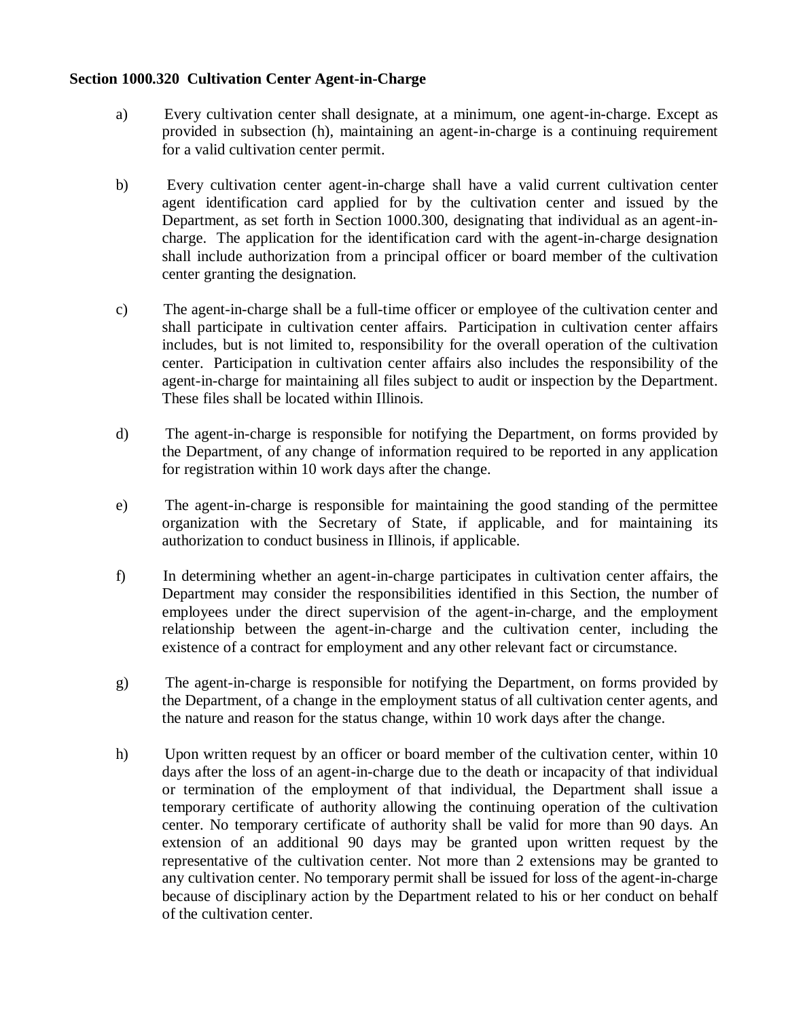### **Section 1000.320 Cultivation Center Agent-in-Charge**

- a) Every cultivation center shall designate, at a minimum, one agent-in-charge. Except as provided in subsection (h), maintaining an agent-in-charge is a continuing requirement for a valid cultivation center permit.
- b) Every cultivation center agent-in-charge shall have a valid current cultivation center agent identification card applied for by the cultivation center and issued by the Department, as set forth in Section 1000.300, designating that individual as an agent-incharge. The application for the identification card with the agent-in-charge designation shall include authorization from a principal officer or board member of the cultivation center granting the designation.
- c) The agent-in-charge shall be a full-time officer or employee of the cultivation center and shall participate in cultivation center affairs. Participation in cultivation center affairs includes, but is not limited to, responsibility for the overall operation of the cultivation center. Participation in cultivation center affairs also includes the responsibility of the agent-in-charge for maintaining all files subject to audit or inspection by the Department. These files shall be located within Illinois.
- d) The agent-in-charge is responsible for notifying the Department, on forms provided by the Department, of any change of information required to be reported in any application for registration within 10 work days after the change.
- e) The agent-in-charge is responsible for maintaining the good standing of the permittee organization with the Secretary of State, if applicable, and for maintaining its authorization to conduct business in Illinois, if applicable.
- f) In determining whether an agent-in-charge participates in cultivation center affairs, the Department may consider the responsibilities identified in this Section, the number of employees under the direct supervision of the agent-in-charge, and the employment relationship between the agent-in-charge and the cultivation center, including the existence of a contract for employment and any other relevant fact or circumstance.
- g) The agent-in-charge is responsible for notifying the Department, on forms provided by the Department, of a change in the employment status of all cultivation center agents, and the nature and reason for the status change, within 10 work days after the change.
- h) Upon written request by an officer or board member of the cultivation center, within 10 days after the loss of an agent-in-charge due to the death or incapacity of that individual or termination of the employment of that individual, the Department shall issue a temporary certificate of authority allowing the continuing operation of the cultivation center. No temporary certificate of authority shall be valid for more than 90 days. An extension of an additional 90 days may be granted upon written request by the representative of the cultivation center. Not more than 2 extensions may be granted to any cultivation center. No temporary permit shall be issued for loss of the agent-in-charge because of disciplinary action by the Department related to his or her conduct on behalf of the cultivation center.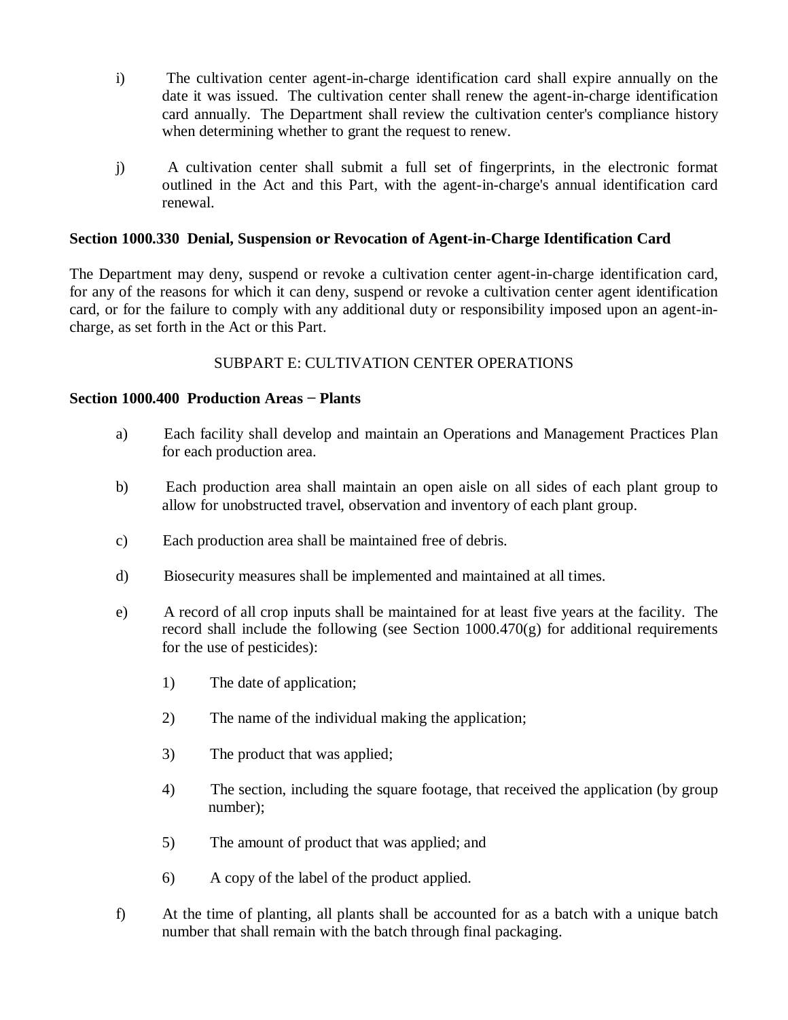- i) The cultivation center agent-in-charge identification card shall expire annually on the date it was issued. The cultivation center shall renew the agent-in-charge identification card annually. The Department shall review the cultivation center's compliance history when determining whether to grant the request to renew.
- j) A cultivation center shall submit a full set of fingerprints, in the electronic format outlined in the Act and this Part, with the agent-in-charge's annual identification card renewal.

# **Section 1000.330 Denial, Suspension or Revocation of Agent-in-Charge Identification Card**

The Department may deny, suspend or revoke a cultivation center agent-in-charge identification card, for any of the reasons for which it can deny, suspend or revoke a cultivation center agent identification card, or for the failure to comply with any additional duty or responsibility imposed upon an agent-incharge, as set forth in the Act or this Part.

# SUBPART E: CULTIVATION CENTER OPERATIONS

## **Section 1000.400 Production Areas − Plants**

- a) Each facility shall develop and maintain an Operations and Management Practices Plan for each production area.
- b) Each production area shall maintain an open aisle on all sides of each plant group to allow for unobstructed travel, observation and inventory of each plant group.
- c) Each production area shall be maintained free of debris.
- d) Biosecurity measures shall be implemented and maintained at all times.
- e) A record of all crop inputs shall be maintained for at least five years at the facility. The record shall include the following (see Section  $1000.470(g)$  for additional requirements for the use of pesticides):
	- 1) The date of application;
	- 2) The name of the individual making the application;
	- 3) The product that was applied;
	- 4) The section, including the square footage, that received the application (by group number);
	- 5) The amount of product that was applied; and
	- 6) A copy of the label of the product applied.
- f) At the time of planting, all plants shall be accounted for as a batch with a unique batch number that shall remain with the batch through final packaging.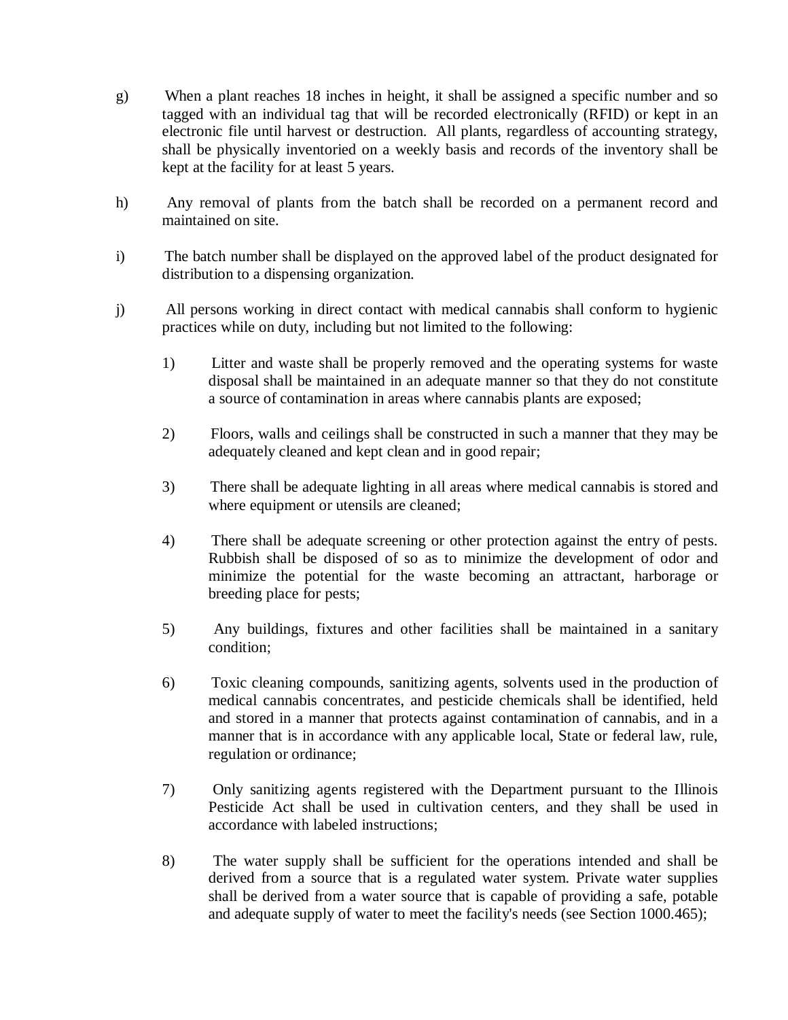- g) When a plant reaches 18 inches in height, it shall be assigned a specific number and so tagged with an individual tag that will be recorded electronically (RFID) or kept in an electronic file until harvest or destruction. All plants, regardless of accounting strategy, shall be physically inventoried on a weekly basis and records of the inventory shall be kept at the facility for at least 5 years.
- h) Any removal of plants from the batch shall be recorded on a permanent record and maintained on site.
- i) The batch number shall be displayed on the approved label of the product designated for distribution to a dispensing organization.
- j) All persons working in direct contact with medical cannabis shall conform to hygienic practices while on duty, including but not limited to the following:
	- 1) Litter and waste shall be properly removed and the operating systems for waste disposal shall be maintained in an adequate manner so that they do not constitute a source of contamination in areas where cannabis plants are exposed;
	- 2) Floors, walls and ceilings shall be constructed in such a manner that they may be adequately cleaned and kept clean and in good repair;
	- 3) There shall be adequate lighting in all areas where medical cannabis is stored and where equipment or utensils are cleaned;
	- 4) There shall be adequate screening or other protection against the entry of pests. Rubbish shall be disposed of so as to minimize the development of odor and minimize the potential for the waste becoming an attractant, harborage or breeding place for pests;
	- 5) Any buildings, fixtures and other facilities shall be maintained in a sanitary condition;
	- 6) Toxic cleaning compounds, sanitizing agents, solvents used in the production of medical cannabis concentrates, and pesticide chemicals shall be identified, held and stored in a manner that protects against contamination of cannabis, and in a manner that is in accordance with any applicable local, State or federal law, rule, regulation or ordinance;
	- 7) Only sanitizing agents registered with the Department pursuant to the Illinois Pesticide Act shall be used in cultivation centers, and they shall be used in accordance with labeled instructions;
	- 8) The water supply shall be sufficient for the operations intended and shall be derived from a source that is a regulated water system. Private water supplies shall be derived from a water source that is capable of providing a safe, potable and adequate supply of water to meet the facility's needs (see Section 1000.465);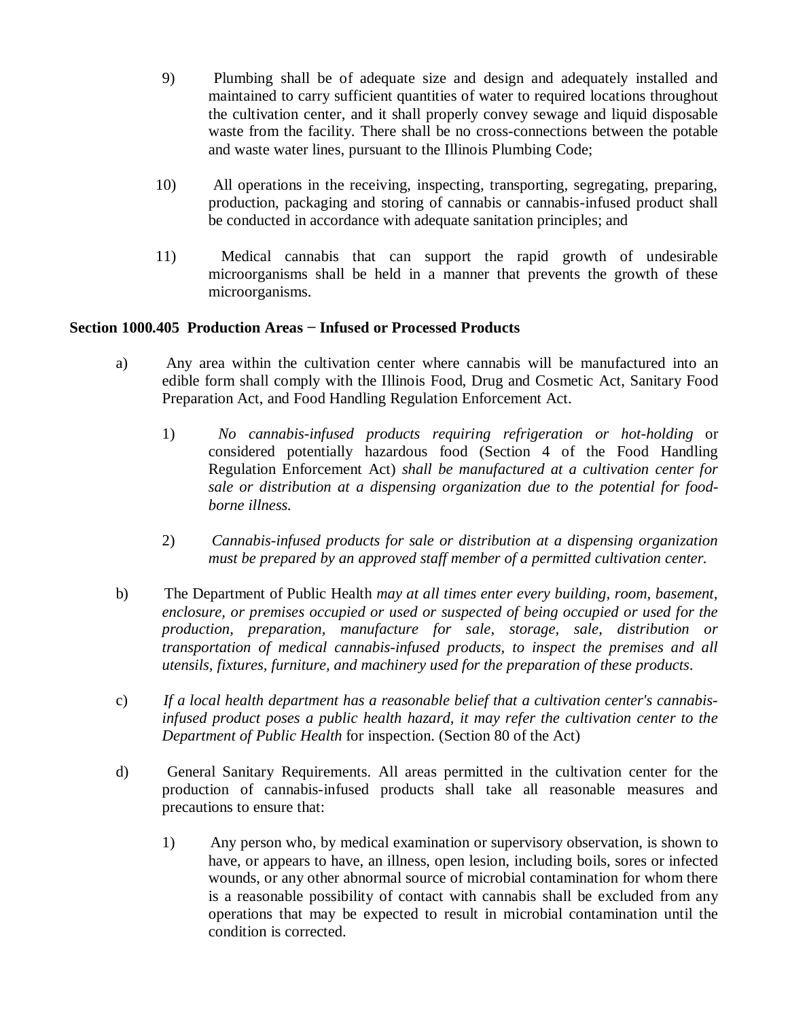- 9) Plumbing shall be of adequate size and design and adequately installed and maintained to carry sufficient quantities of water to required locations throughout the cultivation center, and it shall properly convey sewage and liquid disposable waste from the facility. There shall be no cross-connections between the potable and waste water lines, pursuant to the Illinois Plumbing Code;
- 10) All operations in the receiving, inspecting, transporting, segregating, preparing, production, packaging and storing of cannabis or cannabis-infused product shall be conducted in accordance with adequate sanitation principles; and
- 11) Medical cannabis that can support the rapid growth of undesirable microorganisms shall be held in a manner that prevents the growth of these microorganisms.

# **Section 1000.405 Production Areas − Infused or Processed Products**

- a) Any area within the cultivation center where cannabis will be manufactured into an edible form shall comply with the Illinois Food, Drug and Cosmetic Act, Sanitary Food Preparation Act, and Food Handling Regulation Enforcement Act.
	- 1) *No cannabis-infused products requiring refrigeration or hot-holding* or considered potentially hazardous food (Section 4 of the Food Handling Regulation Enforcement Act) *shall be manufactured at a cultivation center for sale or distribution at a dispensing organization due to the potential for foodborne illness.*
	- 2) *Cannabis-infused products for sale or distribution at a dispensing organization must be prepared by an approved staff member of a permitted cultivation center.*
- b) The Department of Public Health *may at all times enter every building, room, basement, enclosure, or premises occupied or used or suspected of being occupied or used for the production, preparation, manufacture for sale, storage, sale, distribution or transportation of medical cannabis-infused products, to inspect the premises and all utensils, fixtures, furniture, and machinery used for the preparation of these products*.
- c) *If a local health department has a reasonable belief that a cultivation center's cannabisinfused product poses a public health hazard, it may refer the cultivation center to the Department of Public Health* for inspection. (Section 80 of the Act)
- d) General Sanitary Requirements. All areas permitted in the cultivation center for the production of cannabis-infused products shall take all reasonable measures and precautions to ensure that:
	- 1) Any person who, by medical examination or supervisory observation, is shown to have, or appears to have, an illness, open lesion, including boils, sores or infected wounds, or any other abnormal source of microbial contamination for whom there is a reasonable possibility of contact with cannabis shall be excluded from any operations that may be expected to result in microbial contamination until the condition is corrected.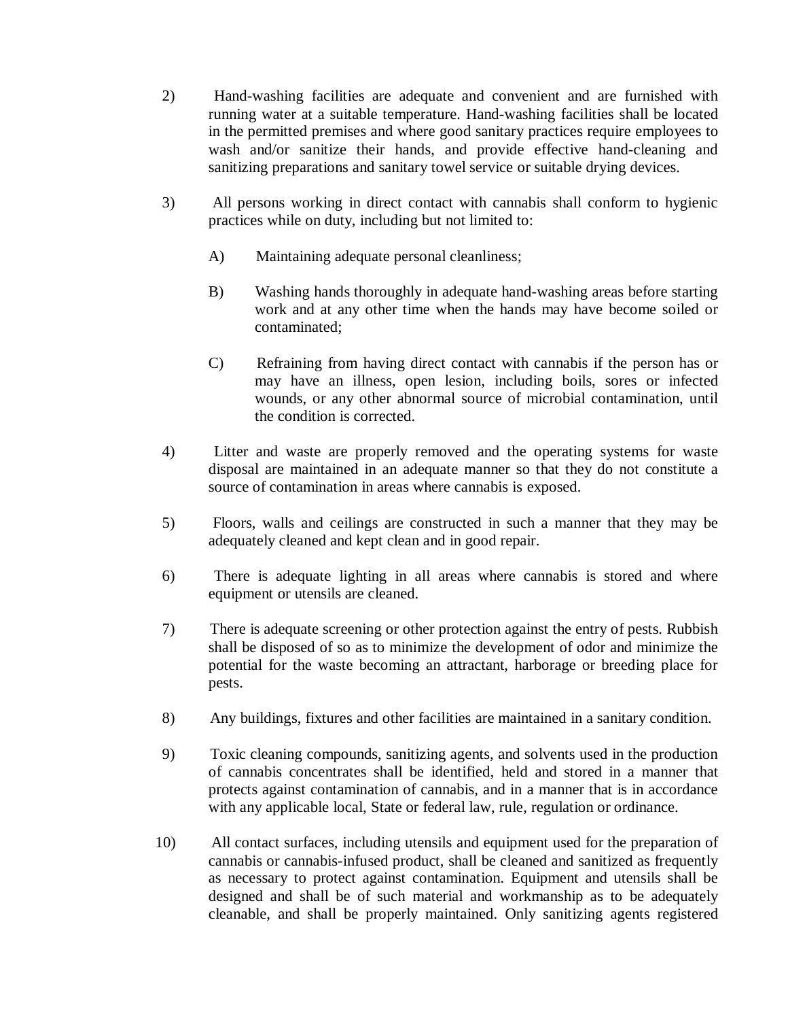- 2) Hand-washing facilities are adequate and convenient and are furnished with running water at a suitable temperature. Hand-washing facilities shall be located in the permitted premises and where good sanitary practices require employees to wash and/or sanitize their hands, and provide effective hand-cleaning and sanitizing preparations and sanitary towel service or suitable drying devices.
- 3) All persons working in direct contact with cannabis shall conform to hygienic practices while on duty, including but not limited to:
	- A) Maintaining adequate personal cleanliness;
	- B) Washing hands thoroughly in adequate hand-washing areas before starting work and at any other time when the hands may have become soiled or contaminated;
	- C) Refraining from having direct contact with cannabis if the person has or may have an illness, open lesion, including boils, sores or infected wounds, or any other abnormal source of microbial contamination, until the condition is corrected.
- 4) Litter and waste are properly removed and the operating systems for waste disposal are maintained in an adequate manner so that they do not constitute a source of contamination in areas where cannabis is exposed.
- 5) Floors, walls and ceilings are constructed in such a manner that they may be adequately cleaned and kept clean and in good repair.
- 6) There is adequate lighting in all areas where cannabis is stored and where equipment or utensils are cleaned.
- 7) There is adequate screening or other protection against the entry of pests. Rubbish shall be disposed of so as to minimize the development of odor and minimize the potential for the waste becoming an attractant, harborage or breeding place for pests.
- 8) Any buildings, fixtures and other facilities are maintained in a sanitary condition.
- 9) Toxic cleaning compounds, sanitizing agents, and solvents used in the production of cannabis concentrates shall be identified, held and stored in a manner that protects against contamination of cannabis, and in a manner that is in accordance with any applicable local, State or federal law, rule, regulation or ordinance.
- 10) All contact surfaces, including utensils and equipment used for the preparation of cannabis or cannabis-infused product, shall be cleaned and sanitized as frequently as necessary to protect against contamination. Equipment and utensils shall be designed and shall be of such material and workmanship as to be adequately cleanable, and shall be properly maintained. Only sanitizing agents registered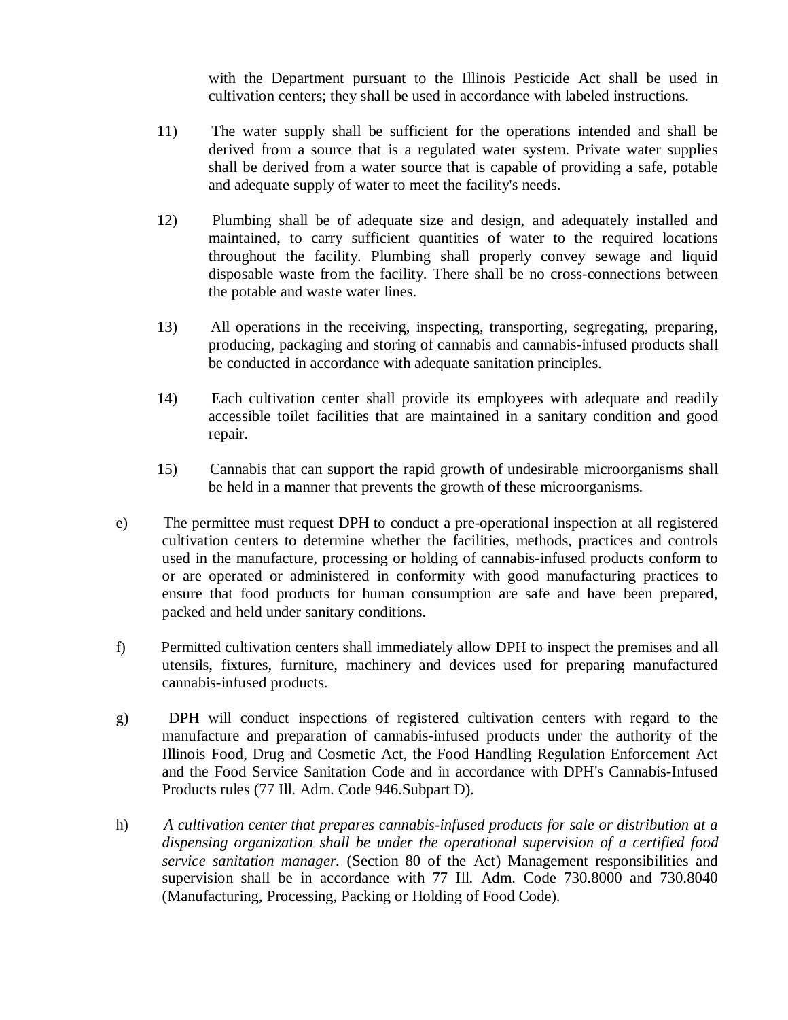with the Department pursuant to the Illinois Pesticide Act shall be used in cultivation centers; they shall be used in accordance with labeled instructions.

- 11) The water supply shall be sufficient for the operations intended and shall be derived from a source that is a regulated water system. Private water supplies shall be derived from a water source that is capable of providing a safe, potable and adequate supply of water to meet the facility's needs.
- 12) Plumbing shall be of adequate size and design, and adequately installed and maintained, to carry sufficient quantities of water to the required locations throughout the facility. Plumbing shall properly convey sewage and liquid disposable waste from the facility. There shall be no cross-connections between the potable and waste water lines.
- 13) All operations in the receiving, inspecting, transporting, segregating, preparing, producing, packaging and storing of cannabis and cannabis-infused products shall be conducted in accordance with adequate sanitation principles.
- 14) Each cultivation center shall provide its employees with adequate and readily accessible toilet facilities that are maintained in a sanitary condition and good repair.
- 15) Cannabis that can support the rapid growth of undesirable microorganisms shall be held in a manner that prevents the growth of these microorganisms.
- e) The permittee must request DPH to conduct a pre-operational inspection at all registered cultivation centers to determine whether the facilities, methods, practices and controls used in the manufacture, processing or holding of cannabis-infused products conform to or are operated or administered in conformity with good manufacturing practices to ensure that food products for human consumption are safe and have been prepared, packed and held under sanitary conditions.
- f) Permitted cultivation centers shall immediately allow DPH to inspect the premises and all utensils, fixtures, furniture, machinery and devices used for preparing manufactured cannabis-infused products.
- g) DPH will conduct inspections of registered cultivation centers with regard to the manufacture and preparation of cannabis-infused products under the authority of the Illinois Food, Drug and Cosmetic Act, the Food Handling Regulation Enforcement Act and the Food Service Sanitation Code and in accordance with DPH's Cannabis-Infused Products rules (77 Ill. Adm. Code 946.Subpart D).
- h) *A cultivation center that prepares cannabis-infused products for sale or distribution at a dispensing organization shall be under the operational supervision of a certified food service sanitation manager.* (Section 80 of the Act) Management responsibilities and supervision shall be in accordance with 77 Ill. Adm. Code 730.8000 and 730.8040 (Manufacturing, Processing, Packing or Holding of Food Code).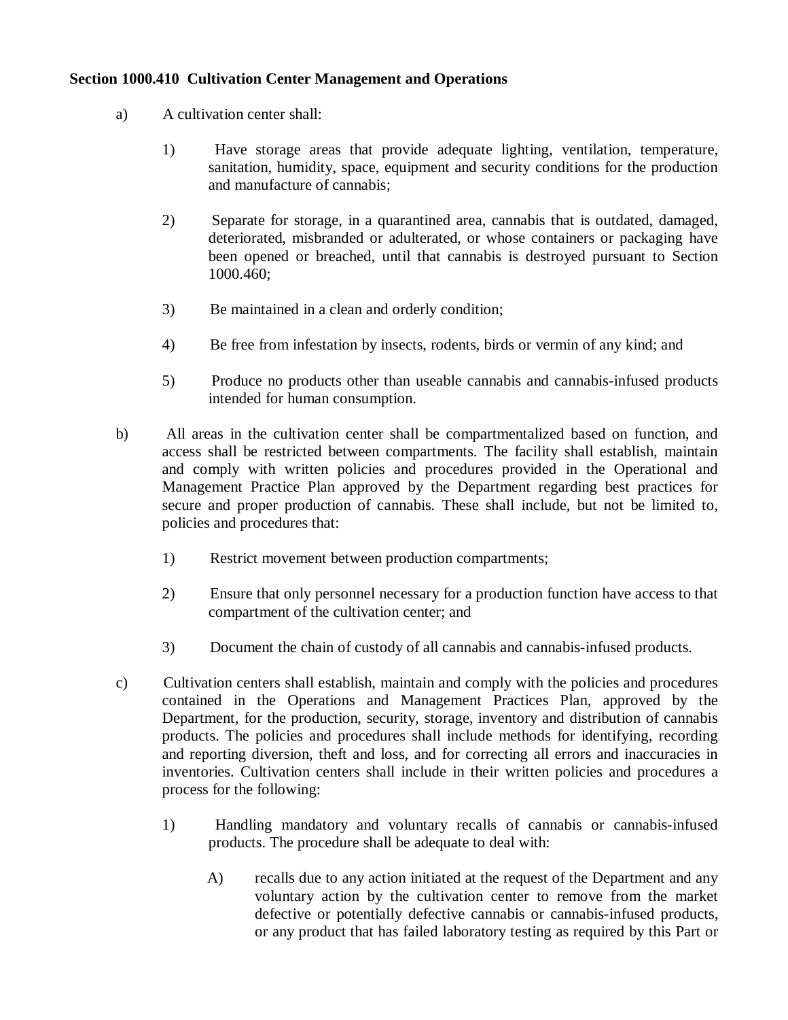# **Section 1000.410 Cultivation Center Management and Operations**

- a) A cultivation center shall:
	- 1) Have storage areas that provide adequate lighting, ventilation, temperature, sanitation, humidity, space, equipment and security conditions for the production and manufacture of cannabis;
	- 2) Separate for storage, in a quarantined area, cannabis that is outdated, damaged, deteriorated, misbranded or adulterated, or whose containers or packaging have been opened or breached, until that cannabis is destroyed pursuant to Section 1000.460;
	- 3) Be maintained in a clean and orderly condition;
	- 4) Be free from infestation by insects, rodents, birds or vermin of any kind; and
	- 5) Produce no products other than useable cannabis and cannabis-infused products intended for human consumption.
- b) All areas in the cultivation center shall be compartmentalized based on function, and access shall be restricted between compartments. The facility shall establish, maintain and comply with written policies and procedures provided in the Operational and Management Practice Plan approved by the Department regarding best practices for secure and proper production of cannabis. These shall include, but not be limited to, policies and procedures that:
	- 1) Restrict movement between production compartments;
	- 2) Ensure that only personnel necessary for a production function have access to that compartment of the cultivation center; and
	- 3) Document the chain of custody of all cannabis and cannabis-infused products.
- c) Cultivation centers shall establish, maintain and comply with the policies and procedures contained in the Operations and Management Practices Plan, approved by the Department, for the production, security, storage, inventory and distribution of cannabis products. The policies and procedures shall include methods for identifying, recording and reporting diversion, theft and loss, and for correcting all errors and inaccuracies in inventories. Cultivation centers shall include in their written policies and procedures a process for the following:
	- 1) Handling mandatory and voluntary recalls of cannabis or cannabis-infused products. The procedure shall be adequate to deal with:
		- A) recalls due to any action initiated at the request of the Department and any voluntary action by the cultivation center to remove from the market defective or potentially defective cannabis or cannabis-infused products, or any product that has failed laboratory testing as required by this Part or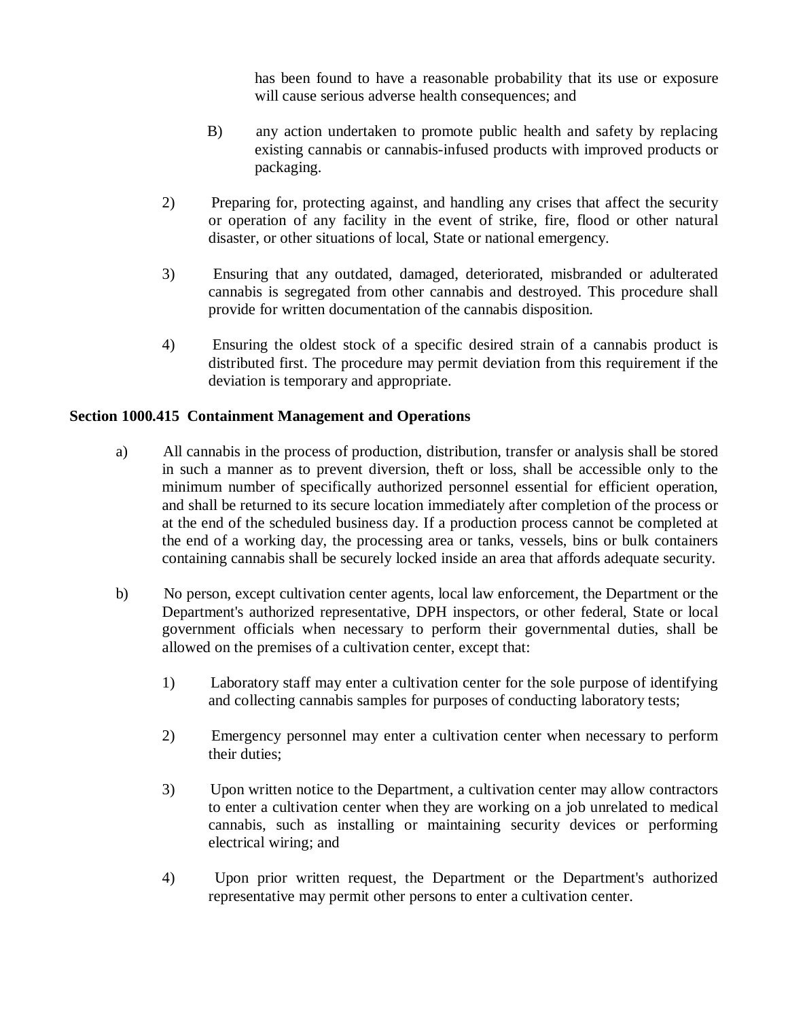has been found to have a reasonable probability that its use or exposure will cause serious adverse health consequences; and

- B) any action undertaken to promote public health and safety by replacing existing cannabis or cannabis-infused products with improved products or packaging.
- 2) Preparing for, protecting against, and handling any crises that affect the security or operation of any facility in the event of strike, fire, flood or other natural disaster, or other situations of local, State or national emergency.
- 3) Ensuring that any outdated, damaged, deteriorated, misbranded or adulterated cannabis is segregated from other cannabis and destroyed. This procedure shall provide for written documentation of the cannabis disposition.
- 4) Ensuring the oldest stock of a specific desired strain of a cannabis product is distributed first. The procedure may permit deviation from this requirement if the deviation is temporary and appropriate.

# **Section 1000.415 Containment Management and Operations**

- a) All cannabis in the process of production, distribution, transfer or analysis shall be stored in such a manner as to prevent diversion, theft or loss, shall be accessible only to the minimum number of specifically authorized personnel essential for efficient operation, and shall be returned to its secure location immediately after completion of the process or at the end of the scheduled business day. If a production process cannot be completed at the end of a working day, the processing area or tanks, vessels, bins or bulk containers containing cannabis shall be securely locked inside an area that affords adequate security.
- b) No person, except cultivation center agents, local law enforcement, the Department or the Department's authorized representative, DPH inspectors, or other federal, State or local government officials when necessary to perform their governmental duties, shall be allowed on the premises of a cultivation center, except that:
	- 1) Laboratory staff may enter a cultivation center for the sole purpose of identifying and collecting cannabis samples for purposes of conducting laboratory tests;
	- 2) Emergency personnel may enter a cultivation center when necessary to perform their duties;
	- 3) Upon written notice to the Department, a cultivation center may allow contractors to enter a cultivation center when they are working on a job unrelated to medical cannabis, such as installing or maintaining security devices or performing electrical wiring; and
	- 4) Upon prior written request, the Department or the Department's authorized representative may permit other persons to enter a cultivation center.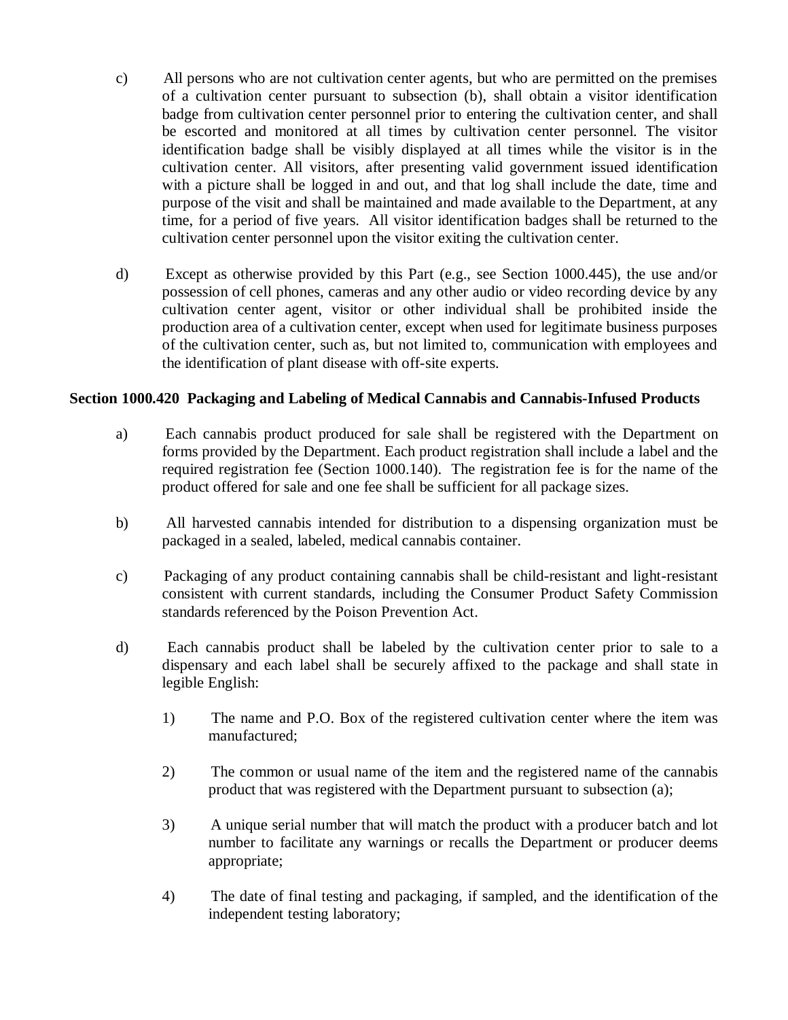- c) All persons who are not cultivation center agents, but who are permitted on the premises of a cultivation center pursuant to subsection (b), shall obtain a visitor identification badge from cultivation center personnel prior to entering the cultivation center, and shall be escorted and monitored at all times by cultivation center personnel. The visitor identification badge shall be visibly displayed at all times while the visitor is in the cultivation center. All visitors, after presenting valid government issued identification with a picture shall be logged in and out, and that log shall include the date, time and purpose of the visit and shall be maintained and made available to the Department, at any time, for a period of five years. All visitor identification badges shall be returned to the cultivation center personnel upon the visitor exiting the cultivation center.
- d) Except as otherwise provided by this Part (e.g., see Section 1000.445), the use and/or possession of cell phones, cameras and any other audio or video recording device by any cultivation center agent, visitor or other individual shall be prohibited inside the production area of a cultivation center, except when used for legitimate business purposes of the cultivation center, such as, but not limited to, communication with employees and the identification of plant disease with off-site experts.

#### **Section 1000.420 Packaging and Labeling of Medical Cannabis and Cannabis-Infused Products**

- a) Each cannabis product produced for sale shall be registered with the Department on forms provided by the Department. Each product registration shall include a label and the required registration fee (Section 1000.140). The registration fee is for the name of the product offered for sale and one fee shall be sufficient for all package sizes.
- b) All harvested cannabis intended for distribution to a dispensing organization must be packaged in a sealed, labeled, medical cannabis container.
- c) Packaging of any product containing cannabis shall be child-resistant and light-resistant consistent with current standards, including the Consumer Product Safety Commission standards referenced by the Poison Prevention Act.
- d) Each cannabis product shall be labeled by the cultivation center prior to sale to a dispensary and each label shall be securely affixed to the package and shall state in legible English:
	- 1) The name and P.O. Box of the registered cultivation center where the item was manufactured;
	- 2) The common or usual name of the item and the registered name of the cannabis product that was registered with the Department pursuant to subsection (a);
	- 3) A unique serial number that will match the product with a producer batch and lot number to facilitate any warnings or recalls the Department or producer deems appropriate;
	- 4) The date of final testing and packaging, if sampled, and the identification of the independent testing laboratory;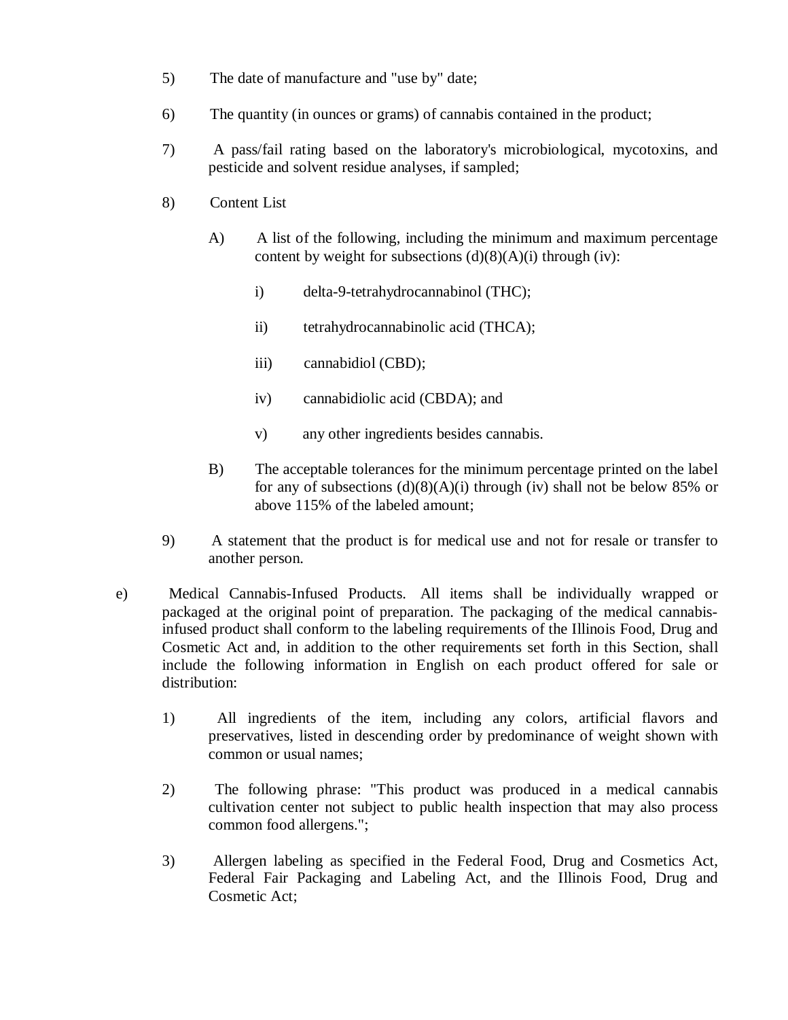- 5) The date of manufacture and "use by" date;
- 6) The quantity (in ounces or grams) of cannabis contained in the product;
- 7) A pass/fail rating based on the laboratory's microbiological, mycotoxins, and pesticide and solvent residue analyses, if sampled;
- 8) Content List
	- A) A list of the following, including the minimum and maximum percentage content by weight for subsections  $(d)(8)(A)(i)$  through (iv):
		- i) delta-9-tetrahydrocannabinol (THC);
		- ii) tetrahydrocannabinolic acid (THCA);
		- iii) cannabidiol (CBD);
		- iv) cannabidiolic acid (CBDA); and
		- v) any other ingredients besides cannabis.
	- B) The acceptable tolerances for the minimum percentage printed on the label for any of subsections  $(d)(8)(A)(i)$  through (iv) shall not be below 85% or above 115% of the labeled amount;
- 9) A statement that the product is for medical use and not for resale or transfer to another person.
- e) Medical Cannabis-Infused Products. All items shall be individually wrapped or packaged at the original point of preparation. The packaging of the medical cannabisinfused product shall conform to the labeling requirements of the Illinois Food, Drug and Cosmetic Act and, in addition to the other requirements set forth in this Section, shall include the following information in English on each product offered for sale or distribution:
	- 1) All ingredients of the item, including any colors, artificial flavors and preservatives, listed in descending order by predominance of weight shown with common or usual names;
	- 2) The following phrase: "This product was produced in a medical cannabis cultivation center not subject to public health inspection that may also process common food allergens.";
	- 3) Allergen labeling as specified in the Federal Food, Drug and Cosmetics Act, Federal Fair Packaging and Labeling Act, and the Illinois Food, Drug and Cosmetic Act;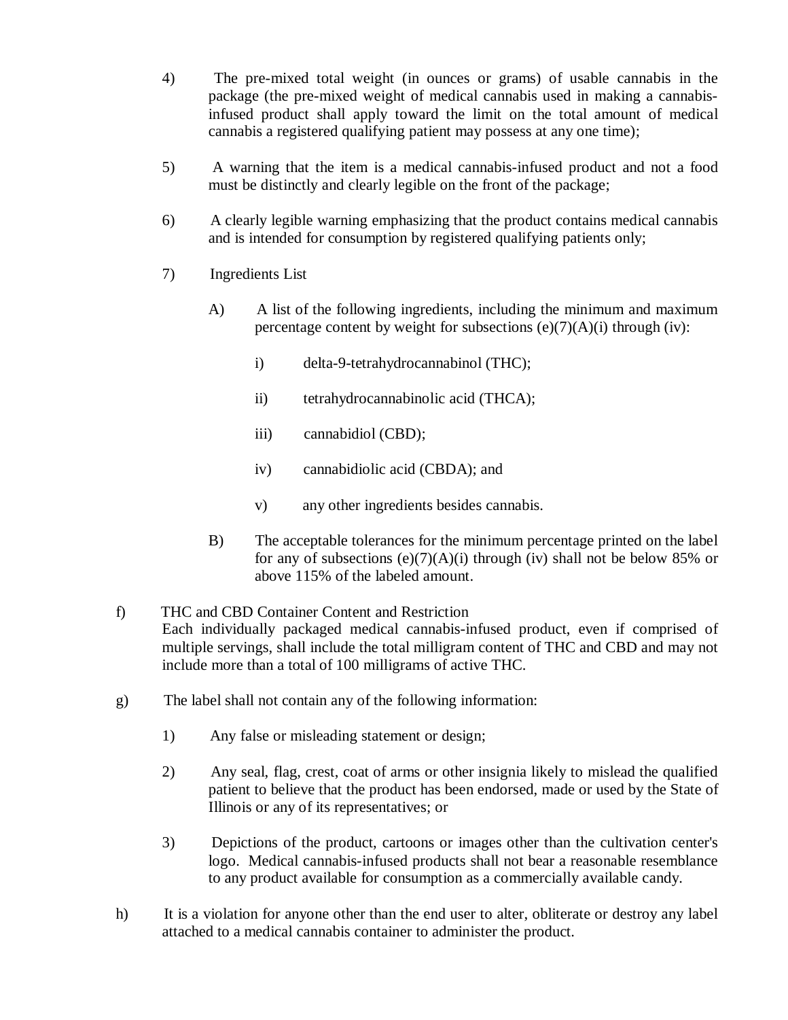- 4) The pre-mixed total weight (in ounces or grams) of usable cannabis in the package (the pre-mixed weight of medical cannabis used in making a cannabisinfused product shall apply toward the limit on the total amount of medical cannabis a registered qualifying patient may possess at any one time);
- 5) A warning that the item is a medical cannabis-infused product and not a food must be distinctly and clearly legible on the front of the package;
- 6) A clearly legible warning emphasizing that the product contains medical cannabis and is intended for consumption by registered qualifying patients only;
- 7) Ingredients List
	- A) A list of the following ingredients, including the minimum and maximum percentage content by weight for subsections  $(e)(7)(A)(i)$  through  $(iv)$ :
		- i) delta-9-tetrahydrocannabinol (THC);
		- ii) tetrahydrocannabinolic acid (THCA);
		- iii) cannabidiol (CBD);
		- iv) cannabidiolic acid (CBDA); and
		- v) any other ingredients besides cannabis.
	- B) The acceptable tolerances for the minimum percentage printed on the label for any of subsections  $(e)(7)(A)(i)$  through (iv) shall not be below 85% or above 115% of the labeled amount.
- f) THC and CBD Container Content and Restriction Each individually packaged medical cannabis-infused product, even if comprised of multiple servings, shall include the total milligram content of THC and CBD and may not include more than a total of 100 milligrams of active THC.
- g) The label shall not contain any of the following information:
	- 1) Any false or misleading statement or design;
	- 2) Any seal, flag, crest, coat of arms or other insignia likely to mislead the qualified patient to believe that the product has been endorsed, made or used by the State of Illinois or any of its representatives; or
	- 3) Depictions of the product, cartoons or images other than the cultivation center's logo. Medical cannabis-infused products shall not bear a reasonable resemblance to any product available for consumption as a commercially available candy.
- h) It is a violation for anyone other than the end user to alter, obliterate or destroy any label attached to a medical cannabis container to administer the product.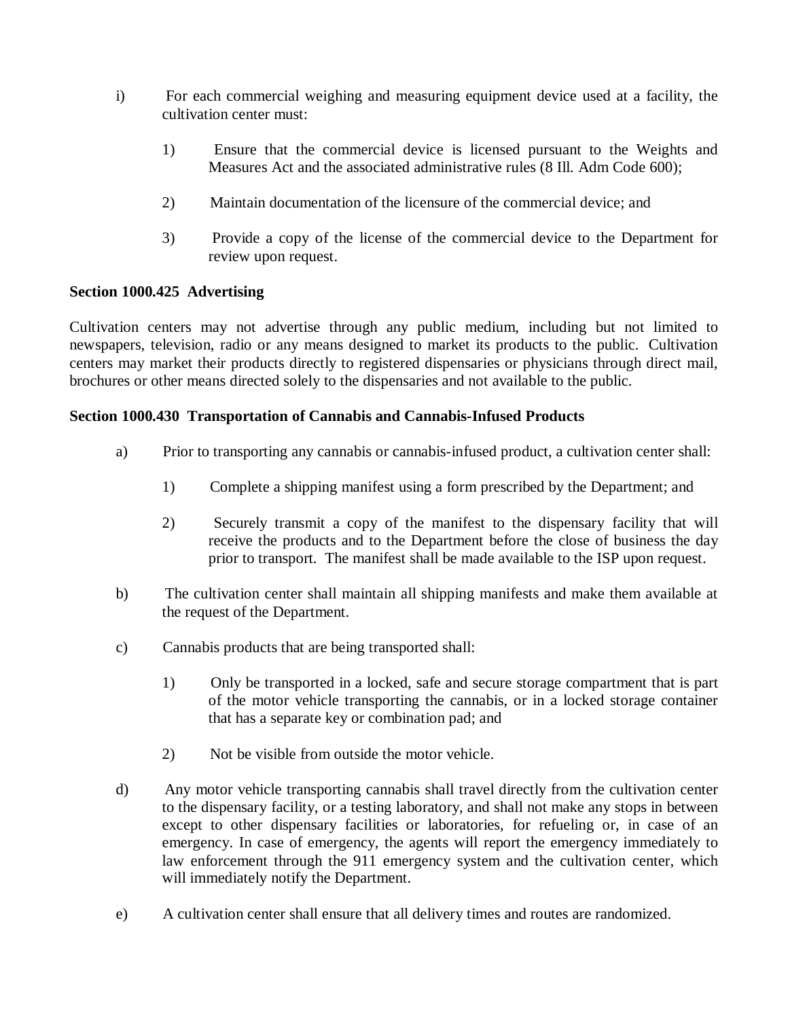- i) For each commercial weighing and measuring equipment device used at a facility, the cultivation center must:
	- 1) Ensure that the commercial device is licensed pursuant to the Weights and Measures Act and the associated administrative rules (8 Ill. Adm Code 600);
	- 2) Maintain documentation of the licensure of the commercial device; and
	- 3) Provide a copy of the license of the commercial device to the Department for review upon request.

# **Section 1000.425 Advertising**

Cultivation centers may not advertise through any public medium, including but not limited to newspapers, television, radio or any means designed to market its products to the public. Cultivation centers may market their products directly to registered dispensaries or physicians through direct mail, brochures or other means directed solely to the dispensaries and not available to the public.

# **Section 1000.430 Transportation of Cannabis and Cannabis-Infused Products**

- a) Prior to transporting any cannabis or cannabis-infused product, a cultivation center shall:
	- 1) Complete a shipping manifest using a form prescribed by the Department; and
	- 2) Securely transmit a copy of the manifest to the dispensary facility that will receive the products and to the Department before the close of business the day prior to transport. The manifest shall be made available to the ISP upon request.
- b) The cultivation center shall maintain all shipping manifests and make them available at the request of the Department.
- c) Cannabis products that are being transported shall:
	- 1) Only be transported in a locked, safe and secure storage compartment that is part of the motor vehicle transporting the cannabis, or in a locked storage container that has a separate key or combination pad; and
	- 2) Not be visible from outside the motor vehicle.
- d) Any motor vehicle transporting cannabis shall travel directly from the cultivation center to the dispensary facility, or a testing laboratory, and shall not make any stops in between except to other dispensary facilities or laboratories, for refueling or, in case of an emergency. In case of emergency, the agents will report the emergency immediately to law enforcement through the 911 emergency system and the cultivation center, which will immediately notify the Department.
- e) A cultivation center shall ensure that all delivery times and routes are randomized.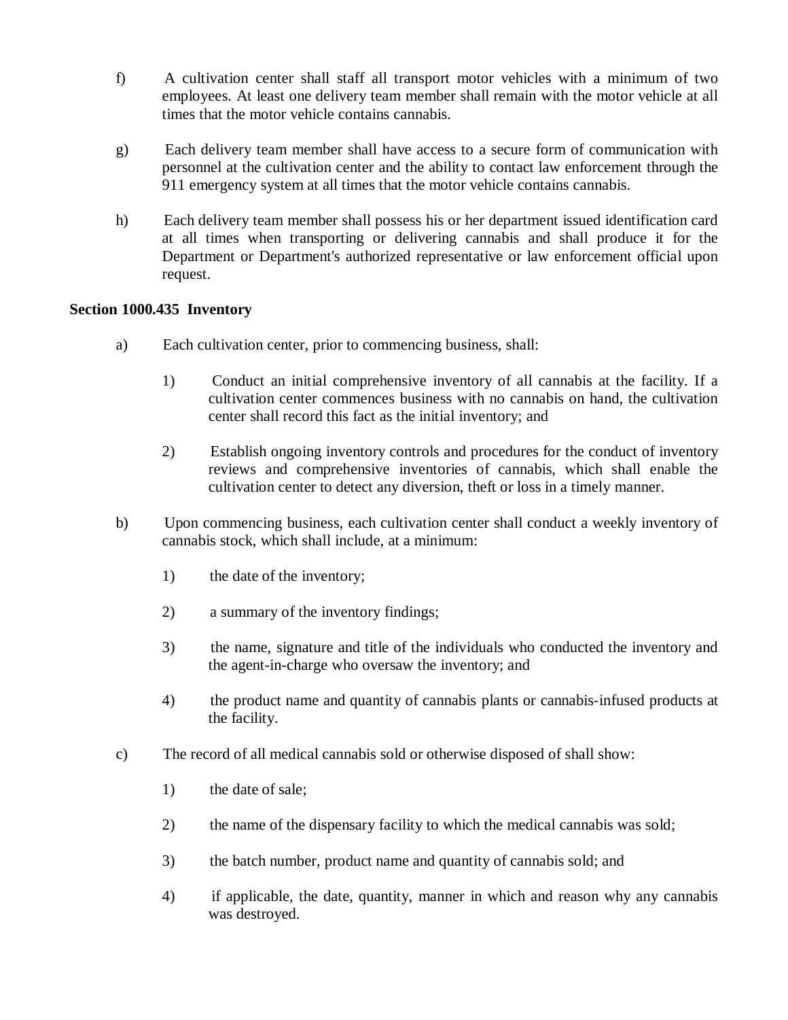- f) A cultivation center shall staff all transport motor vehicles with a minimum of two employees. At least one delivery team member shall remain with the motor vehicle at all times that the motor vehicle contains cannabis.
- g) Each delivery team member shall have access to a secure form of communication with personnel at the cultivation center and the ability to contact law enforcement through the 911 emergency system at all times that the motor vehicle contains cannabis.
- h) Each delivery team member shall possess his or her department issued identification card at all times when transporting or delivering cannabis and shall produce it for the Department or Department's authorized representative or law enforcement official upon request.

# **Section 1000.435 Inventory**

- a) Each cultivation center, prior to commencing business, shall:
	- 1) Conduct an initial comprehensive inventory of all cannabis at the facility. If a cultivation center commences business with no cannabis on hand, the cultivation center shall record this fact as the initial inventory; and
	- 2) Establish ongoing inventory controls and procedures for the conduct of inventory reviews and comprehensive inventories of cannabis, which shall enable the cultivation center to detect any diversion, theft or loss in a timely manner.
- b) Upon commencing business, each cultivation center shall conduct a weekly inventory of cannabis stock, which shall include, at a minimum:
	- 1) the date of the inventory;
	- 2) a summary of the inventory findings;
	- 3) the name, signature and title of the individuals who conducted the inventory and the agent-in-charge who oversaw the inventory; and
	- 4) the product name and quantity of cannabis plants or cannabis-infused products at the facility.
- c) The record of all medical cannabis sold or otherwise disposed of shall show:
	- 1) the date of sale;
	- 2) the name of the dispensary facility to which the medical cannabis was sold;
	- 3) the batch number, product name and quantity of cannabis sold; and
	- 4) if applicable, the date, quantity, manner in which and reason why any cannabis was destroyed.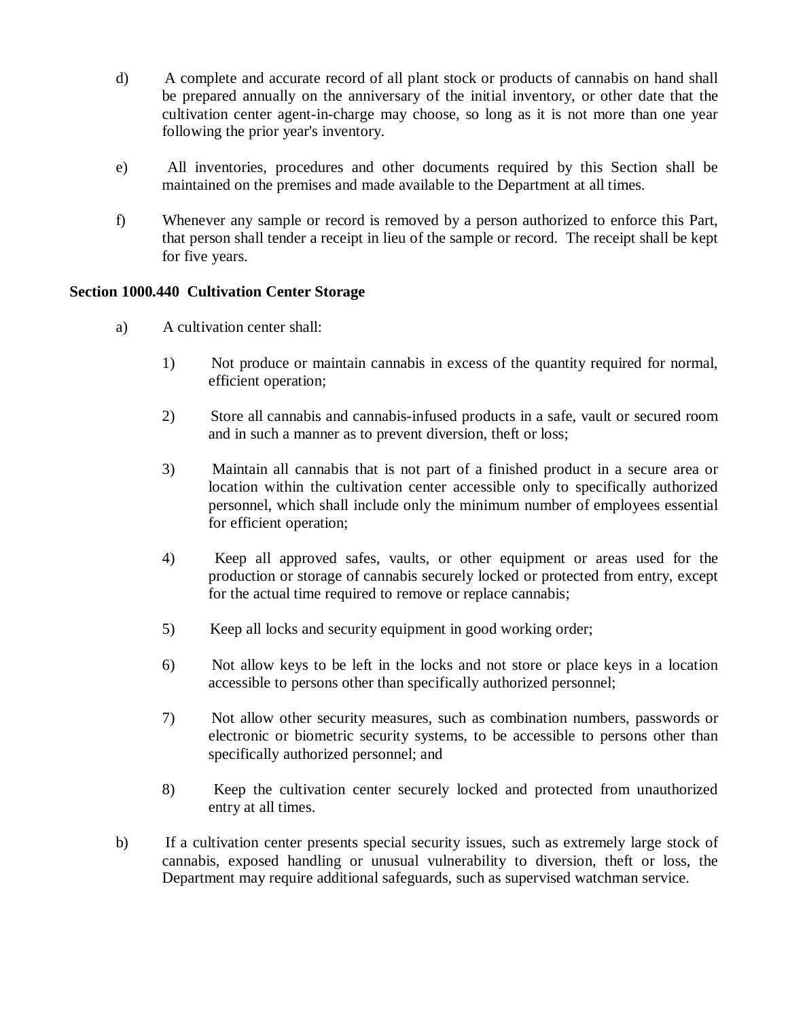- d) A complete and accurate record of all plant stock or products of cannabis on hand shall be prepared annually on the anniversary of the initial inventory, or other date that the cultivation center agent-in-charge may choose, so long as it is not more than one year following the prior year's inventory.
- e) All inventories, procedures and other documents required by this Section shall be maintained on the premises and made available to the Department at all times.
- f) Whenever any sample or record is removed by a person authorized to enforce this Part, that person shall tender a receipt in lieu of the sample or record. The receipt shall be kept for five years.

# **Section 1000.440 Cultivation Center Storage**

- a) A cultivation center shall:
	- 1) Not produce or maintain cannabis in excess of the quantity required for normal, efficient operation;
	- 2) Store all cannabis and cannabis-infused products in a safe, vault or secured room and in such a manner as to prevent diversion, theft or loss;
	- 3) Maintain all cannabis that is not part of a finished product in a secure area or location within the cultivation center accessible only to specifically authorized personnel, which shall include only the minimum number of employees essential for efficient operation;
	- 4) Keep all approved safes, vaults, or other equipment or areas used for the production or storage of cannabis securely locked or protected from entry, except for the actual time required to remove or replace cannabis;
	- 5) Keep all locks and security equipment in good working order;
	- 6) Not allow keys to be left in the locks and not store or place keys in a location accessible to persons other than specifically authorized personnel;
	- 7) Not allow other security measures, such as combination numbers, passwords or electronic or biometric security systems, to be accessible to persons other than specifically authorized personnel; and
	- 8) Keep the cultivation center securely locked and protected from unauthorized entry at all times.
- b) If a cultivation center presents special security issues, such as extremely large stock of cannabis, exposed handling or unusual vulnerability to diversion, theft or loss, the Department may require additional safeguards, such as supervised watchman service.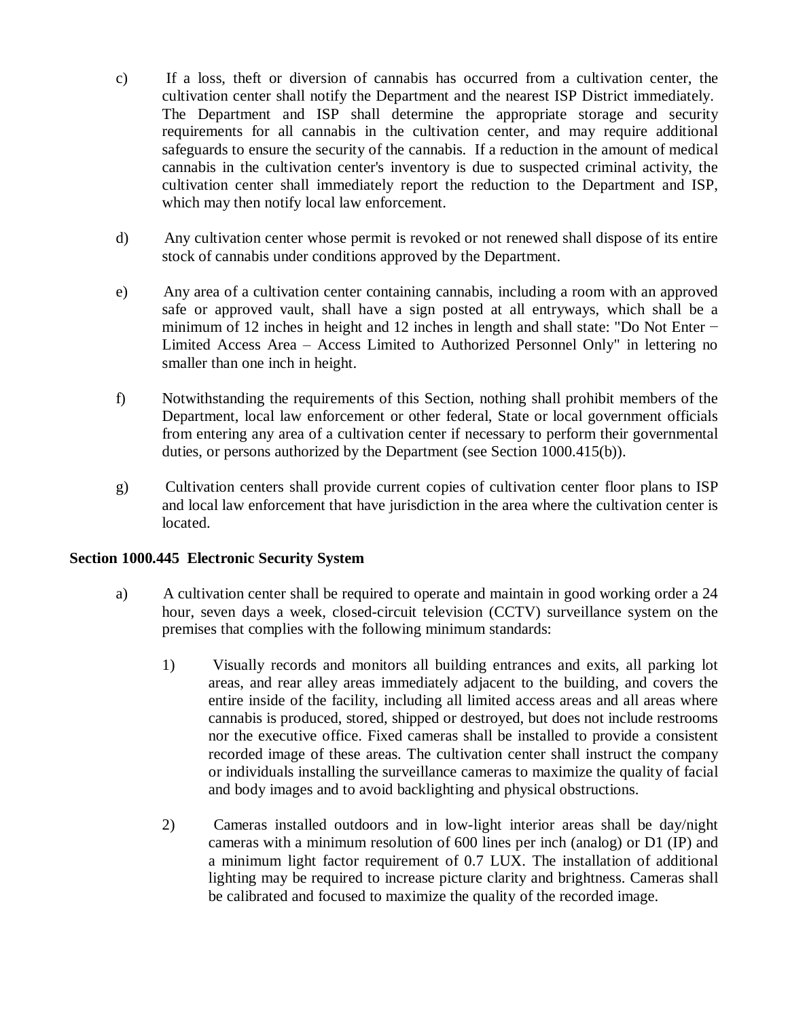- c) If a loss, theft or diversion of cannabis has occurred from a cultivation center, the cultivation center shall notify the Department and the nearest ISP District immediately. The Department and ISP shall determine the appropriate storage and security requirements for all cannabis in the cultivation center, and may require additional safeguards to ensure the security of the cannabis. If a reduction in the amount of medical cannabis in the cultivation center's inventory is due to suspected criminal activity, the cultivation center shall immediately report the reduction to the Department and ISP, which may then notify local law enforcement.
- d) Any cultivation center whose permit is revoked or not renewed shall dispose of its entire stock of cannabis under conditions approved by the Department.
- e) Any area of a cultivation center containing cannabis, including a room with an approved safe or approved vault, shall have a sign posted at all entryways, which shall be a minimum of 12 inches in height and 12 inches in length and shall state: "Do Not Enter − Limited Access Area – Access Limited to Authorized Personnel Only" in lettering no smaller than one inch in height.
- f) Notwithstanding the requirements of this Section, nothing shall prohibit members of the Department, local law enforcement or other federal, State or local government officials from entering any area of a cultivation center if necessary to perform their governmental duties, or persons authorized by the Department (see Section 1000.415(b)).
- g) Cultivation centers shall provide current copies of cultivation center floor plans to ISP and local law enforcement that have jurisdiction in the area where the cultivation center is located.

#### **Section 1000.445 Electronic Security System**

- a) A cultivation center shall be required to operate and maintain in good working order a 24 hour, seven days a week, closed-circuit television (CCTV) surveillance system on the premises that complies with the following minimum standards:
	- 1) Visually records and monitors all building entrances and exits, all parking lot areas, and rear alley areas immediately adjacent to the building, and covers the entire inside of the facility, including all limited access areas and all areas where cannabis is produced, stored, shipped or destroyed, but does not include restrooms nor the executive office. Fixed cameras shall be installed to provide a consistent recorded image of these areas. The cultivation center shall instruct the company or individuals installing the surveillance cameras to maximize the quality of facial and body images and to avoid backlighting and physical obstructions.
	- 2) Cameras installed outdoors and in low-light interior areas shall be day/night cameras with a minimum resolution of 600 lines per inch (analog) or D1 (IP) and a minimum light factor requirement of 0.7 LUX. The installation of additional lighting may be required to increase picture clarity and brightness. Cameras shall be calibrated and focused to maximize the quality of the recorded image.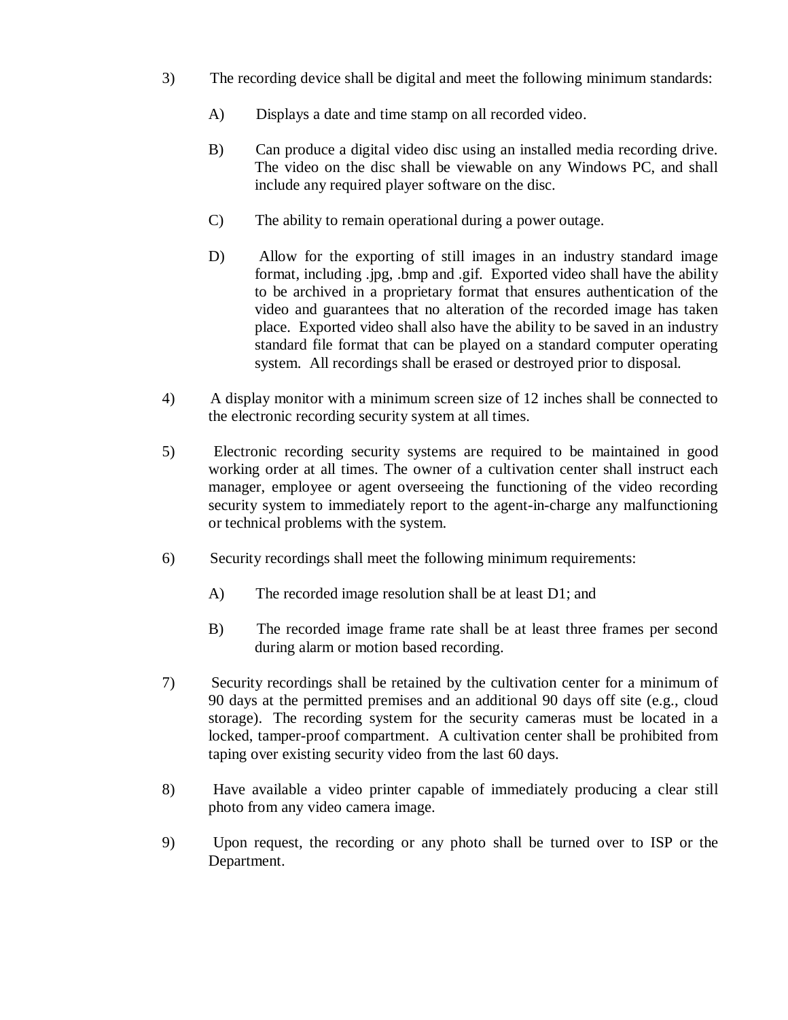- 3) The recording device shall be digital and meet the following minimum standards:
	- A) Displays a date and time stamp on all recorded video.
	- B) Can produce a digital video disc using an installed media recording drive. The video on the disc shall be viewable on any Windows PC, and shall include any required player software on the disc.
	- C) The ability to remain operational during a power outage.
	- D) Allow for the exporting of still images in an industry standard image format, including .jpg, .bmp and .gif. Exported video shall have the ability to be archived in a proprietary format that ensures authentication of the video and guarantees that no alteration of the recorded image has taken place. Exported video shall also have the ability to be saved in an industry standard file format that can be played on a standard computer operating system. All recordings shall be erased or destroyed prior to disposal.
- 4) A display monitor with a minimum screen size of 12 inches shall be connected to the electronic recording security system at all times.
- 5) Electronic recording security systems are required to be maintained in good working order at all times. The owner of a cultivation center shall instruct each manager, employee or agent overseeing the functioning of the video recording security system to immediately report to the agent-in-charge any malfunctioning or technical problems with the system.
- 6) Security recordings shall meet the following minimum requirements:
	- A) The recorded image resolution shall be at least D1; and
	- B) The recorded image frame rate shall be at least three frames per second during alarm or motion based recording.
- 7) Security recordings shall be retained by the cultivation center for a minimum of 90 days at the permitted premises and an additional 90 days off site (e.g., cloud storage). The recording system for the security cameras must be located in a locked, tamper-proof compartment. A cultivation center shall be prohibited from taping over existing security video from the last 60 days.
- 8) Have available a video printer capable of immediately producing a clear still photo from any video camera image.
- 9) Upon request, the recording or any photo shall be turned over to ISP or the Department.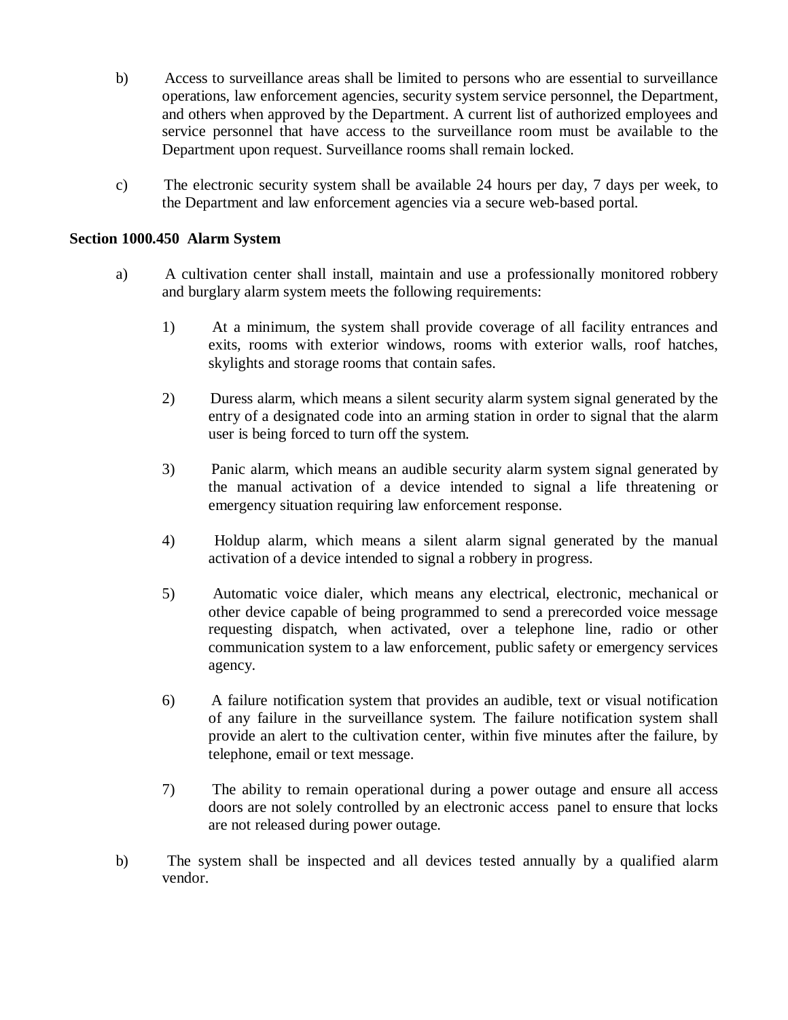- b) Access to surveillance areas shall be limited to persons who are essential to surveillance operations, law enforcement agencies, security system service personnel, the Department, and others when approved by the Department. A current list of authorized employees and service personnel that have access to the surveillance room must be available to the Department upon request. Surveillance rooms shall remain locked.
- c) The electronic security system shall be available 24 hours per day, 7 days per week, to the Department and law enforcement agencies via a secure web-based portal.

#### **Section 1000.450 Alarm System**

- a) A cultivation center shall install, maintain and use a professionally monitored robbery and burglary alarm system meets the following requirements:
	- 1) At a minimum, the system shall provide coverage of all facility entrances and exits, rooms with exterior windows, rooms with exterior walls, roof hatches, skylights and storage rooms that contain safes.
	- 2) Duress alarm, which means a silent security alarm system signal generated by the entry of a designated code into an arming station in order to signal that the alarm user is being forced to turn off the system.
	- 3) Panic alarm, which means an audible security alarm system signal generated by the manual activation of a device intended to signal a life threatening or emergency situation requiring law enforcement response.
	- 4) Holdup alarm, which means a silent alarm signal generated by the manual activation of a device intended to signal a robbery in progress.
	- 5) Automatic voice dialer, which means any electrical, electronic, mechanical or other device capable of being programmed to send a prerecorded voice message requesting dispatch, when activated, over a telephone line, radio or other communication system to a law enforcement, public safety or emergency services agency.
	- 6) A failure notification system that provides an audible, text or visual notification of any failure in the surveillance system. The failure notification system shall provide an alert to the cultivation center, within five minutes after the failure, by telephone, email or text message.
	- 7) The ability to remain operational during a power outage and ensure all access doors are not solely controlled by an electronic access panel to ensure that locks are not released during power outage.
- b) The system shall be inspected and all devices tested annually by a qualified alarm vendor.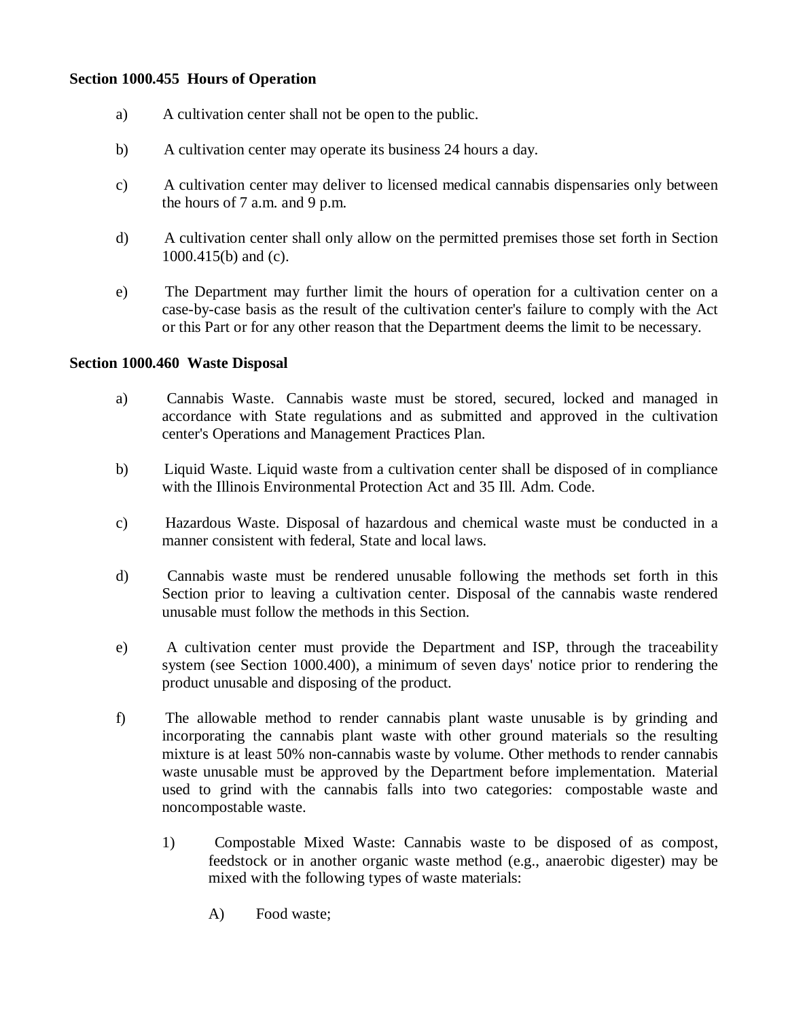### **Section 1000.455 Hours of Operation**

- a) A cultivation center shall not be open to the public.
- b) A cultivation center may operate its business 24 hours a day.
- c) A cultivation center may deliver to licensed medical cannabis dispensaries only between the hours of 7 a.m. and 9 p.m.
- d) A cultivation center shall only allow on the permitted premises those set forth in Section 1000.415(b) and (c).
- e) The Department may further limit the hours of operation for a cultivation center on a case-by-case basis as the result of the cultivation center's failure to comply with the Act or this Part or for any other reason that the Department deems the limit to be necessary.

#### **Section 1000.460 Waste Disposal**

- a) Cannabis Waste. Cannabis waste must be stored, secured, locked and managed in accordance with State regulations and as submitted and approved in the cultivation center's Operations and Management Practices Plan.
- b) Liquid Waste. Liquid waste from a cultivation center shall be disposed of in compliance with the Illinois Environmental Protection Act and 35 Ill. Adm. Code.
- c) Hazardous Waste. Disposal of hazardous and chemical waste must be conducted in a manner consistent with federal, State and local laws.
- d) Cannabis waste must be rendered unusable following the methods set forth in this Section prior to leaving a cultivation center. Disposal of the cannabis waste rendered unusable must follow the methods in this Section.
- e) A cultivation center must provide the Department and ISP, through the traceability system (see Section 1000.400), a minimum of seven days' notice prior to rendering the product unusable and disposing of the product.
- f) The allowable method to render cannabis plant waste unusable is by grinding and incorporating the cannabis plant waste with other ground materials so the resulting mixture is at least 50% non-cannabis waste by volume. Other methods to render cannabis waste unusable must be approved by the Department before implementation. Material used to grind with the cannabis falls into two categories: compostable waste and noncompostable waste.
	- 1) Compostable Mixed Waste: Cannabis waste to be disposed of as compost, feedstock or in another organic waste method (e.g., anaerobic digester) may be mixed with the following types of waste materials:
		- A) Food waste;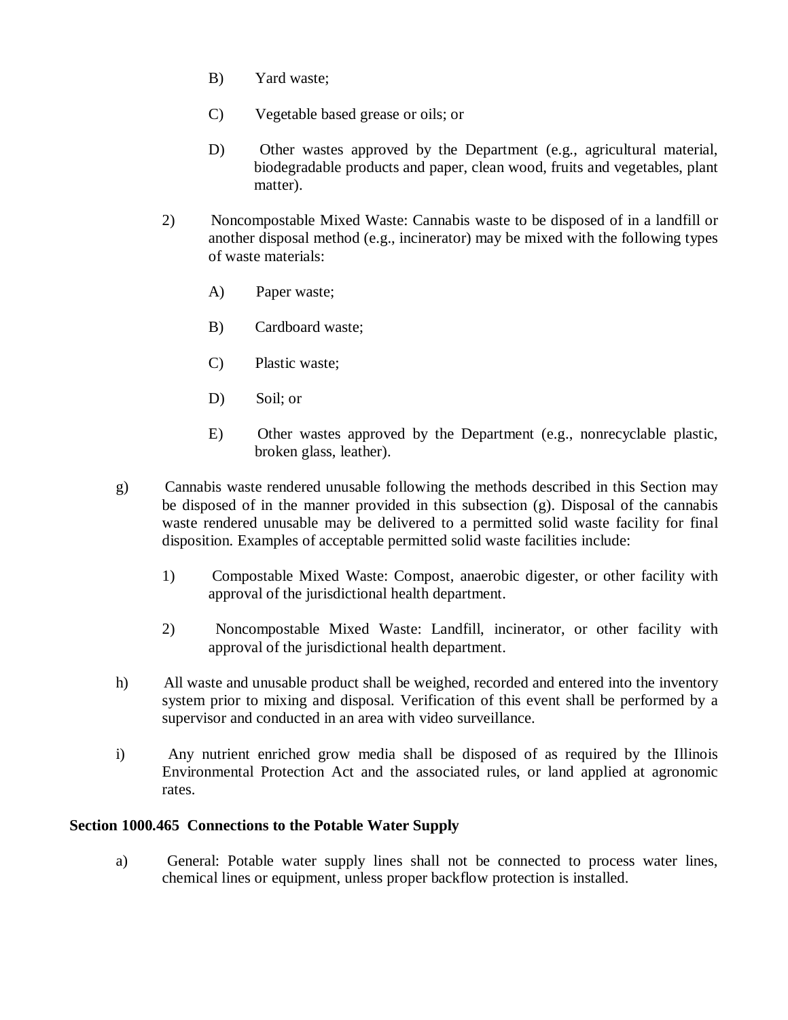- B) Yard waste;
- C) Vegetable based grease or oils; or
- D) Other wastes approved by the Department (e.g., agricultural material, biodegradable products and paper, clean wood, fruits and vegetables, plant matter).
- 2) Noncompostable Mixed Waste: Cannabis waste to be disposed of in a landfill or another disposal method (e.g., incinerator) may be mixed with the following types of waste materials:
	- A) Paper waste;
	- B) Cardboard waste;
	- C) Plastic waste;
	- D) Soil; or
	- E) Other wastes approved by the Department (e.g., nonrecyclable plastic, broken glass, leather).
- g) Cannabis waste rendered unusable following the methods described in this Section may be disposed of in the manner provided in this subsection (g). Disposal of the cannabis waste rendered unusable may be delivered to a permitted solid waste facility for final disposition. Examples of acceptable permitted solid waste facilities include:
	- 1) Compostable Mixed Waste: Compost, anaerobic digester, or other facility with approval of the jurisdictional health department.
	- 2) Noncompostable Mixed Waste: Landfill, incinerator, or other facility with approval of the jurisdictional health department.
- h) All waste and unusable product shall be weighed, recorded and entered into the inventory system prior to mixing and disposal. Verification of this event shall be performed by a supervisor and conducted in an area with video surveillance.
- i) Any nutrient enriched grow media shall be disposed of as required by the Illinois Environmental Protection Act and the associated rules, or land applied at agronomic rates.

#### **Section 1000.465 Connections to the Potable Water Supply**

a) General: Potable water supply lines shall not be connected to process water lines, chemical lines or equipment, unless proper backflow protection is installed.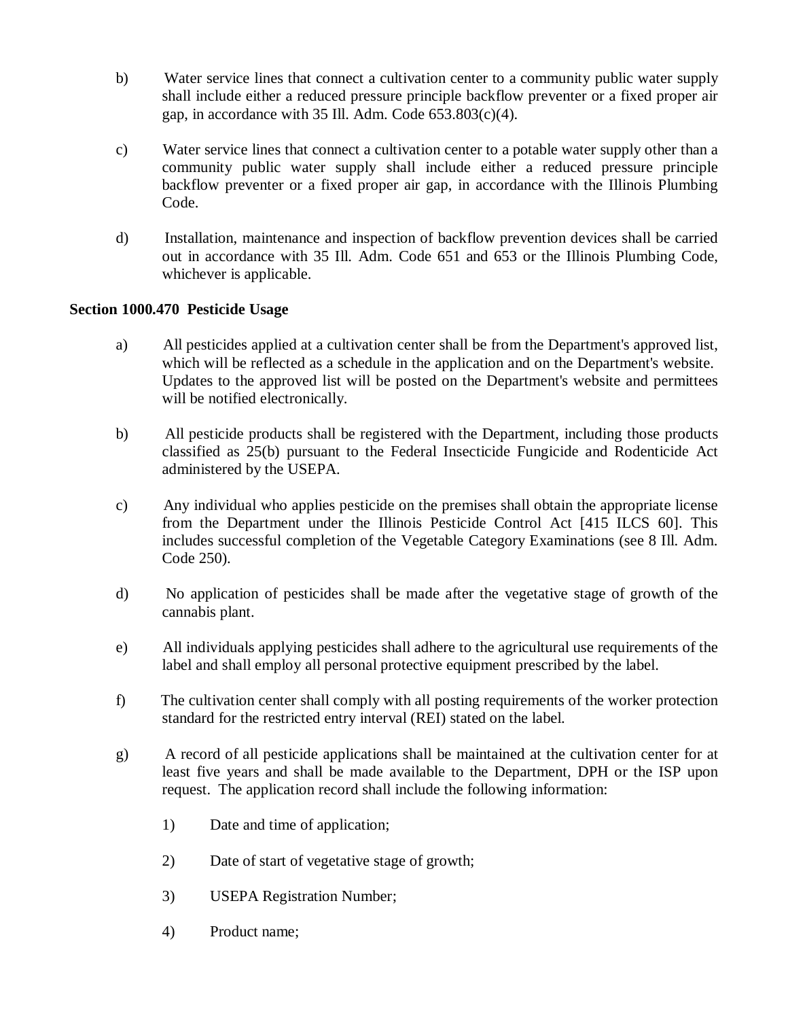- b) Water service lines that connect a cultivation center to a community public water supply shall include either a reduced pressure principle backflow preventer or a fixed proper air gap, in accordance with 35 Ill. Adm. Code  $653.803(c)(4)$ .
- c) Water service lines that connect a cultivation center to a potable water supply other than a community public water supply shall include either a reduced pressure principle backflow preventer or a fixed proper air gap, in accordance with the Illinois Plumbing Code.
- d) Installation, maintenance and inspection of backflow prevention devices shall be carried out in accordance with 35 Ill. Adm. Code 651 and 653 or the Illinois Plumbing Code, whichever is applicable.

# **Section 1000.470 Pesticide Usage**

- a) All pesticides applied at a cultivation center shall be from the Department's approved list, which will be reflected as a schedule in the application and on the Department's website. Updates to the approved list will be posted on the Department's website and permittees will be notified electronically.
- b) All pesticide products shall be registered with the Department, including those products classified as 25(b) pursuant to the Federal Insecticide Fungicide and Rodenticide Act administered by the USEPA.
- c) Any individual who applies pesticide on the premises shall obtain the appropriate license from the Department under the Illinois Pesticide Control Act [415 ILCS 60]. This includes successful completion of the Vegetable Category Examinations (see 8 Ill. Adm. Code 250).
- d) No application of pesticides shall be made after the vegetative stage of growth of the cannabis plant.
- e) All individuals applying pesticides shall adhere to the agricultural use requirements of the label and shall employ all personal protective equipment prescribed by the label.
- f) The cultivation center shall comply with all posting requirements of the worker protection standard for the restricted entry interval (REI) stated on the label.
- g) A record of all pesticide applications shall be maintained at the cultivation center for at least five years and shall be made available to the Department, DPH or the ISP upon request. The application record shall include the following information:
	- 1) Date and time of application;
	- 2) Date of start of vegetative stage of growth;
	- 3) USEPA Registration Number;
	- 4) Product name;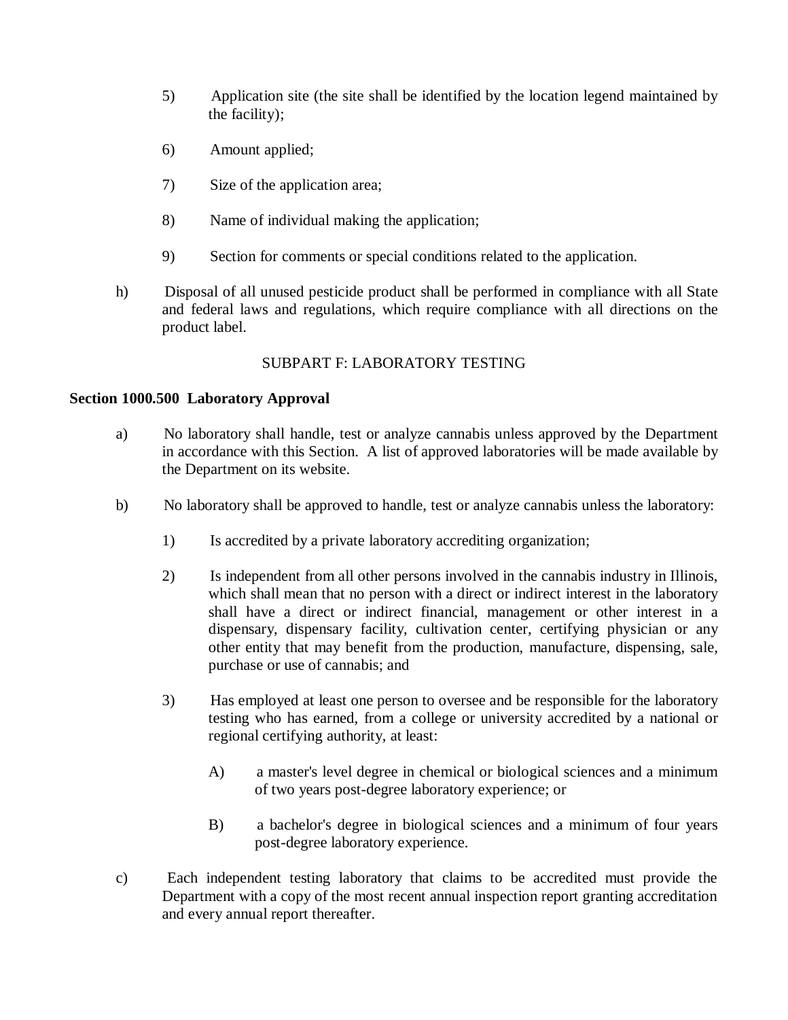- 5) Application site (the site shall be identified by the location legend maintained by the facility);
- 6) Amount applied;
- 7) Size of the application area;
- 8) Name of individual making the application;
- 9) Section for comments or special conditions related to the application.
- h) Disposal of all unused pesticide product shall be performed in compliance with all State and federal laws and regulations, which require compliance with all directions on the product label.

# SUBPART F: LABORATORY TESTING

# **Section 1000.500 Laboratory Approval**

- a) No laboratory shall handle, test or analyze cannabis unless approved by the Department in accordance with this Section. A list of approved laboratories will be made available by the Department on its website.
- b) No laboratory shall be approved to handle, test or analyze cannabis unless the laboratory:
	- 1) Is accredited by a private laboratory accrediting organization;
	- 2) Is independent from all other persons involved in the cannabis industry in Illinois, which shall mean that no person with a direct or indirect interest in the laboratory shall have a direct or indirect financial, management or other interest in a dispensary, dispensary facility, cultivation center, certifying physician or any other entity that may benefit from the production, manufacture, dispensing, sale, purchase or use of cannabis; and
	- 3) Has employed at least one person to oversee and be responsible for the laboratory testing who has earned, from a college or university accredited by a national or regional certifying authority, at least:
		- A) a master's level degree in chemical or biological sciences and a minimum of two years post-degree laboratory experience; or
		- B) a bachelor's degree in biological sciences and a minimum of four years post-degree laboratory experience.
- c) Each independent testing laboratory that claims to be accredited must provide the Department with a copy of the most recent annual inspection report granting accreditation and every annual report thereafter.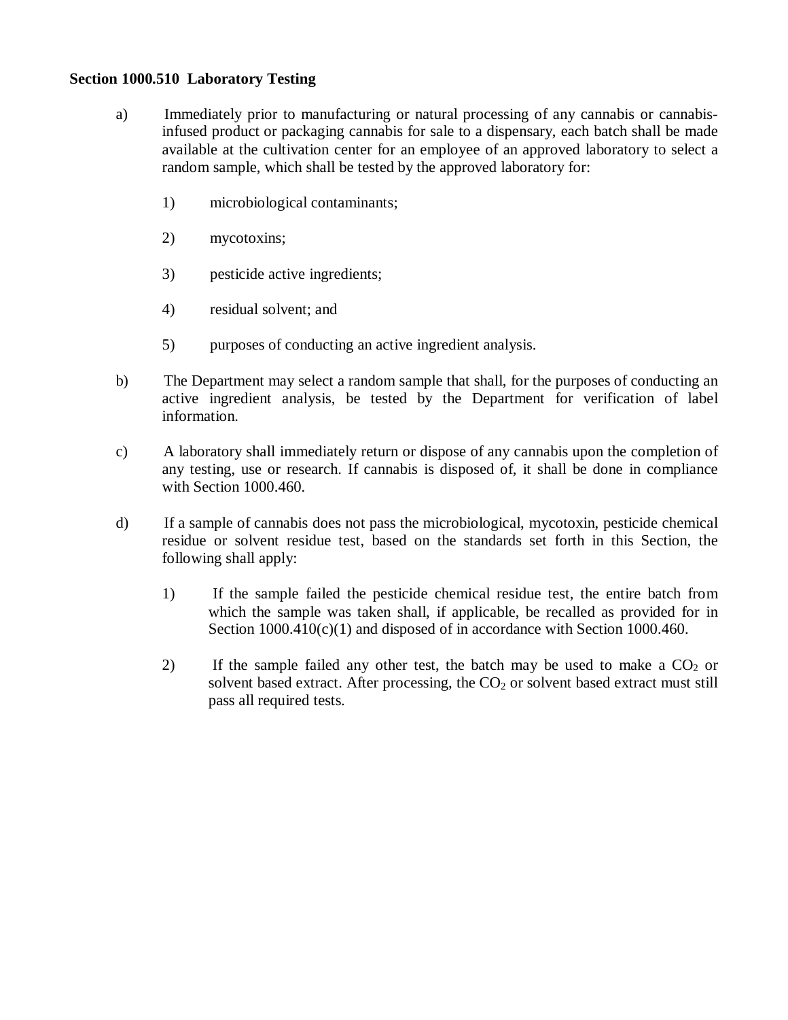#### **Section 1000.510 Laboratory Testing**

- a) Immediately prior to manufacturing or natural processing of any cannabis or cannabisinfused product or packaging cannabis for sale to a dispensary, each batch shall be made available at the cultivation center for an employee of an approved laboratory to select a random sample, which shall be tested by the approved laboratory for:
	- 1) microbiological contaminants;
	- 2) mycotoxins;
	- 3) pesticide active ingredients;
	- 4) residual solvent; and
	- 5) purposes of conducting an active ingredient analysis.
- b) The Department may select a random sample that shall, for the purposes of conducting an active ingredient analysis, be tested by the Department for verification of label information.
- c) A laboratory shall immediately return or dispose of any cannabis upon the completion of any testing, use or research. If cannabis is disposed of, it shall be done in compliance with Section 1000.460.
- d) If a sample of cannabis does not pass the microbiological, mycotoxin, pesticide chemical residue or solvent residue test, based on the standards set forth in this Section, the following shall apply:
	- 1) If the sample failed the pesticide chemical residue test, the entire batch from which the sample was taken shall, if applicable, be recalled as provided for in Section  $1000.410(c)(1)$  and disposed of in accordance with Section 1000.460.
	- 2) If the sample failed any other test, the batch may be used to make a  $CO<sub>2</sub>$  or solvent based extract. After processing, the  $CO<sub>2</sub>$  or solvent based extract must still pass all required tests.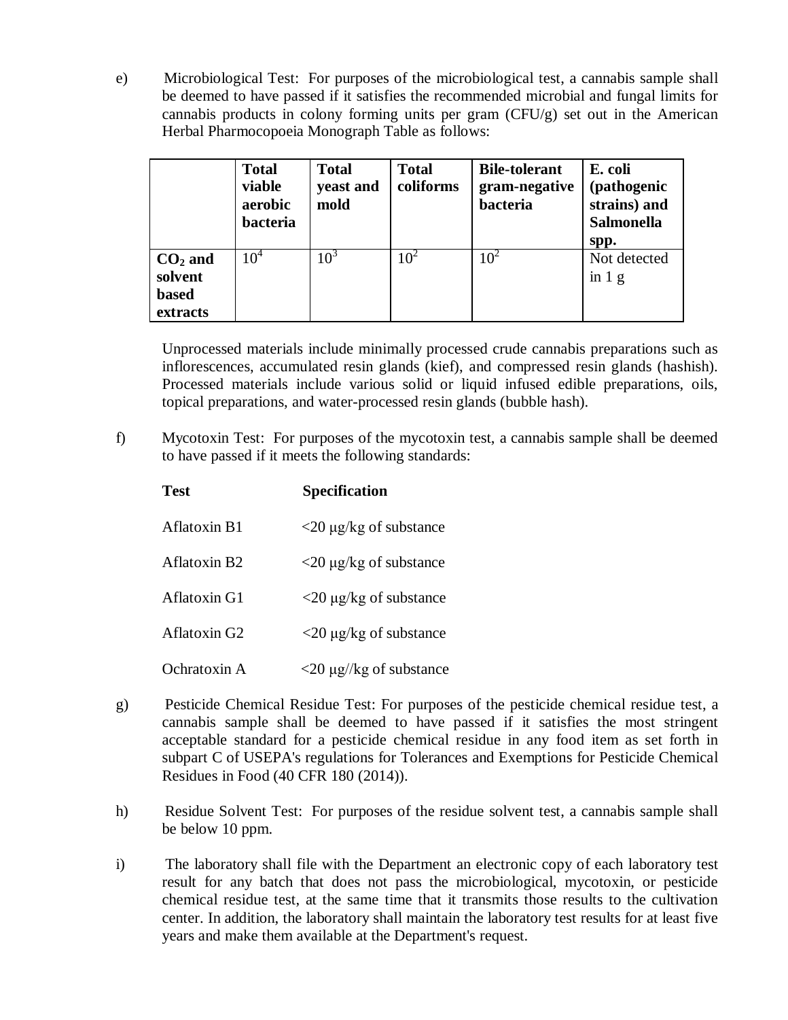e) Microbiological Test: For purposes of the microbiological test, a cannabis sample shall be deemed to have passed if it satisfies the recommended microbial and fungal limits for cannabis products in colony forming units per gram (CFU/g) set out in the American Herbal Pharmocopoeia Monograph Table as follows:

|                                                  | <b>Total</b><br>viable<br>aerobic<br>bacteria | <b>Total</b><br>yeast and<br>mold | <b>Total</b><br>coliforms | <b>Bile-tolerant</b><br>gram-negative<br>bacteria | E. coli<br>(pathogenic<br>strains) and<br><b>Salmonella</b><br>spp. |
|--------------------------------------------------|-----------------------------------------------|-----------------------------------|---------------------------|---------------------------------------------------|---------------------------------------------------------------------|
| $CO2$ and<br>solvent<br><b>based</b><br>extracts | $10^{4}$                                      | 10 <sup>3</sup>                   | 10 <sup>2</sup>           | $10^2$                                            | Not detected<br>$\sin 1$ g                                          |

Unprocessed materials include minimally processed crude cannabis preparations such as inflorescences, accumulated resin glands (kief), and compressed resin glands (hashish). Processed materials include various solid or liquid infused edible preparations, oils, topical preparations, and water-processed resin glands (bubble hash).

f) Mycotoxin Test: For purposes of the mycotoxin test, a cannabis sample shall be deemed to have passed if it meets the following standards:

| Test                     | <b>Specification</b>                       |
|--------------------------|--------------------------------------------|
| Aflatoxin B1             | $\langle 20 \mu g/kg \rangle$ of substance |
| Aflatoxin B <sub>2</sub> | $\langle 20 \mu g/g \rangle$ and substance |
| Aflatoxin G1             | $\langle 20 \mu g/kg \rangle$ of substance |
| Aflatoxin G <sub>2</sub> | $\langle 20 \mu g/kg \rangle$ of substance |
| Ochratoxin A             | $\langle 20 \mu g / k g$ of substance      |

- g) Pesticide Chemical Residue Test: For purposes of the pesticide chemical residue test, a cannabis sample shall be deemed to have passed if it satisfies the most stringent acceptable standard for a pesticide chemical residue in any food item as set forth in subpart C of USEPA's regulations for Tolerances and Exemptions for Pesticide Chemical Residues in Food (40 CFR 180 (2014)).
- h) Residue Solvent Test: For purposes of the residue solvent test, a cannabis sample shall be below 10 ppm.
- i) The laboratory shall file with the Department an electronic copy of each laboratory test result for any batch that does not pass the microbiological, mycotoxin, or pesticide chemical residue test, at the same time that it transmits those results to the cultivation center. In addition, the laboratory shall maintain the laboratory test results for at least five years and make them available at the Department's request.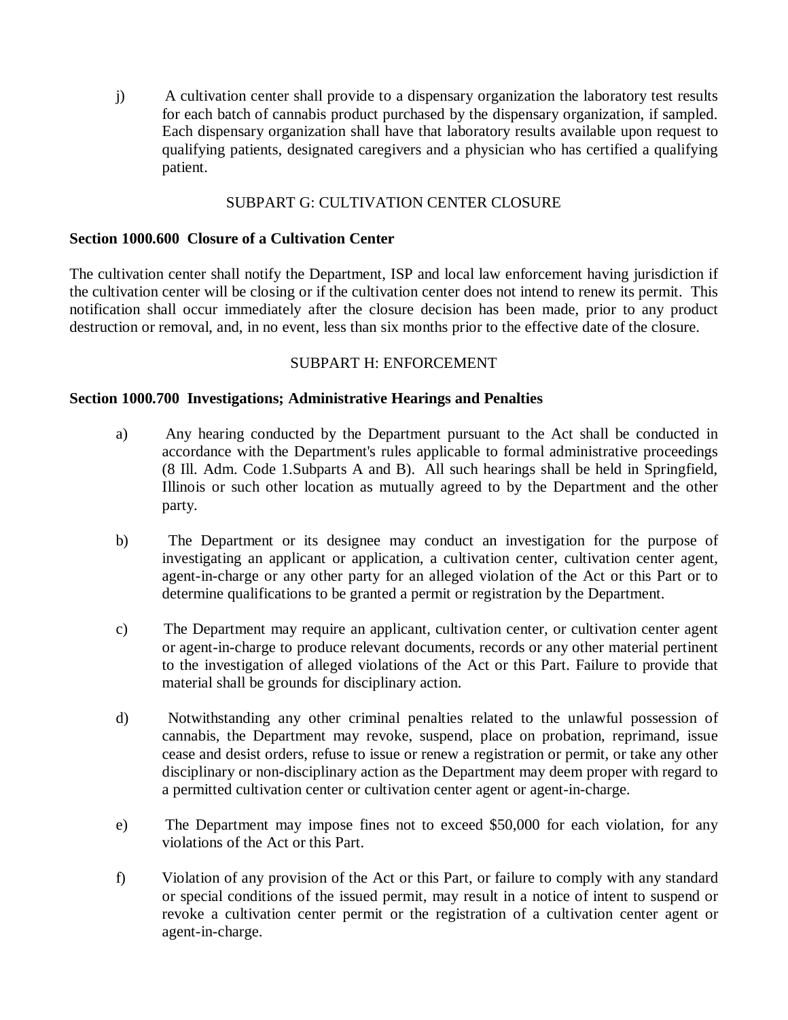j) A cultivation center shall provide to a dispensary organization the laboratory test results for each batch of cannabis product purchased by the dispensary organization, if sampled. Each dispensary organization shall have that laboratory results available upon request to qualifying patients, designated caregivers and a physician who has certified a qualifying patient.

# SUBPART G: CULTIVATION CENTER CLOSURE

#### **Section 1000.600 Closure of a Cultivation Center**

The cultivation center shall notify the Department, ISP and local law enforcement having jurisdiction if the cultivation center will be closing or if the cultivation center does not intend to renew its permit. This notification shall occur immediately after the closure decision has been made, prior to any product destruction or removal, and, in no event, less than six months prior to the effective date of the closure.

#### SUBPART H: ENFORCEMENT

#### **Section 1000.700 Investigations; Administrative Hearings and Penalties**

- a) Any hearing conducted by the Department pursuant to the Act shall be conducted in accordance with the Department's rules applicable to formal administrative proceedings (8 Ill. Adm. Code 1.Subparts A and B). All such hearings shall be held in Springfield, Illinois or such other location as mutually agreed to by the Department and the other party.
- b) The Department or its designee may conduct an investigation for the purpose of investigating an applicant or application, a cultivation center, cultivation center agent, agent-in-charge or any other party for an alleged violation of the Act or this Part or to determine qualifications to be granted a permit or registration by the Department.
- c) The Department may require an applicant, cultivation center, or cultivation center agent or agent-in-charge to produce relevant documents, records or any other material pertinent to the investigation of alleged violations of the Act or this Part. Failure to provide that material shall be grounds for disciplinary action.
- d) Notwithstanding any other criminal penalties related to the unlawful possession of cannabis, the Department may revoke, suspend, place on probation, reprimand, issue cease and desist orders, refuse to issue or renew a registration or permit, or take any other disciplinary or non-disciplinary action as the Department may deem proper with regard to a permitted cultivation center or cultivation center agent or agent-in-charge.
- e) The Department may impose fines not to exceed \$50,000 for each violation, for any violations of the Act or this Part.
- f) Violation of any provision of the Act or this Part, or failure to comply with any standard or special conditions of the issued permit, may result in a notice of intent to suspend or revoke a cultivation center permit or the registration of a cultivation center agent or agent-in-charge.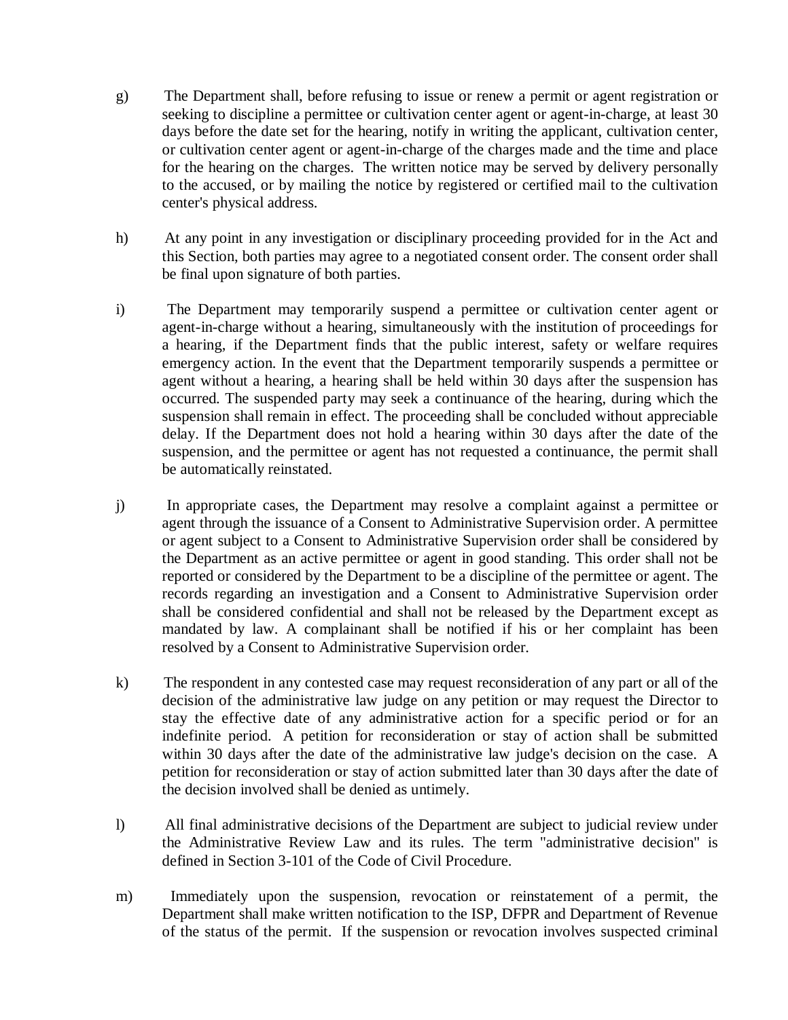- g) The Department shall, before refusing to issue or renew a permit or agent registration or seeking to discipline a permittee or cultivation center agent or agent-in-charge, at least 30 days before the date set for the hearing, notify in writing the applicant, cultivation center, or cultivation center agent or agent-in-charge of the charges made and the time and place for the hearing on the charges. The written notice may be served by delivery personally to the accused, or by mailing the notice by registered or certified mail to the cultivation center's physical address.
- h) At any point in any investigation or disciplinary proceeding provided for in the Act and this Section, both parties may agree to a negotiated consent order. The consent order shall be final upon signature of both parties.
- i) The Department may temporarily suspend a permittee or cultivation center agent or agent-in-charge without a hearing, simultaneously with the institution of proceedings for a hearing, if the Department finds that the public interest, safety or welfare requires emergency action. In the event that the Department temporarily suspends a permittee or agent without a hearing, a hearing shall be held within 30 days after the suspension has occurred. The suspended party may seek a continuance of the hearing, during which the suspension shall remain in effect. The proceeding shall be concluded without appreciable delay. If the Department does not hold a hearing within 30 days after the date of the suspension, and the permittee or agent has not requested a continuance, the permit shall be automatically reinstated.
- j) In appropriate cases, the Department may resolve a complaint against a permittee or agent through the issuance of a Consent to Administrative Supervision order. A permittee or agent subject to a Consent to Administrative Supervision order shall be considered by the Department as an active permittee or agent in good standing. This order shall not be reported or considered by the Department to be a discipline of the permittee or agent. The records regarding an investigation and a Consent to Administrative Supervision order shall be considered confidential and shall not be released by the Department except as mandated by law. A complainant shall be notified if his or her complaint has been resolved by a Consent to Administrative Supervision order.
- k) The respondent in any contested case may request reconsideration of any part or all of the decision of the administrative law judge on any petition or may request the Director to stay the effective date of any administrative action for a specific period or for an indefinite period. A petition for reconsideration or stay of action shall be submitted within 30 days after the date of the administrative law judge's decision on the case. A petition for reconsideration or stay of action submitted later than 30 days after the date of the decision involved shall be denied as untimely.
- l) All final administrative decisions of the Department are subject to judicial review under the Administrative Review Law and its rules. The term "administrative decision" is defined in Section 3-101 of the Code of Civil Procedure.
- m) Immediately upon the suspension, revocation or reinstatement of a permit, the Department shall make written notification to the ISP, DFPR and Department of Revenue of the status of the permit. If the suspension or revocation involves suspected criminal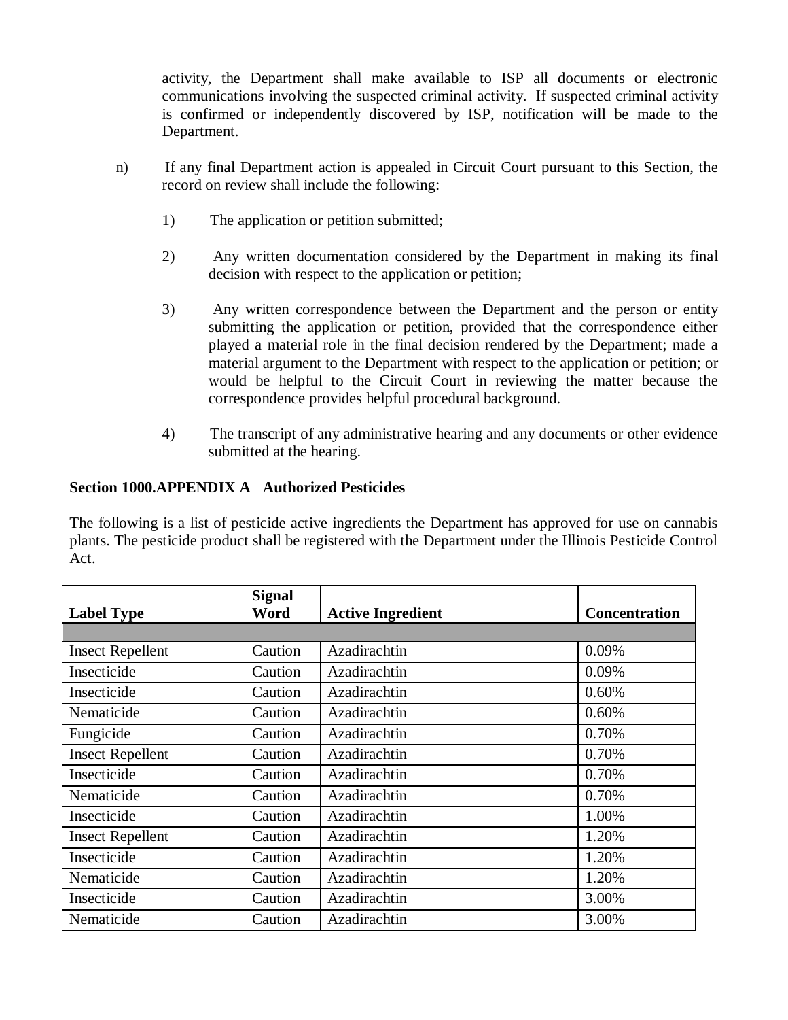activity, the Department shall make available to ISP all documents or electronic communications involving the suspected criminal activity. If suspected criminal activity is confirmed or independently discovered by ISP, notification will be made to the Department.

- n) If any final Department action is appealed in Circuit Court pursuant to this Section, the record on review shall include the following:
	- 1) The application or petition submitted;
	- 2) Any written documentation considered by the Department in making its final decision with respect to the application or petition;
	- 3) Any written correspondence between the Department and the person or entity submitting the application or petition, provided that the correspondence either played a material role in the final decision rendered by the Department; made a material argument to the Department with respect to the application or petition; or would be helpful to the Circuit Court in reviewing the matter because the correspondence provides helpful procedural background.
	- 4) The transcript of any administrative hearing and any documents or other evidence submitted at the hearing.

# **Section 1000.APPENDIX A Authorized Pesticides**

The following is a list of pesticide active ingredients the Department has approved for use on cannabis plants. The pesticide product shall be registered with the Department under the Illinois Pesticide Control Act.

|                         | <b>Signal</b> |                          |                      |
|-------------------------|---------------|--------------------------|----------------------|
| <b>Label Type</b>       | Word          | <b>Active Ingredient</b> | <b>Concentration</b> |
|                         |               |                          |                      |
| <b>Insect Repellent</b> | Caution       | Azadirachtin             | 0.09%                |
| Insecticide             | Caution       | Azadirachtin             | 0.09%                |
| Insecticide             | Caution       | Azadirachtin             | 0.60%                |
| Nematicide              | Caution       | Azadirachtin             | 0.60%                |
| Fungicide               | Caution       | Azadirachtin             | 0.70%                |
| <b>Insect Repellent</b> | Caution       | Azadirachtin             | 0.70%                |
| Insecticide             | Caution       | Azadirachtin             | 0.70%                |
| Nematicide              | Caution       | Azadirachtin             | 0.70%                |
| Insecticide             | Caution       | Azadirachtin             | 1.00%                |
| <b>Insect Repellent</b> | Caution       | Azadirachtin             | 1.20%                |
| Insecticide             | Caution       | Azadirachtin             | 1.20%                |
| Nematicide              | Caution       | Azadirachtin             | 1.20%                |
| Insecticide             | Caution       | Azadirachtin             | 3.00%                |
| Nematicide              | Caution       | Azadirachtin             | 3.00%                |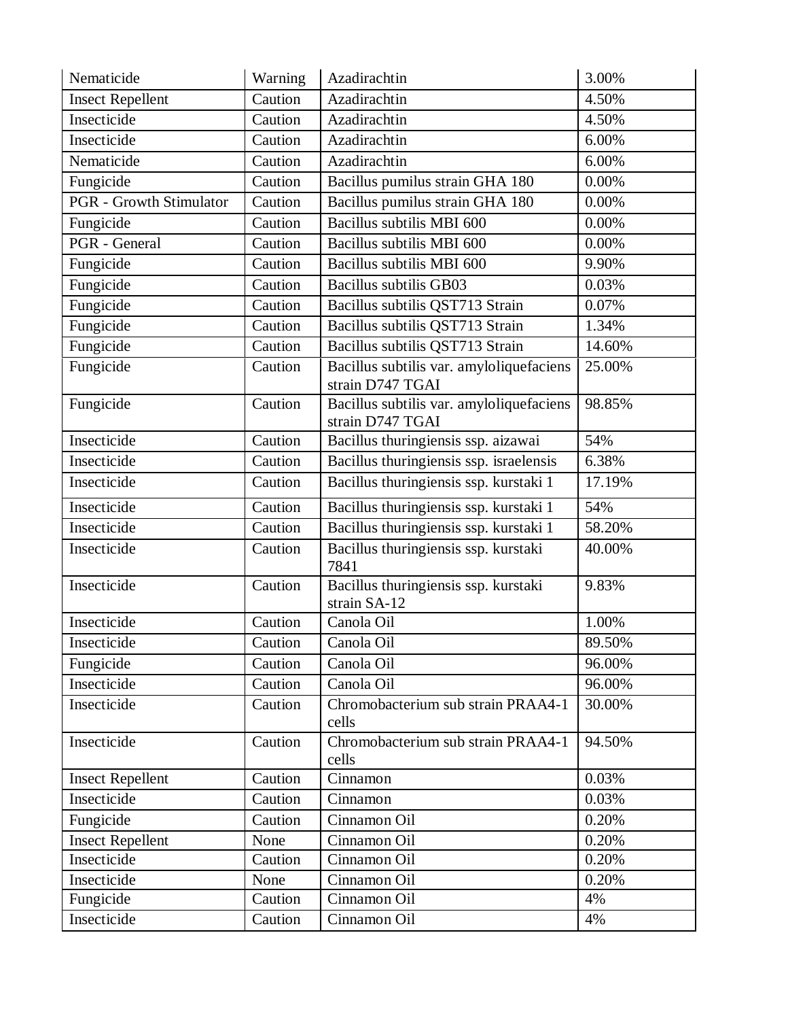| Nematicide                     | Warning | Azadirachtin                                                 | 3.00%  |
|--------------------------------|---------|--------------------------------------------------------------|--------|
| <b>Insect Repellent</b>        | Caution | Azadirachtin                                                 | 4.50%  |
| Insecticide                    | Caution | Azadirachtin                                                 | 4.50%  |
| Insecticide                    | Caution | Azadirachtin                                                 | 6.00%  |
| Nematicide                     | Caution | Azadirachtin                                                 | 6.00%  |
| Fungicide                      | Caution | Bacillus pumilus strain GHA 180                              | 0.00%  |
| <b>PGR</b> - Growth Stimulator | Caution | Bacillus pumilus strain GHA 180                              | 0.00%  |
| Fungicide                      | Caution | Bacillus subtilis MBI 600                                    | 0.00%  |
| PGR - General                  | Caution | Bacillus subtilis MBI 600                                    | 0.00%  |
| Fungicide                      | Caution | Bacillus subtilis MBI 600                                    | 9.90%  |
| Fungicide                      | Caution | Bacillus subtilis GB03                                       | 0.03%  |
| Fungicide                      | Caution | Bacillus subtilis QST713 Strain                              | 0.07%  |
| Fungicide                      | Caution | Bacillus subtilis QST713 Strain                              | 1.34%  |
| Fungicide                      | Caution | Bacillus subtilis QST713 Strain                              | 14.60% |
| Fungicide                      | Caution | Bacillus subtilis var. amyloliquefaciens<br>strain D747 TGAI | 25.00% |
| Fungicide                      | Caution | Bacillus subtilis var. amyloliquefaciens<br>strain D747 TGAI | 98.85% |
| Insecticide                    | Caution | Bacillus thuringiensis ssp. aizawai                          | 54%    |
| Insecticide                    | Caution | Bacillus thuringiensis ssp. israelensis                      | 6.38%  |
| Insecticide                    | Caution | Bacillus thuringiensis ssp. kurstaki 1                       | 17.19% |
| Insecticide                    | Caution | Bacillus thuringiensis ssp. kurstaki 1                       | 54%    |
| Insecticide                    | Caution | Bacillus thuringiensis ssp. kurstaki 1                       | 58.20% |
| Insecticide                    | Caution | Bacillus thuringiensis ssp. kurstaki<br>7841                 | 40.00% |
| Insecticide                    | Caution | Bacillus thuringiensis ssp. kurstaki<br>strain SA-12         | 9.83%  |
| Insecticide                    | Caution | Canola Oil                                                   | 1.00%  |
| Insecticide                    | Caution | Canola Oil                                                   | 89.50% |
| Fungicide                      | Caution | Canola Oil                                                   | 96.00% |
| Insecticide                    | Caution | Canola Oil                                                   | 96.00% |
| Insecticide                    | Caution | Chromobacterium sub strain PRAA4-1<br>cells                  | 30.00% |
| Insecticide                    | Caution | Chromobacterium sub strain PRAA4-1<br>cells                  | 94.50% |
| <b>Insect Repellent</b>        | Caution | Cinnamon                                                     | 0.03%  |
| Insecticide                    | Caution | Cinnamon                                                     | 0.03%  |
| Fungicide                      | Caution | Cinnamon Oil                                                 | 0.20%  |
| <b>Insect Repellent</b>        | None    | Cinnamon Oil                                                 | 0.20%  |
| Insecticide                    | Caution | Cinnamon Oil                                                 | 0.20%  |
| Insecticide                    | None    | Cinnamon Oil                                                 | 0.20%  |
| Fungicide                      | Caution | Cinnamon Oil                                                 | 4%     |
| Insecticide                    | Caution | Cinnamon Oil                                                 | 4%     |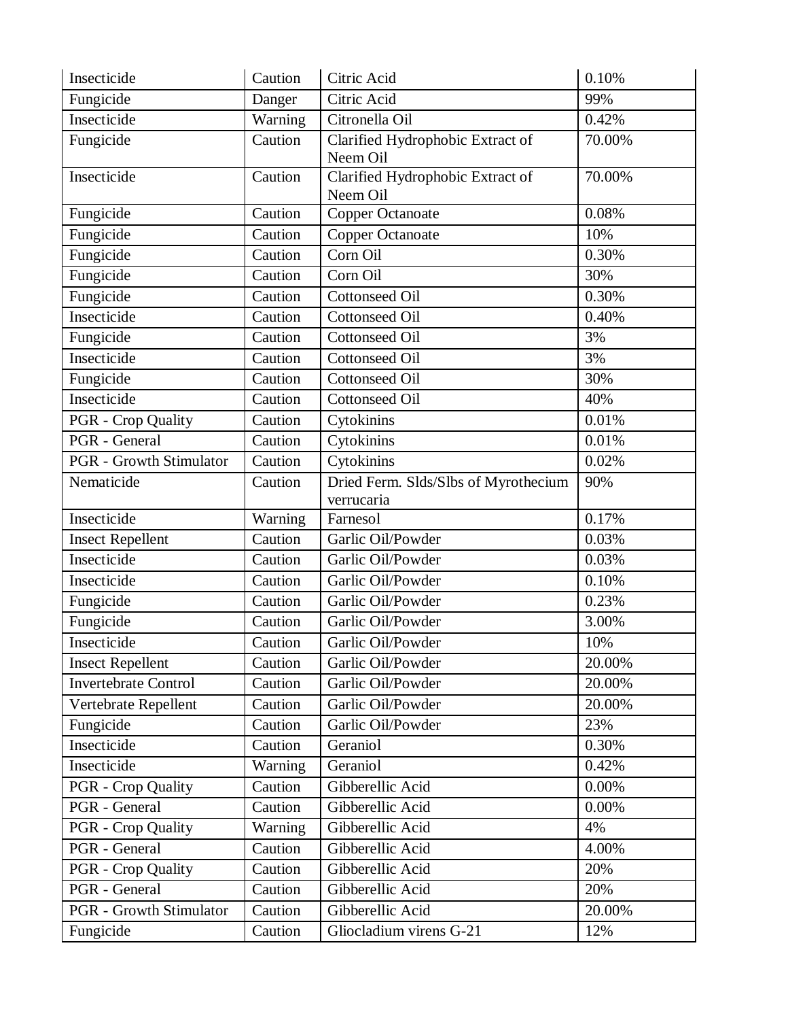| Insecticide                    | Caution | Citric Acid                                        | 0.10%  |
|--------------------------------|---------|----------------------------------------------------|--------|
| Fungicide                      | Danger  | Citric Acid                                        | 99%    |
| Insecticide                    | Warning | Citronella Oil                                     | 0.42%  |
| Fungicide                      | Caution | Clarified Hydrophobic Extract of<br>Neem Oil       | 70.00% |
| Insecticide                    | Caution | Clarified Hydrophobic Extract of<br>Neem Oil       | 70.00% |
| Fungicide                      | Caution | <b>Copper Octanoate</b>                            | 0.08%  |
| Fungicide                      | Caution | <b>Copper Octanoate</b>                            | 10%    |
| Fungicide                      | Caution | Corn Oil                                           | 0.30%  |
| Fungicide                      | Caution | Corn Oil                                           | 30%    |
| Fungicide                      | Caution | <b>Cottonseed Oil</b>                              | 0.30%  |
| Insecticide                    | Caution | <b>Cottonseed Oil</b>                              | 0.40%  |
| Fungicide                      | Caution | <b>Cottonseed Oil</b>                              | 3%     |
| Insecticide                    | Caution | <b>Cottonseed Oil</b>                              | 3%     |
| Fungicide                      | Caution | <b>Cottonseed Oil</b>                              | 30%    |
| Insecticide                    | Caution | <b>Cottonseed Oil</b>                              | 40%    |
| PGR - Crop Quality             | Caution | Cytokinins                                         | 0.01%  |
| <b>PGR</b> - General           | Caution | Cytokinins                                         | 0.01%  |
| <b>PGR</b> - Growth Stimulator | Caution | Cytokinins                                         | 0.02%  |
| Nematicide                     | Caution | Dried Ferm. Slds/Slbs of Myrothecium<br>verrucaria | 90%    |
| Insecticide                    | Warning | Farnesol                                           | 0.17%  |
| <b>Insect Repellent</b>        | Caution | Garlic Oil/Powder                                  | 0.03%  |
| Insecticide                    | Caution | Garlic Oil/Powder                                  | 0.03%  |
| Insecticide                    | Caution | Garlic Oil/Powder                                  | 0.10%  |
| Fungicide                      | Caution | Garlic Oil/Powder                                  | 0.23%  |
| Fungicide                      | Caution | Garlic Oil/Powder                                  | 3.00%  |
| Insecticide                    | Caution | Garlic Oil/Powder                                  | 10%    |
| <b>Insect Repellent</b>        | Caution | Garlic Oil/Powder                                  | 20.00% |
| Invertebrate Control           | Caution | Garlic Oil/Powder                                  | 20.00% |
| Vertebrate Repellent           | Caution | Garlic Oil/Powder                                  | 20.00% |
| Fungicide                      | Caution | Garlic Oil/Powder                                  | 23%    |
| Insecticide                    | Caution | Geraniol                                           | 0.30%  |
| Insecticide                    | Warning | Geraniol                                           | 0.42%  |
| PGR - Crop Quality             | Caution | Gibberellic Acid                                   | 0.00%  |
| <b>PGR</b> - General           | Caution | Gibberellic Acid                                   | 0.00%  |
| <b>PGR</b> - Crop Quality      | Warning | Gibberellic Acid                                   | 4%     |
| PGR - General                  | Caution | Gibberellic Acid                                   | 4.00%  |
| PGR - Crop Quality             | Caution | Gibberellic Acid                                   | 20%    |
| PGR - General                  | Caution | Gibberellic Acid                                   | 20%    |
| <b>PGR</b> - Growth Stimulator | Caution | Gibberellic Acid                                   | 20.00% |
| Fungicide                      | Caution | Gliocladium virens G-21                            | 12%    |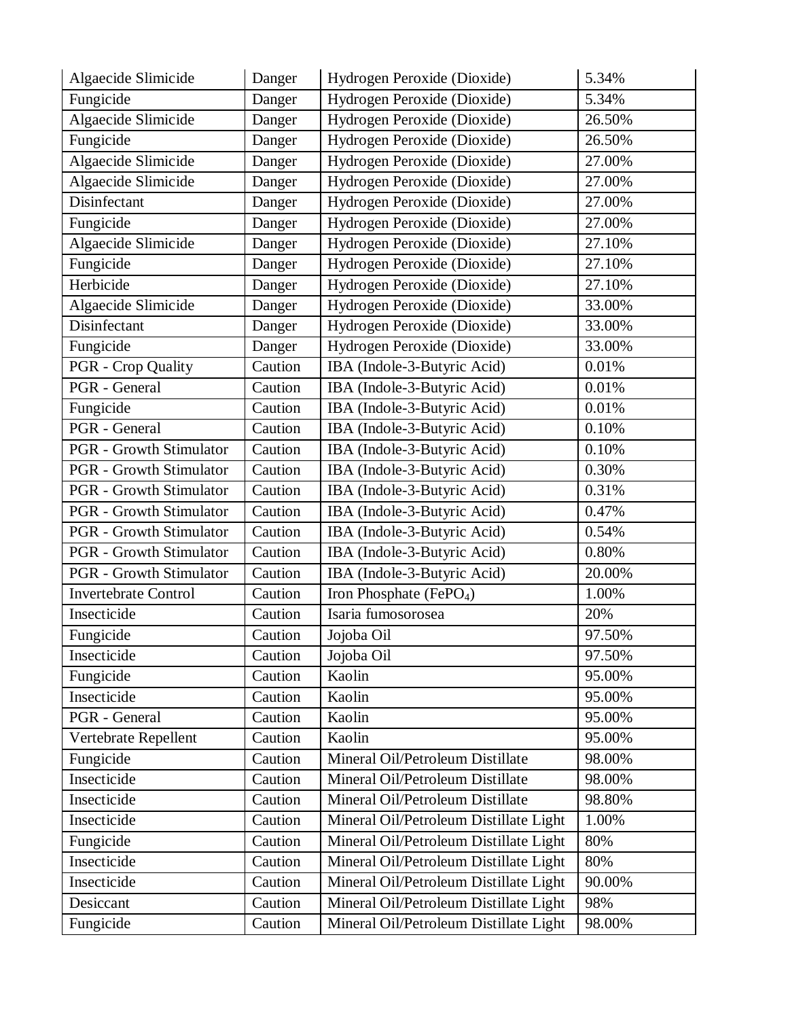| Algaecide Slimicide            | Danger  | Hydrogen Peroxide (Dioxide)            | 5.34%    |
|--------------------------------|---------|----------------------------------------|----------|
| Fungicide                      | Danger  | Hydrogen Peroxide (Dioxide)            | 5.34%    |
| Algaecide Slimicide            | Danger  | Hydrogen Peroxide (Dioxide)            | 26.50%   |
| Fungicide                      | Danger  | Hydrogen Peroxide (Dioxide)            | 26.50%   |
| Algaecide Slimicide            | Danger  | Hydrogen Peroxide (Dioxide)            | 27.00%   |
| Algaecide Slimicide            | Danger  | Hydrogen Peroxide (Dioxide)            | 27.00%   |
| Disinfectant                   | Danger  | Hydrogen Peroxide (Dioxide)            | 27.00%   |
| Fungicide                      | Danger  | Hydrogen Peroxide (Dioxide)            | 27.00%   |
| Algaecide Slimicide            | Danger  | Hydrogen Peroxide (Dioxide)            | 27.10%   |
| Fungicide                      | Danger  | Hydrogen Peroxide (Dioxide)            | 27.10%   |
| Herbicide                      | Danger  | Hydrogen Peroxide (Dioxide)            | 27.10%   |
| Algaecide Slimicide            | Danger  | Hydrogen Peroxide (Dioxide)            | 33.00%   |
| Disinfectant                   | Danger  | Hydrogen Peroxide (Dioxide)            | 33.00%   |
| Fungicide                      | Danger  | Hydrogen Peroxide (Dioxide)            | 33.00%   |
| <b>PGR</b> - Crop Quality      | Caution | IBA (Indole-3-Butyric Acid)            | 0.01%    |
| PGR - General                  | Caution | IBA (Indole-3-Butyric Acid)            | 0.01%    |
| Fungicide                      | Caution | IBA (Indole-3-Butyric Acid)            | 0.01%    |
| PGR - General                  | Caution | IBA (Indole-3-Butyric Acid)            | 0.10%    |
| <b>PGR</b> - Growth Stimulator | Caution | IBA (Indole-3-Butyric Acid)            | 0.10%    |
| <b>PGR</b> - Growth Stimulator | Caution | IBA (Indole-3-Butyric Acid)            | 0.30%    |
| <b>PGR</b> - Growth Stimulator | Caution | IBA (Indole-3-Butyric Acid)            | 0.31%    |
| <b>PGR</b> - Growth Stimulator | Caution | IBA (Indole-3-Butyric Acid)            | 0.47%    |
| <b>PGR</b> - Growth Stimulator | Caution | IBA (Indole-3-Butyric Acid)            | 0.54%    |
| <b>PGR</b> - Growth Stimulator | Caution | IBA (Indole-3-Butyric Acid)            | $0.80\%$ |
| <b>PGR</b> - Growth Stimulator | Caution | IBA (Indole-3-Butyric Acid)            | 20.00%   |
| <b>Invertebrate Control</b>    | Caution | Iron Phosphate (FePO <sub>4</sub> )    | 1.00%    |
| Insecticide                    | Caution | Isaria fumosorosea                     | 20%      |
| Fungicide                      | Caution | Jojoba Oil                             | 97.50%   |
| Insecticide                    | Caution | Jojoba Oil                             | 97.50%   |
| Fungicide                      | Caution | Kaolin                                 | 95.00%   |
| Insecticide                    | Caution | Kaolin                                 | 95.00%   |
| PGR - General                  | Caution | Kaolin                                 | 95.00%   |
| Vertebrate Repellent           | Caution | Kaolin                                 | 95.00%   |
| Fungicide                      | Caution | Mineral Oil/Petroleum Distillate       | 98.00%   |
| Insecticide                    | Caution | Mineral Oil/Petroleum Distillate       | 98.00%   |
| Insecticide                    | Caution | Mineral Oil/Petroleum Distillate       | 98.80%   |
| Insecticide                    | Caution | Mineral Oil/Petroleum Distillate Light | 1.00%    |
| Fungicide                      | Caution | Mineral Oil/Petroleum Distillate Light | 80%      |
| Insecticide                    | Caution | Mineral Oil/Petroleum Distillate Light | 80%      |
| Insecticide                    | Caution | Mineral Oil/Petroleum Distillate Light | 90.00%   |
| Desiccant                      | Caution | Mineral Oil/Petroleum Distillate Light | 98%      |
| Fungicide                      | Caution | Mineral Oil/Petroleum Distillate Light | 98.00%   |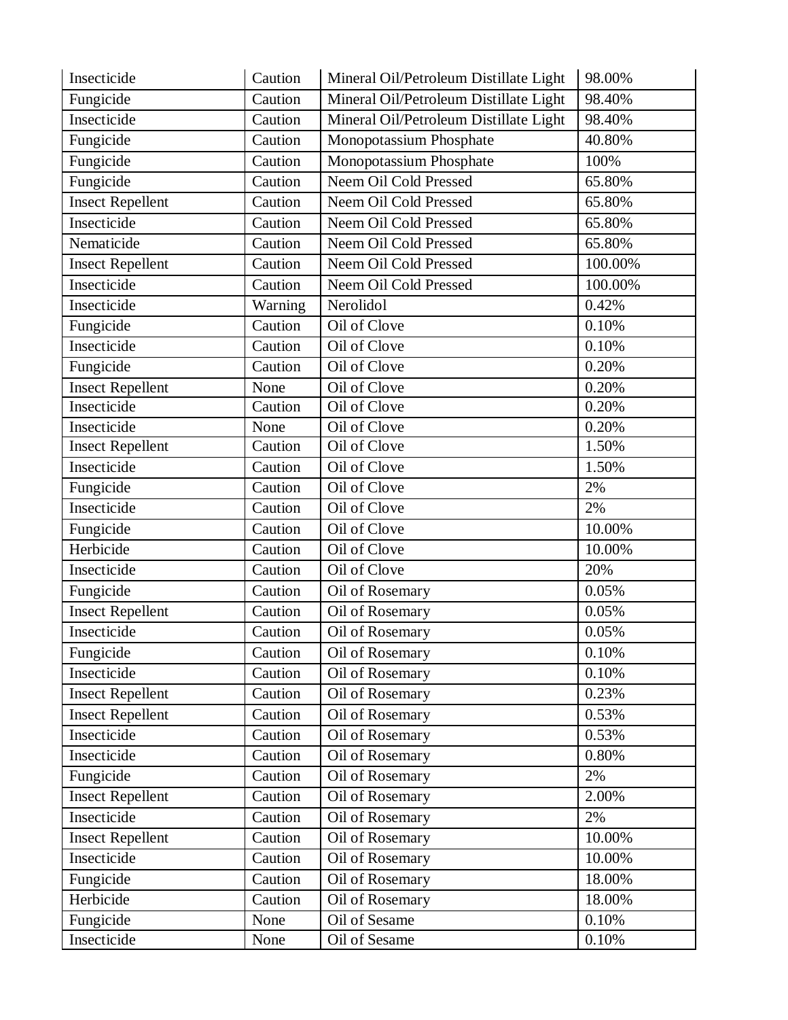| Insecticide             | Caution | Mineral Oil/Petroleum Distillate Light | 98.00%  |
|-------------------------|---------|----------------------------------------|---------|
| Fungicide               | Caution | Mineral Oil/Petroleum Distillate Light | 98.40%  |
| Insecticide             | Caution | Mineral Oil/Petroleum Distillate Light | 98.40%  |
| Fungicide               | Caution | Monopotassium Phosphate                | 40.80%  |
| Fungicide               | Caution | Monopotassium Phosphate                | 100%    |
| Fungicide               | Caution | Neem Oil Cold Pressed                  | 65.80%  |
| <b>Insect Repellent</b> | Caution | Neem Oil Cold Pressed                  | 65.80%  |
| Insecticide             | Caution | Neem Oil Cold Pressed                  | 65.80%  |
| Nematicide              | Caution | Neem Oil Cold Pressed                  | 65.80%  |
| <b>Insect Repellent</b> | Caution | Neem Oil Cold Pressed                  | 100.00% |
| Insecticide             | Caution | Neem Oil Cold Pressed                  | 100.00% |
| Insecticide             | Warning | Nerolidol                              | 0.42%   |
| Fungicide               | Caution | Oil of Clove                           | 0.10%   |
| Insecticide             | Caution | Oil of Clove                           | 0.10%   |
| Fungicide               | Caution | Oil of Clove                           | 0.20%   |
| <b>Insect Repellent</b> | None    | Oil of Clove                           | 0.20%   |
| Insecticide             | Caution | Oil of Clove                           | 0.20%   |
| Insecticide             | None    | Oil of Clove                           | 0.20%   |
| <b>Insect Repellent</b> | Caution | Oil of Clove                           | 1.50%   |
| Insecticide             | Caution | Oil of Clove                           | 1.50%   |
| Fungicide               | Caution | Oil of Clove                           | 2%      |
| Insecticide             | Caution | Oil of Clove                           | 2%      |
| Fungicide               | Caution | Oil of Clove                           | 10.00%  |
| Herbicide               | Caution | Oil of Clove                           | 10.00%  |
| Insecticide             | Caution | Oil of Clove                           | 20%     |
| Fungicide               | Caution | Oil of Rosemary                        | 0.05%   |
| <b>Insect Repellent</b> | Caution | Oil of Rosemary                        | 0.05%   |
| Insecticide             | Caution | Oil of Rosemary                        | 0.05%   |
| Fungicide               | Caution | Oil of Rosemary                        | 0.10%   |
| Insecticide             | Caution | Oil of Rosemary                        | 0.10%   |
| <b>Insect Repellent</b> | Caution | Oil of Rosemary                        | 0.23%   |
| <b>Insect Repellent</b> | Caution | Oil of Rosemary                        | 0.53%   |
| Insecticide             | Caution | Oil of Rosemary                        | 0.53%   |
| Insecticide             | Caution | Oil of Rosemary                        | 0.80%   |
| Fungicide               | Caution | Oil of Rosemary                        | 2%      |
| <b>Insect Repellent</b> | Caution | Oil of Rosemary                        | 2.00%   |
| Insecticide             | Caution | Oil of Rosemary                        | 2%      |
| <b>Insect Repellent</b> | Caution | Oil of Rosemary                        | 10.00%  |
| Insecticide             | Caution | Oil of Rosemary                        | 10.00%  |
| Fungicide               | Caution | Oil of Rosemary                        | 18.00%  |
| Herbicide               | Caution | Oil of Rosemary                        | 18.00%  |
| Fungicide               | None    | Oil of Sesame                          | 0.10%   |
| Insecticide             | None    | Oil of Sesame                          | 0.10%   |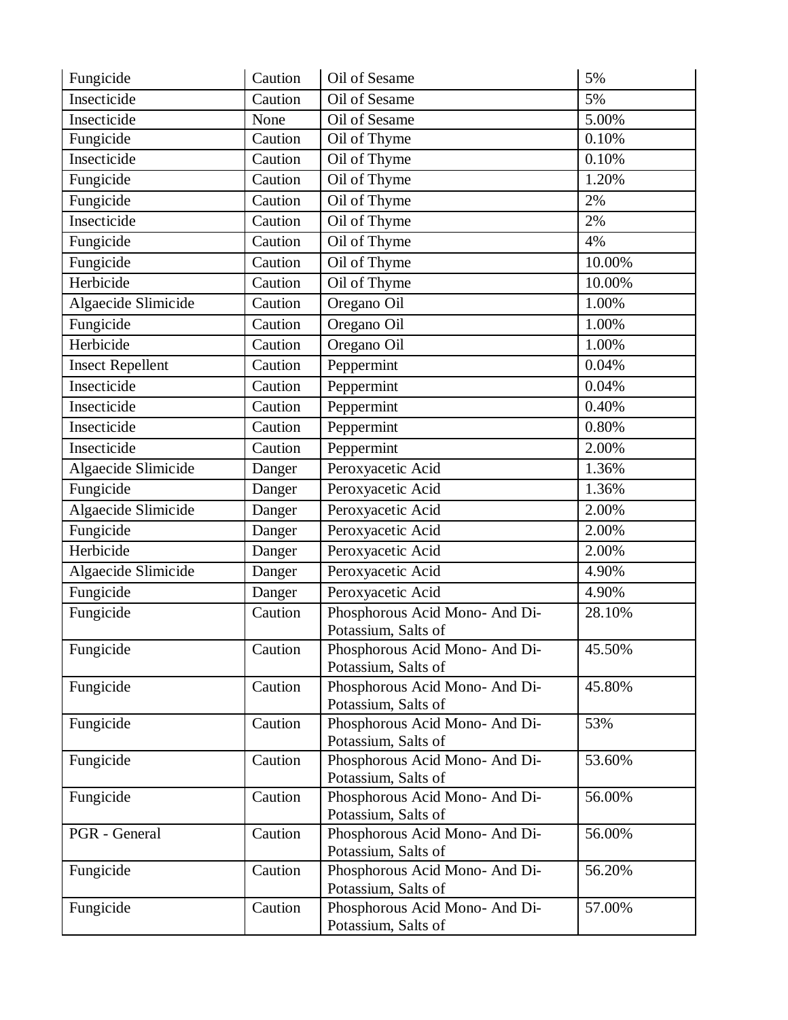| Insecticide<br>Caution<br>Oil of Sesame<br>5%<br>Insecticide<br>Oil of Sesame<br>5.00%<br>None<br>Fungicide<br>0.10%<br>Caution<br>Oil of Thyme<br>Caution<br>0.10%<br>Insecticide<br>Oil of Thyme<br>Fungicide<br>Caution<br>Oil of Thyme<br>1.20%<br>Fungicide<br>Oil of Thyme<br>2%<br>Caution<br>Oil of Thyme<br>Insecticide<br>Caution<br>2%<br>Fungicide<br>Caution<br>Oil of Thyme<br>4%<br>Fungicide<br>10.00%<br>Oil of Thyme<br>Caution<br>Oil of Thyme<br>Herbicide<br>Caution<br>10.00%<br>Algaecide Slimicide<br>Caution<br>Oregano Oil<br>1.00%<br>Fungicide<br>Oregano Oil<br>1.00%<br>Caution<br>Herbicide<br>Caution<br>1.00%<br>Oregano Oil<br><b>Insect Repellent</b><br>Caution<br>Peppermint<br>0.04%<br>Insecticide<br>Peppermint<br>0.04%<br>Caution<br>Insecticide<br>Caution<br>0.40%<br>Peppermint<br>Insecticide<br>Peppermint<br>Caution<br>0.80%<br>Peppermint<br>Insecticide<br>2.00%<br>Caution<br>Algaecide Slimicide<br>Peroxyacetic Acid<br>1.36%<br>Danger<br>Fungicide<br>Peroxyacetic Acid<br>1.36%<br>Danger<br>Algaecide Slimicide<br>Peroxyacetic Acid<br>2.00%<br>Danger<br>Fungicide<br>Peroxyacetic Acid<br>2.00%<br>Danger<br>Herbicide<br>Peroxyacetic Acid<br>2.00%<br>Danger<br>Algaecide Slimicide<br>Peroxyacetic Acid<br>4.90%<br>Danger<br>Fungicide<br>Peroxyacetic Acid<br>4.90%<br>Danger<br>Fungicide<br>Phosphorous Acid Mono- And Di-<br>Caution<br>28.10%<br>Potassium, Salts of<br>Fungicide<br>45.50%<br>Caution<br>Phosphorous Acid Mono- And Di-<br>Potassium, Salts of<br>Fungicide<br>Caution<br>45.80%<br>Phosphorous Acid Mono- And Di-<br>Potassium, Salts of<br>Fungicide<br>Phosphorous Acid Mono- And Di-<br>Caution<br>53%<br>Potassium, Salts of<br>Fungicide<br>Phosphorous Acid Mono- And Di-<br>Caution<br>53.60%<br>Potassium, Salts of<br>Fungicide<br>Caution<br>Phosphorous Acid Mono- And Di-<br>56.00%<br>Potassium, Salts of<br>Caution<br>Phosphorous Acid Mono- And Di-<br>56.00%<br>PGR - General<br>Potassium, Salts of<br>Fungicide<br>Caution<br>Phosphorous Acid Mono- And Di-<br>56.20%<br>Potassium, Salts of<br>Caution<br>Phosphorous Acid Mono- And Di-<br>Fungicide<br>57.00% | Fungicide | Caution | Oil of Sesame       | 5% |
|------------------------------------------------------------------------------------------------------------------------------------------------------------------------------------------------------------------------------------------------------------------------------------------------------------------------------------------------------------------------------------------------------------------------------------------------------------------------------------------------------------------------------------------------------------------------------------------------------------------------------------------------------------------------------------------------------------------------------------------------------------------------------------------------------------------------------------------------------------------------------------------------------------------------------------------------------------------------------------------------------------------------------------------------------------------------------------------------------------------------------------------------------------------------------------------------------------------------------------------------------------------------------------------------------------------------------------------------------------------------------------------------------------------------------------------------------------------------------------------------------------------------------------------------------------------------------------------------------------------------------------------------------------------------------------------------------------------------------------------------------------------------------------------------------------------------------------------------------------------------------------------------------------------------------------------------------------------------------------------------------------------------------------------------------------------------------------------------------------------------------------------------------------------------------|-----------|---------|---------------------|----|
|                                                                                                                                                                                                                                                                                                                                                                                                                                                                                                                                                                                                                                                                                                                                                                                                                                                                                                                                                                                                                                                                                                                                                                                                                                                                                                                                                                                                                                                                                                                                                                                                                                                                                                                                                                                                                                                                                                                                                                                                                                                                                                                                                                              |           |         |                     |    |
|                                                                                                                                                                                                                                                                                                                                                                                                                                                                                                                                                                                                                                                                                                                                                                                                                                                                                                                                                                                                                                                                                                                                                                                                                                                                                                                                                                                                                                                                                                                                                                                                                                                                                                                                                                                                                                                                                                                                                                                                                                                                                                                                                                              |           |         |                     |    |
|                                                                                                                                                                                                                                                                                                                                                                                                                                                                                                                                                                                                                                                                                                                                                                                                                                                                                                                                                                                                                                                                                                                                                                                                                                                                                                                                                                                                                                                                                                                                                                                                                                                                                                                                                                                                                                                                                                                                                                                                                                                                                                                                                                              |           |         |                     |    |
|                                                                                                                                                                                                                                                                                                                                                                                                                                                                                                                                                                                                                                                                                                                                                                                                                                                                                                                                                                                                                                                                                                                                                                                                                                                                                                                                                                                                                                                                                                                                                                                                                                                                                                                                                                                                                                                                                                                                                                                                                                                                                                                                                                              |           |         |                     |    |
|                                                                                                                                                                                                                                                                                                                                                                                                                                                                                                                                                                                                                                                                                                                                                                                                                                                                                                                                                                                                                                                                                                                                                                                                                                                                                                                                                                                                                                                                                                                                                                                                                                                                                                                                                                                                                                                                                                                                                                                                                                                                                                                                                                              |           |         |                     |    |
|                                                                                                                                                                                                                                                                                                                                                                                                                                                                                                                                                                                                                                                                                                                                                                                                                                                                                                                                                                                                                                                                                                                                                                                                                                                                                                                                                                                                                                                                                                                                                                                                                                                                                                                                                                                                                                                                                                                                                                                                                                                                                                                                                                              |           |         |                     |    |
|                                                                                                                                                                                                                                                                                                                                                                                                                                                                                                                                                                                                                                                                                                                                                                                                                                                                                                                                                                                                                                                                                                                                                                                                                                                                                                                                                                                                                                                                                                                                                                                                                                                                                                                                                                                                                                                                                                                                                                                                                                                                                                                                                                              |           |         |                     |    |
|                                                                                                                                                                                                                                                                                                                                                                                                                                                                                                                                                                                                                                                                                                                                                                                                                                                                                                                                                                                                                                                                                                                                                                                                                                                                                                                                                                                                                                                                                                                                                                                                                                                                                                                                                                                                                                                                                                                                                                                                                                                                                                                                                                              |           |         |                     |    |
|                                                                                                                                                                                                                                                                                                                                                                                                                                                                                                                                                                                                                                                                                                                                                                                                                                                                                                                                                                                                                                                                                                                                                                                                                                                                                                                                                                                                                                                                                                                                                                                                                                                                                                                                                                                                                                                                                                                                                                                                                                                                                                                                                                              |           |         |                     |    |
|                                                                                                                                                                                                                                                                                                                                                                                                                                                                                                                                                                                                                                                                                                                                                                                                                                                                                                                                                                                                                                                                                                                                                                                                                                                                                                                                                                                                                                                                                                                                                                                                                                                                                                                                                                                                                                                                                                                                                                                                                                                                                                                                                                              |           |         |                     |    |
|                                                                                                                                                                                                                                                                                                                                                                                                                                                                                                                                                                                                                                                                                                                                                                                                                                                                                                                                                                                                                                                                                                                                                                                                                                                                                                                                                                                                                                                                                                                                                                                                                                                                                                                                                                                                                                                                                                                                                                                                                                                                                                                                                                              |           |         |                     |    |
|                                                                                                                                                                                                                                                                                                                                                                                                                                                                                                                                                                                                                                                                                                                                                                                                                                                                                                                                                                                                                                                                                                                                                                                                                                                                                                                                                                                                                                                                                                                                                                                                                                                                                                                                                                                                                                                                                                                                                                                                                                                                                                                                                                              |           |         |                     |    |
|                                                                                                                                                                                                                                                                                                                                                                                                                                                                                                                                                                                                                                                                                                                                                                                                                                                                                                                                                                                                                                                                                                                                                                                                                                                                                                                                                                                                                                                                                                                                                                                                                                                                                                                                                                                                                                                                                                                                                                                                                                                                                                                                                                              |           |         |                     |    |
|                                                                                                                                                                                                                                                                                                                                                                                                                                                                                                                                                                                                                                                                                                                                                                                                                                                                                                                                                                                                                                                                                                                                                                                                                                                                                                                                                                                                                                                                                                                                                                                                                                                                                                                                                                                                                                                                                                                                                                                                                                                                                                                                                                              |           |         |                     |    |
|                                                                                                                                                                                                                                                                                                                                                                                                                                                                                                                                                                                                                                                                                                                                                                                                                                                                                                                                                                                                                                                                                                                                                                                                                                                                                                                                                                                                                                                                                                                                                                                                                                                                                                                                                                                                                                                                                                                                                                                                                                                                                                                                                                              |           |         |                     |    |
|                                                                                                                                                                                                                                                                                                                                                                                                                                                                                                                                                                                                                                                                                                                                                                                                                                                                                                                                                                                                                                                                                                                                                                                                                                                                                                                                                                                                                                                                                                                                                                                                                                                                                                                                                                                                                                                                                                                                                                                                                                                                                                                                                                              |           |         |                     |    |
|                                                                                                                                                                                                                                                                                                                                                                                                                                                                                                                                                                                                                                                                                                                                                                                                                                                                                                                                                                                                                                                                                                                                                                                                                                                                                                                                                                                                                                                                                                                                                                                                                                                                                                                                                                                                                                                                                                                                                                                                                                                                                                                                                                              |           |         |                     |    |
|                                                                                                                                                                                                                                                                                                                                                                                                                                                                                                                                                                                                                                                                                                                                                                                                                                                                                                                                                                                                                                                                                                                                                                                                                                                                                                                                                                                                                                                                                                                                                                                                                                                                                                                                                                                                                                                                                                                                                                                                                                                                                                                                                                              |           |         |                     |    |
|                                                                                                                                                                                                                                                                                                                                                                                                                                                                                                                                                                                                                                                                                                                                                                                                                                                                                                                                                                                                                                                                                                                                                                                                                                                                                                                                                                                                                                                                                                                                                                                                                                                                                                                                                                                                                                                                                                                                                                                                                                                                                                                                                                              |           |         |                     |    |
|                                                                                                                                                                                                                                                                                                                                                                                                                                                                                                                                                                                                                                                                                                                                                                                                                                                                                                                                                                                                                                                                                                                                                                                                                                                                                                                                                                                                                                                                                                                                                                                                                                                                                                                                                                                                                                                                                                                                                                                                                                                                                                                                                                              |           |         |                     |    |
|                                                                                                                                                                                                                                                                                                                                                                                                                                                                                                                                                                                                                                                                                                                                                                                                                                                                                                                                                                                                                                                                                                                                                                                                                                                                                                                                                                                                                                                                                                                                                                                                                                                                                                                                                                                                                                                                                                                                                                                                                                                                                                                                                                              |           |         |                     |    |
|                                                                                                                                                                                                                                                                                                                                                                                                                                                                                                                                                                                                                                                                                                                                                                                                                                                                                                                                                                                                                                                                                                                                                                                                                                                                                                                                                                                                                                                                                                                                                                                                                                                                                                                                                                                                                                                                                                                                                                                                                                                                                                                                                                              |           |         |                     |    |
|                                                                                                                                                                                                                                                                                                                                                                                                                                                                                                                                                                                                                                                                                                                                                                                                                                                                                                                                                                                                                                                                                                                                                                                                                                                                                                                                                                                                                                                                                                                                                                                                                                                                                                                                                                                                                                                                                                                                                                                                                                                                                                                                                                              |           |         |                     |    |
|                                                                                                                                                                                                                                                                                                                                                                                                                                                                                                                                                                                                                                                                                                                                                                                                                                                                                                                                                                                                                                                                                                                                                                                                                                                                                                                                                                                                                                                                                                                                                                                                                                                                                                                                                                                                                                                                                                                                                                                                                                                                                                                                                                              |           |         |                     |    |
|                                                                                                                                                                                                                                                                                                                                                                                                                                                                                                                                                                                                                                                                                                                                                                                                                                                                                                                                                                                                                                                                                                                                                                                                                                                                                                                                                                                                                                                                                                                                                                                                                                                                                                                                                                                                                                                                                                                                                                                                                                                                                                                                                                              |           |         |                     |    |
|                                                                                                                                                                                                                                                                                                                                                                                                                                                                                                                                                                                                                                                                                                                                                                                                                                                                                                                                                                                                                                                                                                                                                                                                                                                                                                                                                                                                                                                                                                                                                                                                                                                                                                                                                                                                                                                                                                                                                                                                                                                                                                                                                                              |           |         |                     |    |
|                                                                                                                                                                                                                                                                                                                                                                                                                                                                                                                                                                                                                                                                                                                                                                                                                                                                                                                                                                                                                                                                                                                                                                                                                                                                                                                                                                                                                                                                                                                                                                                                                                                                                                                                                                                                                                                                                                                                                                                                                                                                                                                                                                              |           |         |                     |    |
|                                                                                                                                                                                                                                                                                                                                                                                                                                                                                                                                                                                                                                                                                                                                                                                                                                                                                                                                                                                                                                                                                                                                                                                                                                                                                                                                                                                                                                                                                                                                                                                                                                                                                                                                                                                                                                                                                                                                                                                                                                                                                                                                                                              |           |         |                     |    |
|                                                                                                                                                                                                                                                                                                                                                                                                                                                                                                                                                                                                                                                                                                                                                                                                                                                                                                                                                                                                                                                                                                                                                                                                                                                                                                                                                                                                                                                                                                                                                                                                                                                                                                                                                                                                                                                                                                                                                                                                                                                                                                                                                                              |           |         |                     |    |
|                                                                                                                                                                                                                                                                                                                                                                                                                                                                                                                                                                                                                                                                                                                                                                                                                                                                                                                                                                                                                                                                                                                                                                                                                                                                                                                                                                                                                                                                                                                                                                                                                                                                                                                                                                                                                                                                                                                                                                                                                                                                                                                                                                              |           |         |                     |    |
|                                                                                                                                                                                                                                                                                                                                                                                                                                                                                                                                                                                                                                                                                                                                                                                                                                                                                                                                                                                                                                                                                                                                                                                                                                                                                                                                                                                                                                                                                                                                                                                                                                                                                                                                                                                                                                                                                                                                                                                                                                                                                                                                                                              |           |         |                     |    |
|                                                                                                                                                                                                                                                                                                                                                                                                                                                                                                                                                                                                                                                                                                                                                                                                                                                                                                                                                                                                                                                                                                                                                                                                                                                                                                                                                                                                                                                                                                                                                                                                                                                                                                                                                                                                                                                                                                                                                                                                                                                                                                                                                                              |           |         |                     |    |
|                                                                                                                                                                                                                                                                                                                                                                                                                                                                                                                                                                                                                                                                                                                                                                                                                                                                                                                                                                                                                                                                                                                                                                                                                                                                                                                                                                                                                                                                                                                                                                                                                                                                                                                                                                                                                                                                                                                                                                                                                                                                                                                                                                              |           |         |                     |    |
|                                                                                                                                                                                                                                                                                                                                                                                                                                                                                                                                                                                                                                                                                                                                                                                                                                                                                                                                                                                                                                                                                                                                                                                                                                                                                                                                                                                                                                                                                                                                                                                                                                                                                                                                                                                                                                                                                                                                                                                                                                                                                                                                                                              |           |         |                     |    |
|                                                                                                                                                                                                                                                                                                                                                                                                                                                                                                                                                                                                                                                                                                                                                                                                                                                                                                                                                                                                                                                                                                                                                                                                                                                                                                                                                                                                                                                                                                                                                                                                                                                                                                                                                                                                                                                                                                                                                                                                                                                                                                                                                                              |           |         |                     |    |
|                                                                                                                                                                                                                                                                                                                                                                                                                                                                                                                                                                                                                                                                                                                                                                                                                                                                                                                                                                                                                                                                                                                                                                                                                                                                                                                                                                                                                                                                                                                                                                                                                                                                                                                                                                                                                                                                                                                                                                                                                                                                                                                                                                              |           |         |                     |    |
|                                                                                                                                                                                                                                                                                                                                                                                                                                                                                                                                                                                                                                                                                                                                                                                                                                                                                                                                                                                                                                                                                                                                                                                                                                                                                                                                                                                                                                                                                                                                                                                                                                                                                                                                                                                                                                                                                                                                                                                                                                                                                                                                                                              |           |         |                     |    |
|                                                                                                                                                                                                                                                                                                                                                                                                                                                                                                                                                                                                                                                                                                                                                                                                                                                                                                                                                                                                                                                                                                                                                                                                                                                                                                                                                                                                                                                                                                                                                                                                                                                                                                                                                                                                                                                                                                                                                                                                                                                                                                                                                                              |           |         |                     |    |
|                                                                                                                                                                                                                                                                                                                                                                                                                                                                                                                                                                                                                                                                                                                                                                                                                                                                                                                                                                                                                                                                                                                                                                                                                                                                                                                                                                                                                                                                                                                                                                                                                                                                                                                                                                                                                                                                                                                                                                                                                                                                                                                                                                              |           |         |                     |    |
|                                                                                                                                                                                                                                                                                                                                                                                                                                                                                                                                                                                                                                                                                                                                                                                                                                                                                                                                                                                                                                                                                                                                                                                                                                                                                                                                                                                                                                                                                                                                                                                                                                                                                                                                                                                                                                                                                                                                                                                                                                                                                                                                                                              |           |         |                     |    |
|                                                                                                                                                                                                                                                                                                                                                                                                                                                                                                                                                                                                                                                                                                                                                                                                                                                                                                                                                                                                                                                                                                                                                                                                                                                                                                                                                                                                                                                                                                                                                                                                                                                                                                                                                                                                                                                                                                                                                                                                                                                                                                                                                                              |           |         | Potassium, Salts of |    |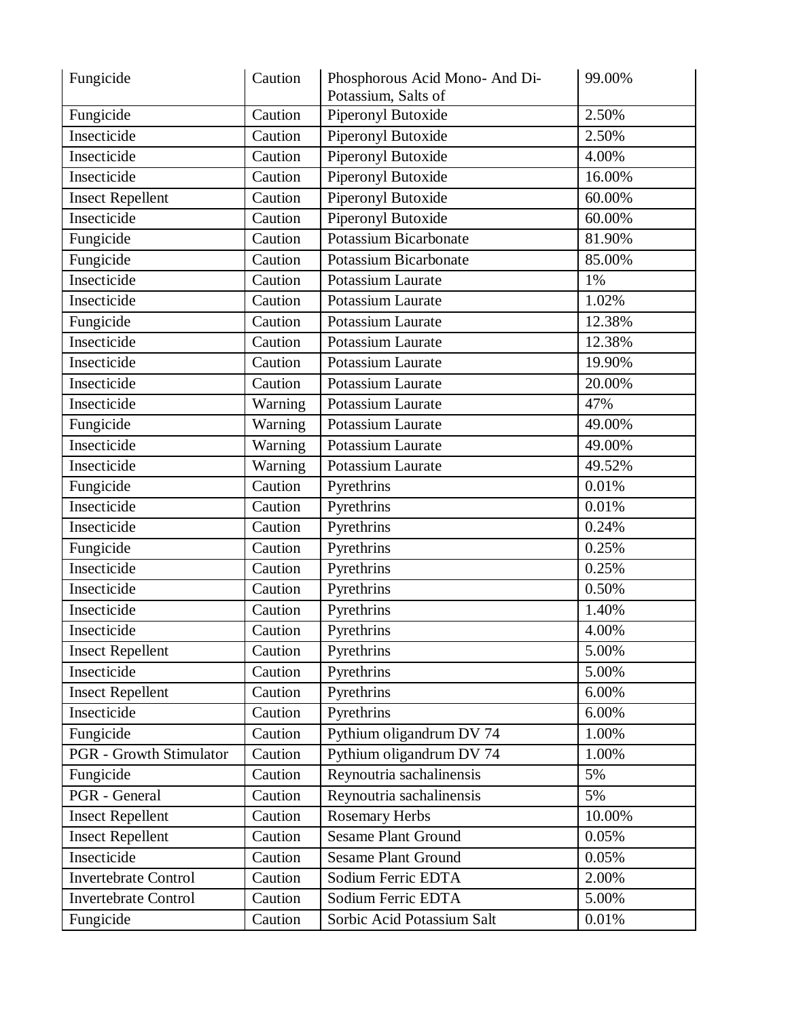| Fungicide                      | Caution | Phosphorous Acid Mono- And Di-<br>Potassium, Salts of | 99.00% |
|--------------------------------|---------|-------------------------------------------------------|--------|
| Fungicide                      | Caution | Piperonyl Butoxide                                    | 2.50%  |
| Insecticide                    | Caution | Piperonyl Butoxide                                    | 2.50%  |
| Insecticide                    | Caution | <b>Piperonyl Butoxide</b>                             | 4.00%  |
| Insecticide                    | Caution | Piperonyl Butoxide                                    | 16.00% |
| <b>Insect Repellent</b>        | Caution | Piperonyl Butoxide                                    | 60.00% |
| Insecticide                    | Caution | <b>Piperonyl Butoxide</b>                             | 60.00% |
| Fungicide                      | Caution | <b>Potassium Bicarbonate</b>                          | 81.90% |
| Fungicide                      | Caution | <b>Potassium Bicarbonate</b>                          | 85.00% |
| Insecticide                    | Caution | Potassium Laurate                                     | 1%     |
| Insecticide                    | Caution | Potassium Laurate                                     | 1.02%  |
| Fungicide                      | Caution | Potassium Laurate                                     | 12.38% |
| Insecticide                    | Caution | Potassium Laurate                                     | 12.38% |
| Insecticide                    | Caution | Potassium Laurate                                     | 19.90% |
| Insecticide                    | Caution | Potassium Laurate                                     | 20.00% |
| Insecticide                    | Warning | Potassium Laurate                                     | 47%    |
| Fungicide                      | Warning | Potassium Laurate                                     | 49.00% |
| Insecticide                    | Warning | Potassium Laurate                                     | 49.00% |
| Insecticide                    | Warning | Potassium Laurate                                     | 49.52% |
| Fungicide                      | Caution | Pyrethrins                                            | 0.01%  |
| Insecticide                    | Caution | Pyrethrins                                            | 0.01%  |
| Insecticide                    | Caution | Pyrethrins                                            | 0.24%  |
| Fungicide                      | Caution | Pyrethrins                                            | 0.25%  |
| Insecticide                    | Caution | Pyrethrins                                            | 0.25%  |
| Insecticide                    | Caution | Pyrethrins                                            | 0.50%  |
| Insecticide                    | Caution | Pyrethrins                                            | 1.40%  |
| Insecticide                    | Caution | Pyrethrins                                            | 4.00%  |
| <b>Insect Repellent</b>        | Caution | Pyrethrins                                            | 5.00%  |
| Insecticide                    | Caution | Pyrethrins                                            | 5.00%  |
| <b>Insect Repellent</b>        | Caution | Pyrethrins                                            | 6.00%  |
| Insecticide                    | Caution | Pyrethrins                                            | 6.00%  |
| Fungicide                      | Caution | Pythium oligandrum DV 74                              | 1.00%  |
| <b>PGR</b> - Growth Stimulator | Caution | Pythium oligandrum DV 74                              | 1.00%  |
| Fungicide                      | Caution | Reynoutria sachalinensis                              | 5%     |
| PGR - General                  | Caution | Reynoutria sachalinensis                              | 5%     |
| <b>Insect Repellent</b>        | Caution | <b>Rosemary Herbs</b>                                 | 10.00% |
| <b>Insect Repellent</b>        | Caution | <b>Sesame Plant Ground</b>                            | 0.05%  |
| Insecticide                    | Caution | <b>Sesame Plant Ground</b>                            | 0.05%  |
| <b>Invertebrate Control</b>    | Caution | Sodium Ferric EDTA                                    | 2.00%  |
| <b>Invertebrate Control</b>    | Caution | Sodium Ferric EDTA                                    | 5.00%  |
| Fungicide                      | Caution | Sorbic Acid Potassium Salt                            | 0.01%  |